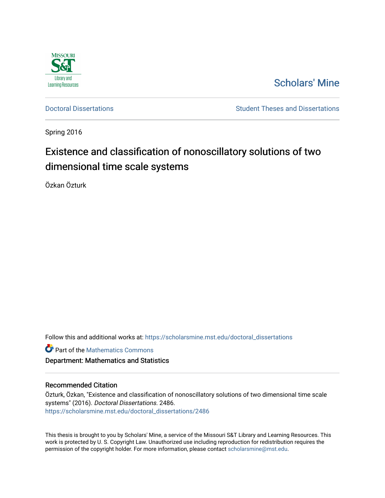

# [Scholars' Mine](https://scholarsmine.mst.edu/)

[Doctoral Dissertations](https://scholarsmine.mst.edu/doctoral_dissertations) **Student Theses and Dissertations** Student Theses and Dissertations

Spring 2016

# Existence and classification of nonoscillatory solutions of two dimensional time scale systems

Özkan Özturk

Follow this and additional works at: [https://scholarsmine.mst.edu/doctoral\\_dissertations](https://scholarsmine.mst.edu/doctoral_dissertations?utm_source=scholarsmine.mst.edu%2Fdoctoral_dissertations%2F2486&utm_medium=PDF&utm_campaign=PDFCoverPages)

**Part of the [Mathematics Commons](http://network.bepress.com/hgg/discipline/174?utm_source=scholarsmine.mst.edu%2Fdoctoral_dissertations%2F2486&utm_medium=PDF&utm_campaign=PDFCoverPages)** 

Department: Mathematics and Statistics

### Recommended Citation

Özturk, Özkan, "Existence and classification of nonoscillatory solutions of two dimensional time scale systems" (2016). Doctoral Dissertations. 2486. [https://scholarsmine.mst.edu/doctoral\\_dissertations/2486](https://scholarsmine.mst.edu/doctoral_dissertations/2486?utm_source=scholarsmine.mst.edu%2Fdoctoral_dissertations%2F2486&utm_medium=PDF&utm_campaign=PDFCoverPages)

This thesis is brought to you by Scholars' Mine, a service of the Missouri S&T Library and Learning Resources. This work is protected by U. S. Copyright Law. Unauthorized use including reproduction for redistribution requires the permission of the copyright holder. For more information, please contact [scholarsmine@mst.edu](mailto:scholarsmine@mst.edu).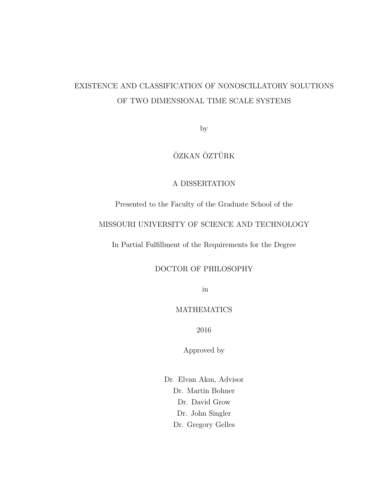# EXISTENCE AND CLASSIFICATION OF NONOSCILLATORY SOLUTIONS OF TWO DIMENSIONAL TIME SCALE SYSTEMS

by

# ÖZKAN ÖZTÜRK

## A DISSERTATION

Presented to the Faculty of the Graduate School of the

### MISSOURI UNIVERSITY OF SCIENCE AND TECHNOLOGY

In Partial Fulfillment of the Requirements for the Degree

## DOCTOR OF PHILOSOPHY

in

### MATHEMATICS

2016

Approved by

Dr. Elvan Akın, Advisor Dr. Martin Bohner Dr. David Grow Dr. John Singler Dr. Gregory Gelles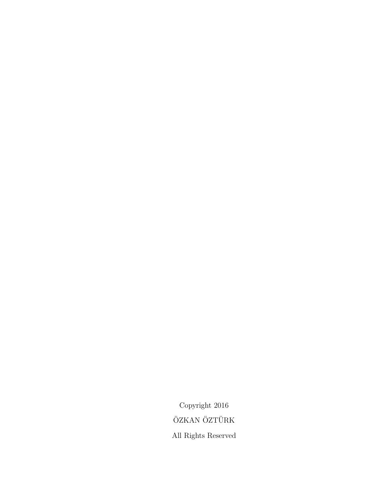Copyright 2016 ÖZKAN ÖZTÜRK All Rights Reserved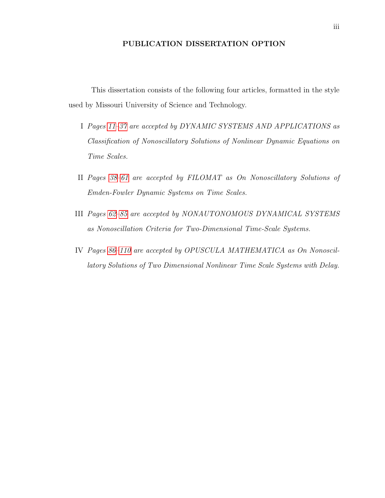### PUBLICATION DISSERTATION OPTION

<span id="page-3-0"></span>This dissertation consists of the following four articles, formatted in the style used by Missouri University of Science and Technology.

- I Pages [11–](#page-21-0)[37](#page-46-0) are accepted by DYNAMIC SYSTEMS AND APPLICATIONS as Classification of Nonoscillatory Solutions of Nonlinear Dynamic Equations on Time Scales.
- II Pages [38–](#page-48-0)[61](#page-71-0) are accepted by FILOMAT as On Nonoscillatory Solutions of Emden-Fowler Dynamic Systems on Time Scales.
- III Pages [62](#page-72-0)[–85](#page-95-0) are accepted by NONAUTONOMOUS DYNAMICAL SYSTEMS as Nonoscillation Criteria for Two-Dimensional Time-Scale Systems.
- IV Pages [86–](#page-96-0)[110](#page-120-0) are accepted by OPUSCULA MATHEMATICA as On Nonoscillatory Solutions of Two Dimensional Nonlinear Time Scale Systems with Delay.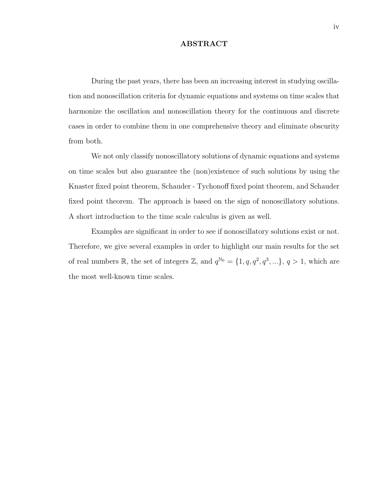#### ABSTRACT

<span id="page-4-0"></span>During the past years, there has been an increasing interest in studying oscillation and nonoscillation criteria for dynamic equations and systems on time scales that harmonize the oscillation and nonoscillation theory for the continuous and discrete cases in order to combine them in one comprehensive theory and eliminate obscurity from both.

We not only classify nonoscillatory solutions of dynamic equations and systems on time scales but also guarantee the (non)existence of such solutions by using the Knaster fixed point theorem, Schauder - Tychonoff fixed point theorem, and Schauder fixed point theorem. The approach is based on the sign of nonoscillatory solutions. A short introduction to the time scale calculus is given as well.

Examples are significant in order to see if nonoscillatory solutions exist or not. Therefore, we give several examples in order to highlight our main results for the set of real numbers R, the set of integers Z, and  $q^{\mathbb{N}_0} = \{1, q, q^2, q^3, ...\}$ ,  $q > 1$ , which are the most well-known time scales.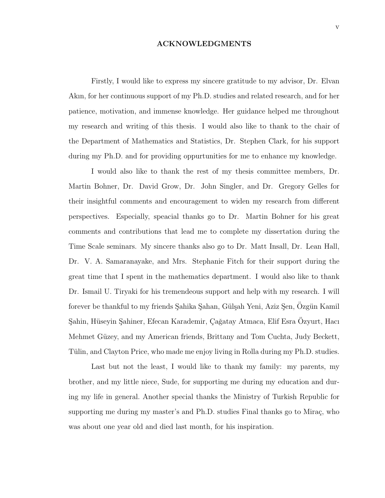### ACKNOWLEDGMENTS

<span id="page-5-0"></span>Firstly, I would like to express my sincere gratitude to my advisor, Dr. Elvan Akın, for her continuous support of my Ph.D. studies and related research, and for her patience, motivation, and immense knowledge. Her guidance helped me throughout my research and writing of this thesis. I would also like to thank to the chair of the Department of Mathematics and Statistics, Dr. Stephen Clark, for his support during my Ph.D. and for providing oppurtunities for me to enhance my knowledge.

I would also like to thank the rest of my thesis committee members, Dr. Martin Bohner, Dr. David Grow, Dr. John Singler, and Dr. Gregory Gelles for their insightful comments and encouragement to widen my research from different perspectives. Especially, speacial thanks go to Dr. Martin Bohner for his great comments and contributions that lead me to complete my dissertation during the Time Scale seminars. My sincere thanks also go to Dr. Matt Insall, Dr. Lean Hall, Dr. V. A. Samaranayake, and Mrs. Stephanie Fitch for their support during the great time that I spent in the mathematics department. I would also like to thank Dr. Ismail U. Tiryaki for his tremendeous support and help with my research. I will forever be thankful to my friends Sahika Sahan, Gülşah Yeni, Aziz Şen, Ozgün Kamil Şahin, Hüseyin Şahiner, Efecan Karademir, Çağatay Atmaca, Elif Esra Ozyurt, Hacı Mehmet Güzey, and my American friends, Brittany and Tom Cuchta, Judy Beckett, Tülin, and Clayton Price, who made me enjoy living in Rolla during my Ph.D. studies.

Last but not the least, I would like to thank my family: my parents, my brother, and my little niece, Sude, for supporting me during my education and during my life in general. Another special thanks the Ministry of Turkish Republic for supporting me during my master's and Ph.D. studies Final thanks go to Mirac, who was about one year old and died last month, for his inspiration.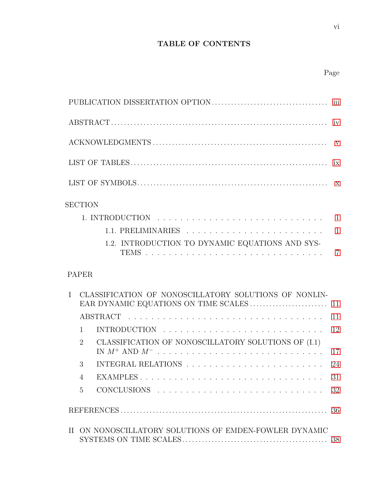## TABLE OF CONTENTS

## Page

<span id="page-6-0"></span>

|              | <b>SECTION</b>                                                        |                |
|--------------|-----------------------------------------------------------------------|----------------|
|              |                                                                       |                |
|              |                                                                       |                |
|              | 1.2. INTRODUCTION TO DYNAMIC EQUATIONS AND SYS-                       | $\overline{7}$ |
|              | <b>PAPER</b>                                                          |                |
| $\mathbf{I}$ | CLASSIFICATION OF NONOSCILLATORY SOLUTIONS OF NONLIN-                 |                |
|              |                                                                       | 11             |
|              | $\mathbf{1}$                                                          | 12             |
|              | CLASSIFICATION OF NONOSCILLATORY SOLUTIONS OF (I.1)<br>$\overline{2}$ | 17             |
|              | 3                                                                     | 24             |
|              | $\overline{4}$                                                        | 31             |
|              | $\overline{5}$                                                        | 32             |
|              |                                                                       | 36             |
|              | II ON NONOSCILLATORY SOLUTIONS OF EMDEN-FOWLER DYNAMIC                | 38             |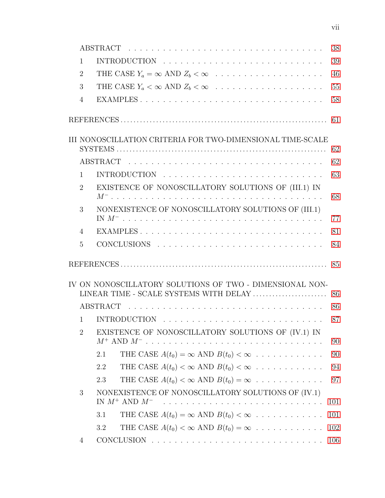|                | 38                                                                                                       |  |
|----------------|----------------------------------------------------------------------------------------------------------|--|
| $\mathbf{1}$   | 39                                                                                                       |  |
| $\overline{2}$ | THE CASE $Y_a = \infty$ AND $Z_b < \infty$<br>46                                                         |  |
| 3              | THE CASE $Y_a < \infty$ AND $Z_b < \infty$<br>55                                                         |  |
| $\overline{4}$ | 58                                                                                                       |  |
|                | 61                                                                                                       |  |
|                | III NONOSCILLATION CRITERIA FOR TWO-DIMENSIONAL TIME-SCALE<br>62                                         |  |
|                | 62                                                                                                       |  |
| $\mathbf{1}$   | 63                                                                                                       |  |
| $\overline{2}$ | EXISTENCE OF NONOSCILLATORY SOLUTIONS OF (III.1) IN<br>68                                                |  |
| 3              | NONEXISTENCE OF NONOSCILLATORY SOLUTIONS OF (III.1)                                                      |  |
|                | 77                                                                                                       |  |
| $\overline{4}$ | 81                                                                                                       |  |
| 5              | 84                                                                                                       |  |
|                |                                                                                                          |  |
|                | IV ON NONOSCILLATORY SOLUTIONS OF TWO - DIMENSIONAL NON-<br>LINEAR TIME - SCALE SYSTEMS WITH DELAY<br>86 |  |
|                | 86                                                                                                       |  |
| $\mathbf{1}$   | INTRODUCTION $\ldots \ldots \ldots \ldots \ldots \ldots \ldots \ldots \ldots \ldots$<br>87               |  |
| $\overline{2}$ | EXISTENCE OF NONOSCILLATORY SOLUTIONS OF (IV.1) IN<br>$M^+$ AND $M^-$<br>90<br>.                         |  |
|                | THE CASE $A(t_0) = \infty$ AND $B(t_0) < \infty$<br>90<br>2.1                                            |  |
|                | THE CASE $A(t_0) < \infty$ AND $B(t_0) < \infty$<br>94<br>2.2                                            |  |
|                | THE CASE $A(t_0) < \infty$ AND $B(t_0) = \infty$<br>2.3<br>97                                            |  |
| 3              | NONEXISTENCE OF NONOSCILLATORY SOLUTIONS OF (IV.1)<br>IN $M^+$ AND $M^-$<br>101<br><u>.</u>              |  |
|                | THE CASE $A(t_0) = \infty$ AND $B(t_0) < \infty$<br>3.1<br>101                                           |  |
|                | THE CASE $A(t_0) < \infty$ AND $B(t_0) = \infty$<br>102<br>3.2                                           |  |
| 4              | 106                                                                                                      |  |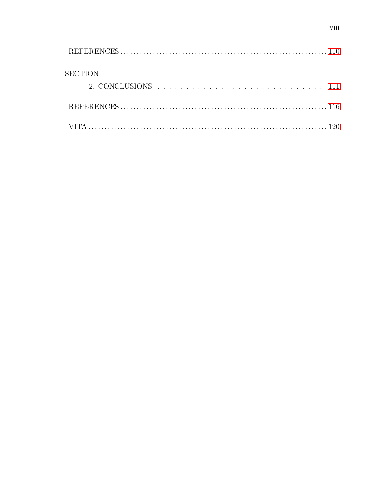| <b>SECTION</b> |  |
|----------------|--|
|                |  |
|                |  |
|                |  |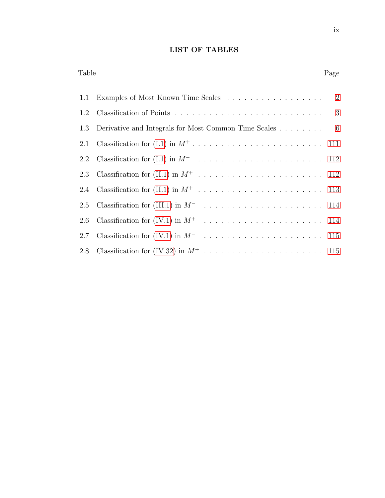## LIST OF TABLES

Table Page

|     | 1.1 Examples of Most Known Time Scales                     | 2 |
|-----|------------------------------------------------------------|---|
| 1.2 |                                                            | 3 |
|     | 1.3 Derivative and Integrals for Most Common Time Scales 6 |   |
| 2.1 |                                                            |   |
|     |                                                            |   |
| 2.3 |                                                            |   |
|     |                                                            |   |
| 2.5 |                                                            |   |
|     |                                                            |   |
| 2.7 |                                                            |   |
|     |                                                            |   |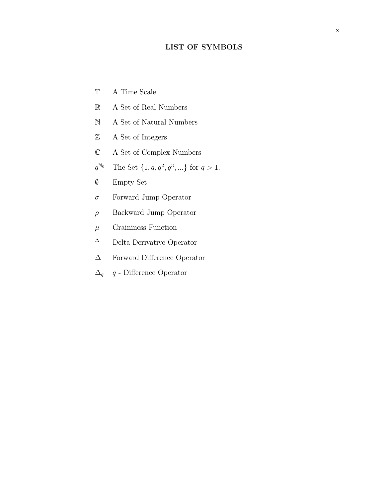### LIST OF SYMBOLS

- <span id="page-10-0"></span>T A Time Scale
- R A Set of Real Numbers
- N A Set of Natural Numbers
- Z A Set of Integers
- C A Set of Complex Numbers
- $q^{\mathbb{N}_0}$ <sup>N<sub>0</sub></sup> The Set  $\{1, q, q^2, q^3, ...\}$  for  $q > 1$ .
- ∅ Empty Set
- $\sigma$  Forward Jump Operator
- $\rho$  Backward Jump Operator
- $\mu$  Graininess Function
- <sup>∆</sup> Delta Derivative Operator
- ∆ Forward Difference Operator
- $\Delta_q$  q Difference Operator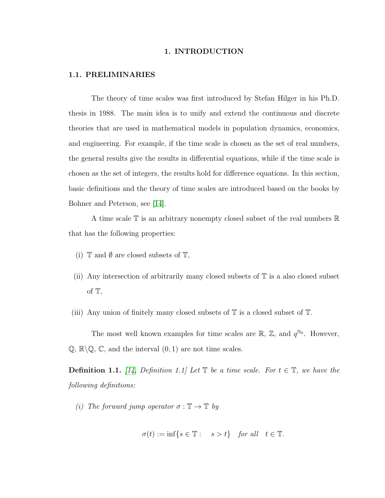### 1. INTRODUCTION

#### <span id="page-11-0"></span>1.1. PRELIMINARIES

The theory of time scales was first introduced by Stefan Hilger in his Ph.D. thesis in 1988. The main idea is to unify and extend the continuous and discrete theories that are used in mathematical models in population dynamics, economics, and engineering. For example, if the time scale is chosen as the set of real numbers, the general results give the results in differential equations, while if the time scale is chosen as the set of integers, the results hold for difference equations. In this section, basic definitions and the theory of time scales are introduced based on the books by Bohner and Peterson, see [\[14\]](#page-127-0).

A time scale T is an arbitrary nonempty closed subset of the real numbers R that has the following properties:

- (i)  $\mathbb T$  and  $\emptyset$  are closed subsets of  $\mathbb T$ ,
- (ii) Any intersection of arbitrarily many closed subsets of  $\mathbb T$  is a also closed subset of T,
- (iii) Any union of finitely many closed subsets of  $\mathbb T$  is a closed subset of  $\mathbb T$ .

The most well known examples for time scales are  $\mathbb{R}, \mathbb{Z}$ , and  $q^{\mathbb{N}_0}$ . However,  $\mathbb{Q}, \mathbb{R}\backslash\mathbb{Q}, \mathbb{C}$ , and the interval  $(0, 1)$  are not time scales.

**Definition 1.1.** [\[14,](#page-127-0) Definition 1.1] Let  $\mathbb{T}$  be a time scale. For  $t \in \mathbb{T}$ , we have the following definitions:

(i) The forward jump operator  $\sigma : \mathbb{T} \to \mathbb{T}$  by

$$
\sigma(t) := \inf\{s \in \mathbb{T} : s > t\} \quad \text{for all} \quad t \in \mathbb{T}.
$$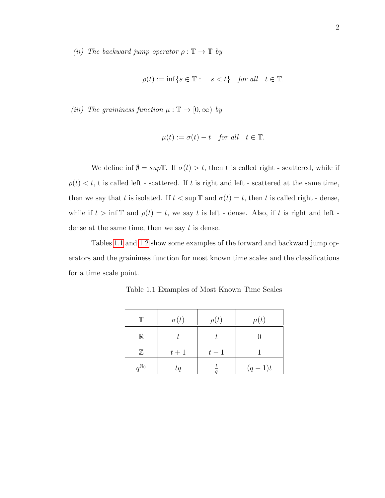(ii) The backward jump operator  $\rho : \mathbb{T} \to \mathbb{T}$  by

$$
\rho(t) := \inf\{s \in \mathbb{T} : s < t\} \quad \text{for all} \quad t \in \mathbb{T}.
$$

(iii) The graininess function  $\mu : \mathbb{T} \to [0, \infty)$  by

$$
\mu(t) := \sigma(t) - t \quad \text{for all} \quad t \in \mathbb{T}.
$$

We define inf  $\emptyset = \sup \mathbb{T}$ . If  $\sigma(t) > t$ , then t is called right - scattered, while if  $\rho(t) < t$ , t is called left - scattered. If t is right and left - scattered at the same time, then we say that t is isolated. If  $t < \sup \mathbb{T}$  and  $\sigma(t) = t$ , then t is called right - dense, while if  $t > \inf \mathbb{T}$  and  $\rho(t) = t$ , we say t is left - dense. Also, if t is right and left dense at the same time, then we say  $t$  is dense.

<span id="page-12-0"></span>Tables [1.1](#page-12-0) and [1.2](#page-13-0) show some examples of the forward and backward jump operators and the graininess function for most known time scales and the classifications for a time scale point.

| T                  | $\sigma(t)$ | $\rho(t)$ | $\mu(t)$ |
|--------------------|-------------|-----------|----------|
| $\mathbb R$        |             |           |          |
| $\mathbb Z$        | $t+1$       | $t-1$     |          |
| $a^{\mathbb{N}_0}$ | tq          |           | $(q-1)t$ |

Table 1.1 Examples of Most Known Time Scales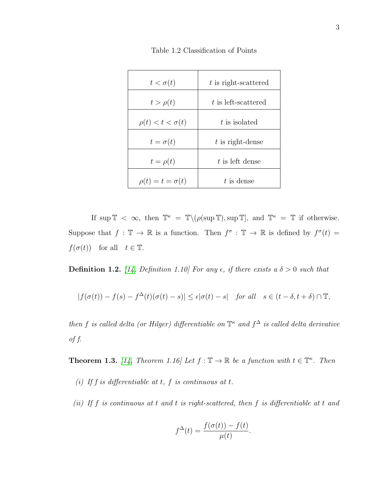<span id="page-13-0"></span>

| $t < \sigma(t)$           | t is right-scattered |
|---------------------------|----------------------|
| $t > \rho(t)$             | t is left-scattered  |
| $\rho(t) < t < \sigma(t)$ | t is isolated        |
| $t=\sigma(t)$             | $t$ is right-dense   |
| $t=\rho(t)$               | $t$ is left dense    |
| $\rho(t) = t = \sigma(t)$ | $t$ is dense         |

Table 1.2 Classification of Points

If  $\sup \mathbb{T} < \infty$ , then  $\mathbb{T}^{\kappa} = \mathbb{T}\setminus (\rho(\sup \mathbb{T}), \sup \mathbb{T}],$  and  $\mathbb{T}^{\kappa} = \mathbb{T}$  if otherwise. Suppose that  $f : \mathbb{T} \to \mathbb{R}$  is a function. Then  $f^{\sigma} : \mathbb{T} \to \mathbb{R}$  is defined by  $f^{\sigma}(t) =$  $f(\sigma(t))$  for all  $t \in \mathbb{T}$ .

**Definition 1.2.** [\[14,](#page-127-0) Definition 1.10] For any  $\epsilon$ , if there exists a  $\delta > 0$  such that

$$
|f(\sigma(t))-f(s)-f^{\Delta}(t)(\sigma(t)-s)|\leq \epsilon |\sigma(t)-s|\quad \textit{for all}\quad s\in (t-\delta,t+\delta)\cap \mathbb{T},
$$

then f is called delta (or Hilger) differentiable on  $\mathbb{T}^{\kappa}$  and  $f^{\Delta}$  is called delta derivative of f.

**Theorem 1.3.** [\[14,](#page-127-0) Theorem 1.16] Let  $f : \mathbb{T} \to \mathbb{R}$  be a function with  $t \in \mathbb{T}^{\kappa}$ . Then

- (i) If f is differentiable at t, f is continuous at t.
- (ii) If f is continuous at t and t is right-scattered, then f is differentiable at t and

$$
f^{\Delta}(t) = \frac{f(\sigma(t)) - f(t)}{\mu(t)}.
$$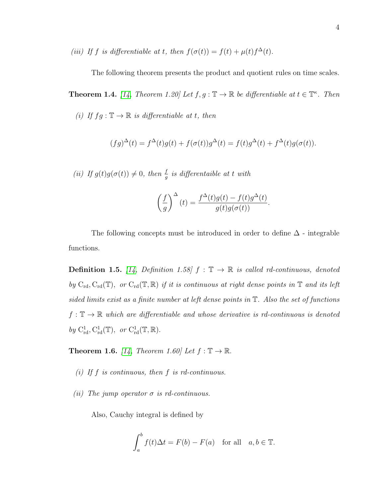(iii) If f is differentiable at t, then  $f(\sigma(t)) = f(t) + \mu(t)f^{\Delta}(t)$ .

The following theorem presents the product and quotient rules on time scales.

**Theorem 1.4.** [\[14,](#page-127-0) Theorem 1.20] Let  $f, g : \mathbb{T} \to \mathbb{R}$  be differentiable at  $t \in \mathbb{T}^{\kappa}$ . Then

(i) If  $fg : \mathbb{T} \to \mathbb{R}$  is differentiable at t, then

$$
(fg)^{\Delta}(t) = f^{\Delta}(t)g(t) + f(\sigma(t))g^{\Delta}(t) = f(t)g^{\Delta}(t) + f^{\Delta}(t)g(\sigma(t)).
$$

(ii) If  $g(t)g(\sigma(t)) \neq 0$ , then  $\frac{f}{g}$  is differentaible at t with

$$
\left(\frac{f}{g}\right)^{\Delta}(t) = \frac{f^{\Delta}(t)g(t) - f(t)g^{\Delta}(t)}{g(t)g(\sigma(t))}.
$$

The following concepts must be introduced in order to define  $\Delta$  - integrable functions.

**Definition 1.5.** [\[14,](#page-127-0) Definition 1.58]  $f : \mathbb{T} \to \mathbb{R}$  is called rd-continuous, denoted by  $C_{rd}, C_{rd}(\mathbb{T})$ , or  $C_{rd}(\mathbb{T}, \mathbb{R})$  if it is continuous at right dense points in  $\mathbb{T}$  and its left sided limits exist as a finite number at left dense points in T. Also the set of functions  $f: \mathbb{T} \to \mathbb{R}$  which are differentiable and whose derivative is rd-continuous is denoted by  $C^1_{rd}, C^1_{rd}(\mathbb{T}), \text{ or } C^1_{rd}(\mathbb{T}, \mathbb{R}).$ 

**Theorem 1.6.** [\[14,](#page-127-0) Theorem 1.60] Let  $f : \mathbb{T} \to \mathbb{R}$ .

- (i) If  $f$  is continuous, then  $f$  is rd-continuous.
- (ii) The jump operator  $\sigma$  is rd-continuous.

Also, Cauchy integral is defined by

$$
\int_{a}^{b} f(t)\Delta t = F(b) - F(a) \text{ for all } a, b \in \mathbb{T}.
$$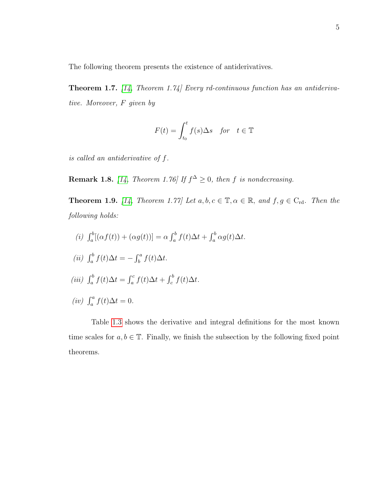The following theorem presents the existence of antiderivatives.

Theorem 1.7. [\[14,](#page-127-0) Theorem 1.74] Every rd-continuous function has an antiderivative. Moreover, F given by

$$
F(t) = \int_{t_0}^t f(s) \Delta s \quad \text{for} \quad t \in \mathbb{T}
$$

is called an antiderivative of f.

**Remark 1.8.** [\[14,](#page-127-0) Theorem 1.76] If  $f^{\Delta} \geq 0$ , then f is nondecreasing.

**Theorem 1.9.** [\[14,](#page-127-0) Theorem 1.77] Let  $a, b, c \in \mathbb{T}, \alpha \in \mathbb{R}$ , and  $f, g \in C_{\rm rd}$ . Then the following holds:

(i)  $\int_a^b [(\alpha f(t)) + (\alpha g(t))] = \alpha \int_a^b f(t) \Delta t + \int_a^b \alpha g(t) \Delta t.$ (ii)  $\int_a^b f(t)\Delta t = -\int_b^a f(t)\Delta t$ . (iii)  $\int_a^b f(t)\Delta t = \int_a^c f(t)\Delta t + \int_c^b f(t)\Delta t$ . (iv)  $\int_a^a f(t) \Delta t = 0$ .

Table [1.3](#page-16-0) shows the derivative and integral definitions for the most known time scales for  $a, b \in \mathbb{T}$ . Finally, we finish the subsection by the following fixed point theorems.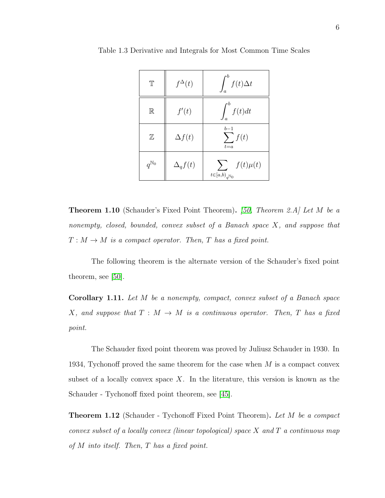| $\mathbb T$        | $f^{\Delta}(t)$ | $\int_a^{\infty} f(t) \Delta t$                          |
|--------------------|-----------------|----------------------------------------------------------|
| $\mathbb R$        | f'(t)           | $\int_{c}^{c} f(t) dt$                                   |
| $\mathbb Z$        | $\Delta f(t)$   | $b-1$<br>$\sum f(t)$<br>$t = a$                          |
| $q^{\mathbb{N}_0}$ | $\Delta_q f(t)$ | $\sum f(t)\mu(t)$<br>$t{\in}[a{,}b{)}_{a^{\mathbb{N}}0}$ |

<span id="page-16-0"></span>Table 1.3 Derivative and Integrals for Most Common Time Scales

**Theorem 1.10** (Schauder's Fixed Point Theorem). [\[50,](#page-129-0) Theorem 2.A] Let M be a nonempty, closed, bounded, convex subset of a Banach space X, and suppose that  $T: M \to M$  is a compact operator. Then, T has a fixed point.

The following theorem is the alternate version of the Schauder's fixed point theorem, see [\[50\]](#page-129-0).

Corollary 1.11. Let M be a nonempty, compact, convex subset of a Banach space X, and suppose that  $T : M \to M$  is a continuous operator. Then, T has a fixed point.

The Schauder fixed point theorem was proved by Juliusz Schauder in 1930. In 1934, Tychonoff proved the same theorem for the case when  $M$  is a compact convex subset of a locally convex space  $X$ . In the literature, this version is known as the Schauder - Tychonoff fixed point theorem, see [\[45\]](#page-129-1).

**Theorem 1.12** (Schauder - Tychonoff Fixed Point Theorem). Let M be a compact convex subset of a locally convex (linear topological) space  $X$  and  $T$  a continuous map of  $M$  into itself. Then,  $T$  has a fixed point.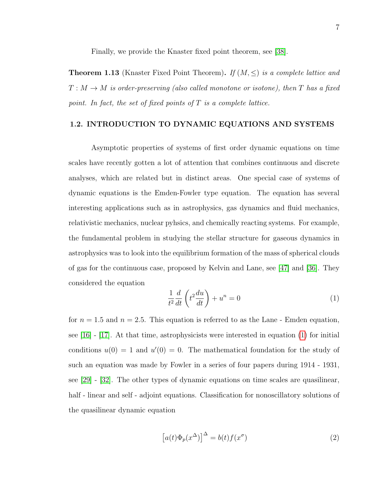Finally, we provide the Knaster fixed point theorem, see [\[38\]](#page-128-0).

<span id="page-17-0"></span>**Theorem 1.13** (Knaster Fixed Point Theorem). If  $(M, \leq)$  is a complete lattice and  $T : M \to M$  is order-preserving (also called monotone or isotone), then T has a fixed point. In fact, the set of fixed points of  $T$  is a complete lattice.

### 1.2. INTRODUCTION TO DYNAMIC EQUATIONS AND SYSTEMS

Asymptotic properties of systems of first order dynamic equations on time scales have recently gotten a lot of attention that combines continuous and discrete analyses, which are related but in distinct areas. One special case of systems of dynamic equations is the Emden-Fowler type equation. The equation has several interesting applications such as in astrophysics, gas dynamics and fluid mechanics, relativistic mechanics, nuclear pyhsics, and chemically reacting systems. For example, the fundamental problem in studying the stellar structure for gaseous dynamics in astrophysics was to look into the equilibrium formation of the mass of spherical clouds of gas for the continuous case, proposed by Kelvin and Lane, see [\[47\]](#page-129-2) and [\[36\]](#page-128-1). They considered the equation

<span id="page-17-1"></span>
$$
\frac{1}{t^2}\frac{d}{dt}\left(t^2\frac{du}{dt}\right) + u^n = 0\tag{1}
$$

for  $n = 1.5$  and  $n = 2.5$ . This equation is referred to as the Lane - Emden equation, see [\[16\]](#page-127-1) - [\[17\]](#page-127-2). At that time, astrophysicists were interested in equation [\(1\)](#page-17-1) for initial conditions  $u(0) = 1$  and  $u'(0) = 0$ . The mathematical foundation for the study of such an equation was made by Fowler in a series of four papers during 1914 - 1931, see [\[29\]](#page-128-2) - [\[32\]](#page-128-3). The other types of dynamic equations on time scales are quasilinear, half - linear and self - adjoint equations. Classification for nonoscillatory solutions of the quasilinear dynamic equation

<span id="page-17-2"></span>
$$
[a(t)\Phi_p(x^{\Delta})]^{\Delta} = b(t)f(x^{\sigma})
$$
\n(2)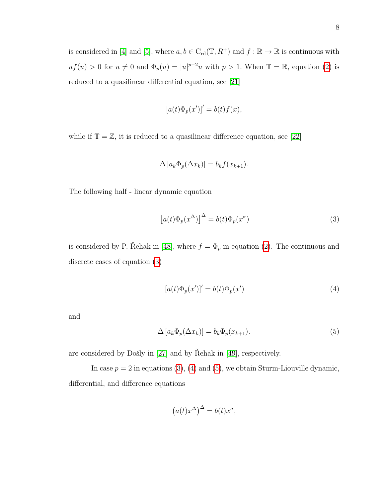reduced to a quasilinear differential equation, see [\[21\]](#page-127-3)

$$
[a(t)\Phi_p(x')]' = b(t)f(x),
$$

while if  $\mathbb{T} = \mathbb{Z}$ , it is reduced to a quasilinear difference equation, see [\[22\]](#page-127-4)

$$
\Delta [a_k \Phi_p(\Delta x_k)] = b_k f(x_{k+1}).
$$

The following half - linear dynamic equation

<span id="page-18-0"></span>
$$
[a(t)\Phi_p(x^{\Delta})]^{\Delta} = b(t)\Phi_p(x^{\sigma})
$$
\n(3)

is considered by P. Řehak in [\[48\]](#page-129-3), where  $f = \Phi_p$  in equation [\(2\)](#page-17-2). The continuous and discrete cases of equation [\(3\)](#page-18-0)

<span id="page-18-1"></span>
$$
[a(t)\Phi_p(x')]' = b(t)\Phi_p(x')
$$
\n(4)

and

<span id="page-18-2"></span>
$$
\Delta \left[ a_k \Phi_p(\Delta x_k) \right] = b_k \Phi_p(x_{k+1}). \tag{5}
$$

are considered by Došly in  $[27]$  and by Rehak in  $[49]$ , respectively.

In case  $p = 2$  in equations [\(3\)](#page-18-0), [\(4\)](#page-18-1) and [\(5\)](#page-18-2), we obtain Sturm-Liouville dynamic, differential, and difference equations

$$
(a(t)x^{\Delta})^{\Delta} = b(t)x^{\sigma},
$$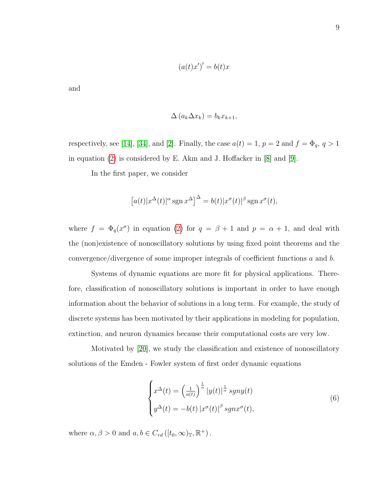$$
(a(t)x')' = b(t)x
$$

and

$$
\Delta(a_k \Delta x_k) = b_k x_{k+1},
$$

respectively, see [\[14\]](#page-127-0), [\[34\]](#page-128-4), and [\[2\]](#page-126-3). Finally, the case  $a(t) = 1$ ,  $p = 2$  and  $f = \Phi_q$ ,  $q > 1$ in equation [\(2\)](#page-17-2) is considered by E. Akın and J. Hoffacker in [\[8\]](#page-126-4) and [\[9\]](#page-126-5).

In the first paper, we consider

$$
[a(t)|x^{\Delta}(t)|^{\alpha}\operatorname{sgn} x^{\Delta}]^{\Delta} = b(t)|x^{\sigma}(t)|^{\beta}\operatorname{sgn} x^{\sigma}(t),
$$

where  $f = \Phi_q(x^{\sigma})$  in equation [\(2\)](#page-17-2) for  $q = \beta + 1$  and  $p = \alpha + 1$ , and deal with the (non)existence of nonoscillatory solutions by using fixed point theorems and the convergence/divergence of some improper integrals of coefficient functions a and b.

Systems of dynamic equations are more fit for physical applications. Therefore, classification of nonoscillatory solutions is important in order to have enough information about the behavior of solutions in a long term. For example, the study of discrete systems has been motivated by their applications in modeling for population, extinction, and neuron dynamics because their computational costs are very low.

Motivated by [\[20\]](#page-127-6), we study the classification and existence of nonoscillatory solutions of the Emden - Fowler system of first order dynamic equations

$$
\begin{cases}\nx^{\Delta}(t) = \left(\frac{1}{a(t)}\right)^{\frac{1}{\alpha}} |y(t)|^{\frac{1}{\alpha}} sgny(t) \\
y^{\Delta}(t) = -b(t) |x^{\sigma}(t)|^{\beta} sgnx^{\sigma}(t),\n\end{cases} \tag{6}
$$

where  $\alpha, \beta > 0$  and  $a, b \in C_{rd}([t_0, \infty)_\mathbb{T}, \mathbb{R}^+)$ .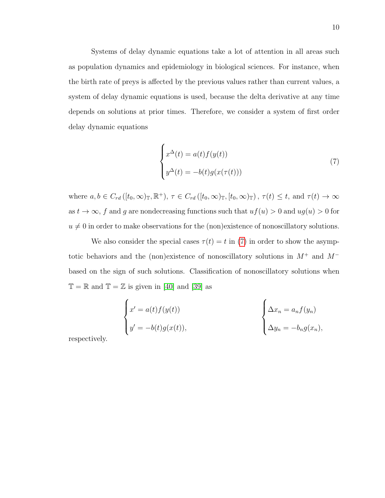Systems of delay dynamic equations take a lot of attention in all areas such as population dynamics and epidemiology in biological sciences. For instance, when the birth rate of preys is affected by the previous values rather than current values, a system of delay dynamic equations is used, because the delta derivative at any time depends on solutions at prior times. Therefore, we consider a system of first order delay dynamic equations

<span id="page-20-0"></span>
$$
\begin{cases}\nx^{\Delta}(t) = a(t)f(y(t)) \\
y^{\Delta}(t) = -b(t)g(x(\tau(t)))\n\end{cases}
$$
\n(7)

where  $a, b \in C_{rd}([t_0,\infty)_\mathbb{T}, \mathbb{R}^+), \tau \in C_{rd}([t_0,\infty)_\mathbb{T}, [t_0,\infty)_\mathbb{T})$ ,  $\tau(t) \leq t$ , and  $\tau(t) \to \infty$ as  $t \to \infty$ , f and g are nondecreasing functions such that  $uf(u) > 0$  and  $ug(u) > 0$  for  $u \neq 0$  in order to make observations for the (non)existence of nonoscillatory solutions.

We also consider the special cases  $\tau(t) = t$  in [\(7\)](#page-20-0) in order to show the asymptotic behaviors and the (non)existence of nonoscillatory solutions in  $M^+$  and  $M^$ based on the sign of such solutions. Classification of nonoscillatory solutions when  $\mathbb{T} = \mathbb{R}$  and  $\mathbb{T} = \mathbb{Z}$  is given in [\[40\]](#page-128-5) and [\[39\]](#page-128-6) as

$$
\begin{cases}\nx' = a(t)f(y(t)) \\
y' = -b(t)g(x(t)),\n\end{cases}\n\qquad\n\begin{cases}\n\Delta x_n = a_n f(y_n) \\
\Delta y_n = -b_n g(x_n),\n\end{cases}
$$

respectively.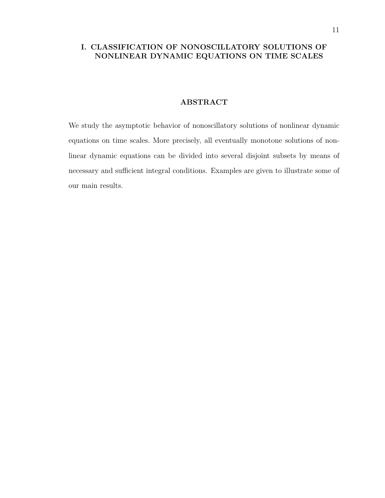### <span id="page-21-0"></span>I. CLASSIFICATION OF NONOSCILLATORY SOLUTIONS OF NONLINEAR DYNAMIC EQUATIONS ON TIME SCALES

### ABSTRACT

<span id="page-21-1"></span>We study the asymptotic behavior of nonoscillatory solutions of nonlinear dynamic equations on time scales. More precisely, all eventually monotone solutions of nonlinear dynamic equations can be divided into several disjoint subsets by means of necessary and sufficient integral conditions. Examples are given to illustrate some of our main results.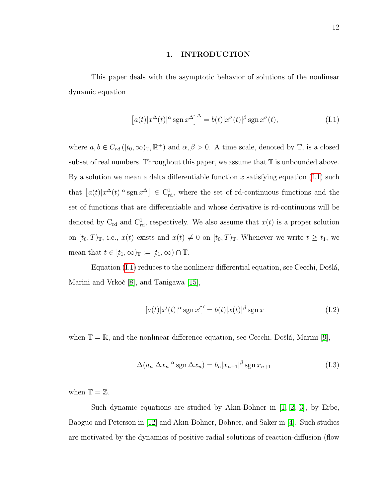#### 1. INTRODUCTION

<span id="page-22-0"></span>This paper deals with the asymptotic behavior of solutions of the nonlinear dynamic equation

<span id="page-22-1"></span>
$$
[a(t)|x^{\Delta}(t)|^{\alpha}\operatorname{sgn} x^{\Delta}]^{\Delta} = b(t)|x^{\sigma}(t)|^{\beta}\operatorname{sgn} x^{\sigma}(t), \qquad (I.1)
$$

where  $a, b \in C_{rd}([t_0, \infty)_\mathbb{T}, \mathbb{R}^+)$  and  $\alpha, \beta > 0$ . A time scale, denoted by  $\mathbb{T}$ , is a closed subset of real numbers. Throughout this paper, we assume that  $\mathbb T$  is unbounded above. By a solution we mean a delta differentiable function x satisfying equation  $(I.1)$  such that  $[a(t)|x^{\Delta}(t)|^{\alpha}$  sgn  $x^{\Delta}] \in C^1_{\text{rd}}$ , where the set of rd-continuous functions and the set of functions that are differentiable and whose derivative is rd-continuous will be denoted by  $C_{rd}$  and  $C_{rd}^1$ , respectively. We also assume that  $x(t)$  is a proper solution on  $[t_0, T)$ <sub>T</sub>, i.e.,  $x(t)$  exists and  $x(t) \neq 0$  on  $[t_0, T)$ <sub>T</sub>. Whenever we write  $t \geq t_1$ , we mean that  $t \in [t_1, \infty)$ <sub>T</sub> :=  $[t_1, \infty) \cap \mathbb{T}$ .

Equation  $(I.1)$  reduces to the nonlinear differential equation, see Cecchi, Došlá, Marini and Vrkoč [\[8\]](#page-46-1), and Tanigawa [\[15\]](#page-47-0),

$$
[a(t)|x'(t)|^{\alpha}\operatorname{sgn} x']' = b(t)|x(t)|^{\beta}\operatorname{sgn} x \tag{I.2}
$$

when  $\mathbb{T} = \mathbb{R}$ , and the nonlinear difference equation, see Cecchi, Došlá, Marini [\[9\]](#page-46-2),

$$
\Delta(a_n|\Delta x_n|^\alpha \operatorname{sgn} \Delta x_n) = b_n |x_{n+1}|^\beta \operatorname{sgn} x_{n+1}
$$
\n(I.3)

when  $\mathbb{T} = \mathbb{Z}$ .

Such dynamic equations are studied by Akın-Bohner in [\[1,](#page-46-3) [2,](#page-46-4) [3\]](#page-46-5), by Erbe, Baoguo and Peterson in [\[12\]](#page-46-6) and Akın-Bohner, Bohner, and Saker in [\[4\]](#page-46-7). Such studies are motivated by the dynamics of positive radial solutions of reaction-diffusion (flow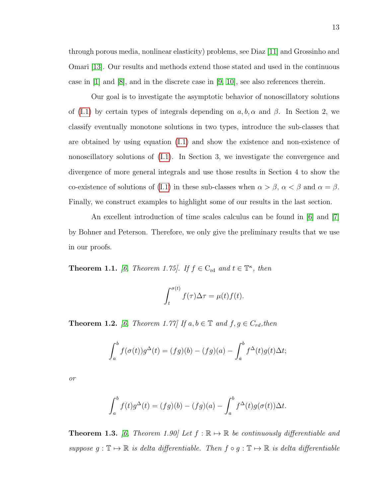through porous media, nonlinear elasticity) problems, see Diaz [\[11\]](#page-46-8) and Grossinho and Omari [\[13\]](#page-46-9). Our results and methods extend those stated and used in the continuous case in  $[1]$  and  $[8]$ , and in the discrete case in  $[9, 10]$  $[9, 10]$ , see also references therein.

Our goal is to investigate the asymptotic behavior of nonoscillatory solutions of [\(I.1\)](#page-22-1) by certain types of integrals depending on  $a, b, \alpha$  and  $\beta$ . In Section 2, we classify eventually monotone solutions in two types, introduce the sub-classes that are obtained by using equation [\(I.1\)](#page-22-1) and show the existence and non-existence of nonoscillatory solutions of [\(I.1\)](#page-22-1). In Section 3, we investigate the convergence and divergence of more general integrals and use those results in Section 4 to show the co-existence of solutions of [\(I.1\)](#page-22-1) in these sub-classes when  $\alpha > \beta$ ,  $\alpha < \beta$  and  $\alpha = \beta$ . Finally, we construct examples to highlight some of our results in the last section.

An excellent introduction of time scales calculus can be found in [\[6\]](#page-46-11) and [\[7\]](#page-46-12) by Bohner and Peterson. Therefore, we only give the preliminary results that we use in our proofs.

**Theorem 1.1.** [\[6,](#page-46-11) Theorem 1.75]. If  $f \in C_{rd}$  and  $t \in \mathbb{T}^{\kappa}$ , then

$$
\int_t^{\sigma(t)} f(\tau) \Delta \tau = \mu(t) f(t).
$$

<span id="page-23-0"></span>**Theorem 1.2.** [\[6,](#page-46-11) Theorem 1.77] If  $a, b \in \mathbb{T}$  and  $f, g \in C_{rd}$ , then

$$
\int_a^b f(\sigma(t))g^{\Delta}(t) = (fg)(b) - (fg)(a) - \int_a^b f^{\Delta}(t)g(t)\Delta t;
$$

or

$$
\int_a^b f(t)g^{\Delta}(t) = (fg)(b) - (fg)(a) - \int_a^b f^{\Delta}(t)g(\sigma(t))\Delta t.
$$

**Theorem 1.3.** [\[6,](#page-46-11) Theorem 1.90] Let  $f : \mathbb{R} \to \mathbb{R}$  be continuously differentiable and suppose  $g: \mathbb{T} \mapsto \mathbb{R}$  is delta differentiable. Then  $f \circ g: \mathbb{T} \mapsto \mathbb{R}$  is delta differentiable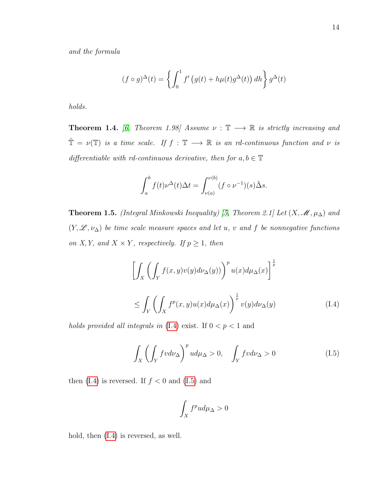$$
(f \circ g)^{\Delta}(t) = \left\{ \int_0^1 f'(g(t) + h\mu(t)g^{\Delta}(t)) \, dh \right\} g^{\Delta}(t)
$$

holds.

**Theorem 1.4.** [\[6,](#page-46-11) Theorem 1.98] Assume  $\nu : \mathbb{T} \longrightarrow \mathbb{R}$  is strictly increasing and  $\tilde{\mathbb{T}} = \nu(\mathbb{T})$  is a time scale. If  $f : \mathbb{T} \longrightarrow \mathbb{R}$  is an rd-continuous function and  $\nu$  is differentiable with rd-continuous derivative, then for  $a, b \in \mathbb{T}$ 

$$
\int_a^b f(t)\nu^{\Delta}(t)\Delta t = \int_{\nu(a)}^{\nu(b)} (f \circ \nu^{-1})(s)\tilde{\Delta}s.
$$

<span id="page-24-2"></span>**Theorem 1.5.** (Integral Minkowski Inequality) [\[5,](#page-46-13) Theorem 2.1] Let  $(X, \mathcal{M}, \mu_{\Delta})$  and  $(Y, \mathscr{L}, \nu_{\Delta})$  be time scale measure spaces and let u, v and f be nonnegative functions on X, Y, and  $X \times Y$ , respectively. If  $p \geq 1$ , then

<span id="page-24-0"></span>
$$
\left[\int_{X} \left(\int_{Y} f(x, y)v(y)d\nu_{\Delta}(y)\right)^{p} u(x)d\mu_{\Delta}(x)\right]^{\frac{1}{p}}
$$
\n
$$
\leq \int_{Y} \left(\int_{X} f^{p}(x, y)u(x)d\mu_{\Delta}(x)\right)^{\frac{1}{p}} v(y)d\nu_{\Delta}(y) \tag{I.4}
$$

holds provided all integrals in [\(I.4\)](#page-24-0) exist. If  $0 < p < 1$  and

<span id="page-24-1"></span>
$$
\int_{X} \left( \int_{Y} f v d\nu_{\Delta} \right)^{p} u d\mu_{\Delta} > 0, \quad \int_{Y} f v d\nu_{\Delta} > 0 \tag{I.5}
$$

then  $(1.4)$  is reversed. If  $f < 0$  and  $(1.5)$  and

$$
\int_X f^p u d\mu_\Delta > 0
$$

hold, then  $(I.4)$  is reversed, as well.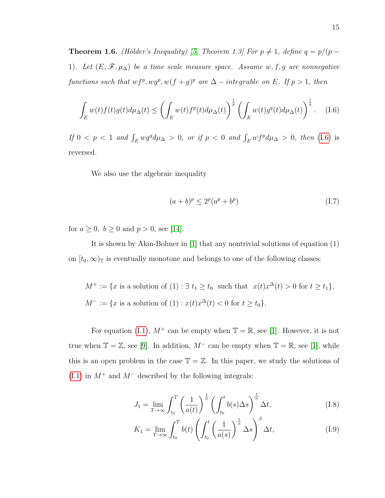**Theorem 1.6.** (Hölder's Inequality) [\[5,](#page-46-13) Theorem 1.3] For  $p \neq 1$ , define  $q = p/(p - 1)$ 1). Let  $(E, \mathscr{F}, \mu_{\Delta})$  be a time scale measure space. Assume w, f, g are nonnegative functions such that  $w f^p$ ,  $w g^p$ ,  $w(f + g)^p$  are  $\Delta$  – integrable on E. If  $p > 1$ , then

<span id="page-25-0"></span>
$$
\int_{E} w(t)f(t)g(t)d\mu_{\Delta}(t) \leq \left(\int_{E} w(t)f^{p}(t)d\mu_{\Delta}(t)\right)^{\frac{1}{p}} \left(\int_{E} w(t)g^{q}(t)d\mu_{\Delta}(t)\right)^{\frac{1}{q}}.
$$
 (I.6)

If  $0 < p < 1$  and  $\int_E wg^q d\mu_{\Delta} > 0$ , or if  $p < 0$  and  $\int_E wf^p d\mu_{\Delta} > 0$ , then [\(I.6\)](#page-25-0) is reversed.

We also use the algebraic inequality

$$
(a+b)^p \le 2^p(a^p + b^p) \tag{I.7}
$$

for  $a \ge 0$ ,  $b \ge 0$  and  $p > 0$ , see [\[14\]](#page-46-14).

It is shown by Akın-Bohner in [\[1\]](#page-46-3) that any nontrivial solutions of equation (1) on  $[t_0, \infty)$ <sub>T</sub> is eventually monotone and belongs to one of the following classes:

$$
M^+ := \{x \text{ is a solution of } (1) : \exists t_1 \ge t_0 \text{ such that } x(t)x^{\Delta}(t) > 0 \text{ for } t \ge t_1\},\
$$
  

$$
M^- := \{x \text{ is a solution of } (1) : x(t)x^{\Delta}(t) < 0 \text{ for } t \ge t_0\}.
$$

For equation [\(I.1\)](#page-22-1),  $M^+$  can be empty when  $\mathbb{T} = \mathbb{R}$ , see [\[1\]](#page-46-3). However, it is not true when  $\mathbb{T} = \mathbb{Z}$ , see [\[9\]](#page-46-2). In addition,  $M^-$  can be empty when  $\mathbb{T} = \mathbb{R}$ , see [\[1\]](#page-46-3), while this is an open problem in the case  $\mathbb{T} = \mathbb{Z}$ . In this paper, we study the solutions of [\(I.1\)](#page-22-1) in  $M^+$  and  $M^-$  described by the following integrals:

$$
J_1 = \lim_{T \to \infty} \int_{t_0}^T \left(\frac{1}{a(t)}\right)^{\frac{1}{\alpha}} \left(\int_{t_0}^t b(s) \Delta s\right)^{\frac{1}{\alpha}} \Delta t,\tag{I.8}
$$

$$
K_1 = \lim_{T \to \infty} \int_{t_0}^T b(t) \left( \int_{t_0}^t \left( \frac{1}{a(s)} \right)^{\frac{1}{\alpha}} \Delta s \right)^{\beta} \Delta t, \tag{I.9}
$$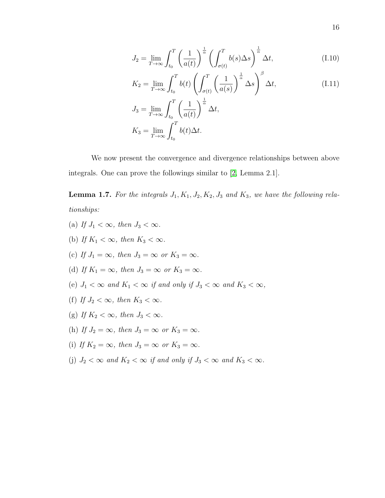$$
J_2 = \lim_{T \to \infty} \int_{t_0}^T \left(\frac{1}{a(t)}\right)^{\frac{1}{\alpha}} \left(\int_{\sigma(t)}^T b(s) \Delta s\right)^{\frac{1}{\alpha}} \Delta t, \tag{I.10}
$$

$$
K_2 = \lim_{T \to \infty} \int_{t_0}^T b(t) \left( \int_{\sigma(t)}^T \left( \frac{1}{a(s)} \right)^{\frac{1}{\alpha}} \Delta s \right)^{\beta} \Delta t,
$$
\n
$$
J_3 = \lim_{T \to \infty} \int_{t_0}^T \left( \frac{1}{a(t)} \right)^{\frac{1}{\alpha}} \Delta t,
$$
\n(I.11)

$$
K_3 = \lim_{T \to \infty} \int_{t_0}^T b(t) \Delta t.
$$

We now present the convergence and divergence relationships between above integrals. One can prove the followings similar to [\[2,](#page-46-4) Lemma 2.1].

<span id="page-26-0"></span>**Lemma 1.7.** For the integrals  $J_1, K_1, J_2, K_2, J_3$  and  $K_3$ , we have the following relationships:

(a) If  $J_1 < \infty$ , then  $J_3 < \infty$ . (b) If  $K_1 < \infty$ , then  $K_3 < \infty$ . (c) If  $J_1 = \infty$ , then  $J_3 = \infty$  or  $K_3 = \infty$ . (d) If  $K_1 = \infty$ , then  $J_3 = \infty$  or  $K_3 = \infty$ . (e)  $J_1 < \infty$  and  $K_1 < \infty$  if and only if  $J_3 < \infty$  and  $K_3 < \infty$ , (f) If  $J_2 < \infty$ , then  $K_3 < \infty$ . (g) If  $K_2 < \infty$ , then  $J_3 < \infty$ . (h) If  $J_2 = \infty$ , then  $J_3 = \infty$  or  $K_3 = \infty$ . (i) If  $K_2 = \infty$ , then  $J_3 = \infty$  or  $K_3 = \infty$ . (j)  $J_2 < \infty$  and  $K_2 < \infty$  if and only if  $J_3 < \infty$  and  $K_3 < \infty$ .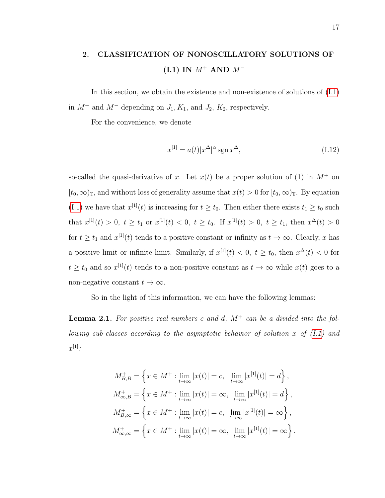# <span id="page-27-0"></span>2. CLASSIFICATION OF NONOSCILLATORY SOLUTIONS OF (I.1) IN  $M^+$  AND  $M^-$

In this section, we obtain the existence and non-existence of solutions of [\(I.1\)](#page-22-1) in  $M^+$  and  $M^-$  depending on  $J_1, K_1$ , and  $J_2, K_2$ , respectively.

For the convenience, we denote

$$
x^{[1]} = a(t)|x^{\Delta}|^{\alpha} \operatorname{sgn} x^{\Delta}, \tag{I.12}
$$

so-called the quasi-derivative of x. Let  $x(t)$  be a proper solution of (1) in  $M^+$  on  $[t_0,\infty)_\mathbb{T}$ , and without loss of generality assume that  $x(t) > 0$  for  $[t_0,\infty)_\mathbb{T}$ . By equation [\(I.1\)](#page-22-1) we have that  $x^{[1]}(t)$  is increasing for  $t \ge t_0$ . Then either there exists  $t_1 \ge t_0$  such that  $x^{[1]}(t) > 0$ ,  $t \ge t_1$  or  $x^{[1]}(t) < 0$ ,  $t \ge t_0$ . If  $x^{[1]}(t) > 0$ ,  $t \ge t_1$ , then  $x^{\Delta}(t) > 0$ for  $t \geq t_1$  and  $x^{[1]}(t)$  tends to a positive constant or infinity as  $t \to \infty$ . Clearly, x has a positive limit or infinite limit. Similarly, if  $x^{[1]}(t) < 0, t \ge t_0$ , then  $x^{\Delta}(t) < 0$  for  $t \geq t_0$  and so  $x^{[1]}(t)$  tends to a non-positive constant as  $t \to \infty$  while  $x(t)$  goes to a non-negative constant  $t \to \infty$ .

So in the light of this information, we can have the following lemmas:

**Lemma 2.1.** For positive real numbers c and d,  $M^+$  can be a divided into the following sub-classes according to the asymptotic behavior of solution x of  $(I.1)$  and  $x^{[1]}$ :

$$
M_{B,B}^{+} = \left\{ x \in M^{+} : \lim_{t \to \infty} |x(t)| = c, \lim_{t \to \infty} |x^{[1]}(t)| = d \right\},
$$
  
\n
$$
M_{\infty,B}^{+} = \left\{ x \in M^{+} : \lim_{t \to \infty} |x(t)| = \infty, \lim_{t \to \infty} |x^{[1]}(t)| = d \right\},
$$
  
\n
$$
M_{B,\infty}^{+} = \left\{ x \in M^{+} : \lim_{t \to \infty} |x(t)| = c, \lim_{t \to \infty} |x^{[1]}(t)| = \infty \right\},
$$
  
\n
$$
M_{\infty,\infty}^{+} = \left\{ x \in M^{+} : \lim_{t \to \infty} |x(t)| = \infty, \lim_{t \to \infty} |x^{[1]}(t)| = \infty \right\}.
$$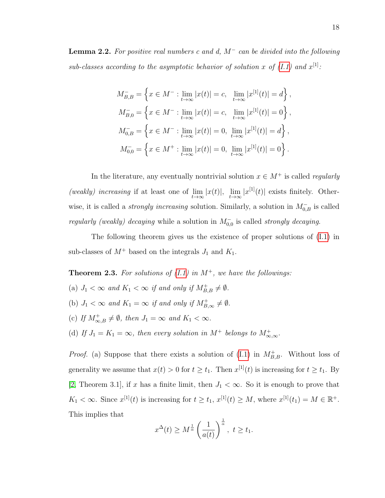**Lemma 2.2.** For positive real numbers c and d,  $M^-$  can be divided into the following sub-classes according to the asymptotic behavior of solution x of  $(I.1)$  and  $x^{[1]}$ .

$$
M_{B,B}^- = \left\{ x \in M^- : \lim_{t \to \infty} |x(t)| = c, \lim_{t \to \infty} |x^{[1]}(t)| = d \right\},\,
$$
  
\n
$$
M_{B,0}^- = \left\{ x \in M^- : \lim_{t \to \infty} |x(t)| = c, \lim_{t \to \infty} |x^{[1]}(t)| = 0 \right\},\,
$$
  
\n
$$
M_{0,B}^- = \left\{ x \in M^- : \lim_{t \to \infty} |x(t)| = 0, \lim_{t \to \infty} |x^{[1]}(t)| = d \right\},\,
$$
  
\n
$$
M_{0,0}^- = \left\{ x \in M^+ : \lim_{t \to \infty} |x(t)| = 0, \lim_{t \to \infty} |x^{[1]}(t)| = 0 \right\}.
$$

In the literature, any eventually nontrivial solution  $x \in M^+$  is called *regularly* (weakly) increasing if at least one of  $\lim_{t\to\infty} |x(t)|$ ,  $\lim_{t\to\infty} |x^{[1]}(t)|$  exists finitely. Otherwise, it is called a *strongly increasing* solution. Similarly, a solution in  $M_{0,B}^-$  is called regularly (weakly) decaying while a solution in  $M_{0,0}^-$  is called *strongly decaying*.

The following theorem gives us the existence of proper solutions of [\(I.1\)](#page-22-1) in sub-classes of  $M^+$  based on the integrals  $J_1$  and  $K_1$ .

<span id="page-28-0"></span>**Theorem 2.3.** For solutions of  $(I.1)$  in  $M^+$ , we have the followings:

- (a)  $J_1 < \infty$  and  $K_1 < \infty$  if and only if  $M_{B,B}^+ \neq \emptyset$ .
- (b)  $J_1 < \infty$  and  $K_1 = \infty$  if and only if  $M_{B,\infty}^+ \neq \emptyset$ .
- (c) If  $M_{\infty,B}^+\neq\emptyset$ , then  $J_1=\infty$  and  $K_1<\infty$ .
- (d) If  $J_1 = K_1 = \infty$ , then every solution in  $M^+$  belongs to  $M^+_{\infty,\infty}$ .

*Proof.* (a) Suppose that there exists a solution of [\(I.1\)](#page-22-1) in  $M_{B,B}^+$ . Without loss of generality we assume that  $x(t) > 0$  for  $t \ge t_1$ . Then  $x^{[1]}(t)$  is increasing for  $t \ge t_1$ . By [\[2,](#page-46-4) Theorem 3.1], if x has a finite limit, then  $J_1 < \infty$ . So it is enough to prove that  $K_1 < \infty$ . Since  $x^{[1]}(t)$  is increasing for  $t \geq t_1$ ,  $x^{[1]}(t) \geq M$ , where  $x^{[1]}(t_1) = M \in \mathbb{R}^+$ . This implies that

$$
x^{\Delta}(t) \ge M^{\frac{1}{\alpha}}\left(\frac{1}{a(t)}\right)^{\frac{1}{\alpha}}, \ t \ge t_1.
$$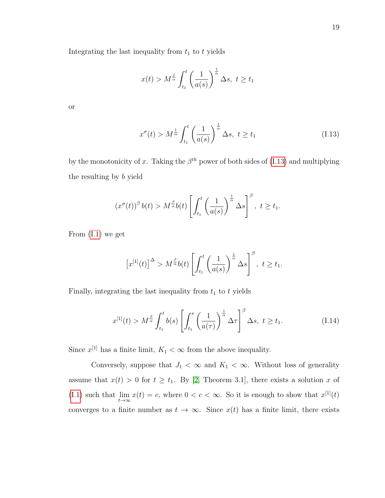Integrating the last inequality from  $t_1$  to  $t$  yields

$$
x(t) > M^{\frac{1}{\alpha}} \int_{t_1}^t \left(\frac{1}{a(s)}\right)^{\frac{1}{\alpha}} \Delta s, \ t \ge t_1
$$

or

<span id="page-29-0"></span>
$$
x^{\sigma}(t) > M^{\frac{1}{\alpha}} \int_{t_1}^{t} \left(\frac{1}{a(s)}\right)^{\frac{1}{\alpha}} \Delta s, \ t \ge t_1
$$
 (I.13)

by the monotonicity of x. Taking the  $\beta^{th}$  power of both sides of [\(I.13\)](#page-29-0) and multiplying the resulting by b yield

$$
\left(x^{\sigma}(t)\right)^{\beta}b(t) > M^{\frac{\beta}{\alpha}}b(t)\left[\int_{t_1}^t \left(\frac{1}{a(s)}\right)^{\frac{1}{\alpha}} \Delta s\right]^{\beta}, \ t \geq t_1.
$$

From [\(I.1\)](#page-22-1) we get

$$
\left[x^{[1]}(t)\right]^{\Delta} > M^{\frac{\beta}{\alpha}}b(t) \left[\int_{t_1}^t \left(\frac{1}{a(s)}\right)^{\frac{1}{\alpha}} \Delta s\right]^{\beta}, \ t \geq t_1.
$$

Finally, integrating the last inequality from  $t_1$  to  $t$  yields

<span id="page-29-1"></span>
$$
x^{[1]}(t) > M^{\frac{\beta}{\alpha}} \int_{t_1}^t b(s) \left[ \int_{t_1}^s \left( \frac{1}{a(\tau)} \right)^{\frac{1}{\alpha}} \Delta \tau \right]^\beta \Delta s, \ t \ge t_1. \tag{I.14}
$$

Since  $x^{[1]}$  has a finite limit,  $K_1 < \infty$  from the above inequality.

Conversely, suppose that  $J_1 < \infty$  and  $K_1 < \infty$ . Without loss of generality assume that  $x(t) > 0$  for  $t \geq t_1$ . By [\[2,](#page-46-4) Theorem 3.1], there exists a solution x of [\(I.1\)](#page-22-1) such that  $\lim_{t\to\infty} x(t) = c$ , where  $0 < c < \infty$ . So it is enough to show that  $x^{[1]}(t)$ converges to a finite number as  $t \to \infty$ . Since  $x(t)$  has a finite limit, there exists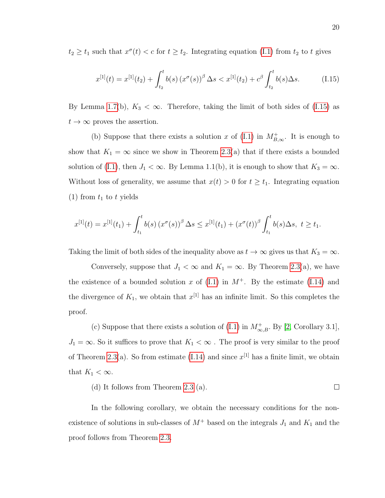$t_2 \geq t_1$  such that  $x^{\sigma}(t) < c$  for  $t \geq t_2$ . Integrating equation [\(I.1\)](#page-22-1) from  $t_2$  to t gives

<span id="page-30-0"></span>
$$
x^{[1]}(t) = x^{[1]}(t_2) + \int_{t_2}^t b(s) (x^{\sigma}(s))^{\beta} \Delta s < x^{[1]}(t_2) + c^{\beta} \int_{t_2}^t b(s) \Delta s. \tag{I.15}
$$

By Lemma [1.7\(](#page-26-0)b),  $K_3 < \infty$ . Therefore, taking the limit of both sides of [\(I.15\)](#page-30-0) as  $t \to \infty$  proves the assertion.

(b) Suppose that there exists a solution x of [\(I.1\)](#page-22-1) in  $M_{B,\infty}^+$ . It is enough to show that  $K_1 = \infty$  since we show in Theorem [2.3\(](#page-28-0)a) that if there exists a bounded solution of [\(I.1\)](#page-22-1), then  $J_1 < \infty$ . By Lemma 1.1(b), it is enough to show that  $K_3 = \infty$ . Without loss of generality, we assume that  $x(t) > 0$  for  $t \ge t_1$ . Integrating equation (1) from  $t_1$  to t yields

$$
x^{[1]}(t) = x^{[1]}(t_1) + \int_{t_1}^t b(s) (x^{\sigma}(s))^{\beta} \Delta s \leq x^{[1]}(t_1) + (x^{\sigma}(t))^{\beta} \int_{t_1}^t b(s) \Delta s, \ t \geq t_1.
$$

Taking the limit of both sides of the inequality above as  $t \to \infty$  gives us that  $K_3 = \infty$ .

Conversely, suppose that  $J_1 < \infty$  and  $K_1 = \infty$ . By Theorem [2.3\(](#page-28-0)a), we have the existence of a bounded solution x of  $(1.1)$  in  $M^+$ . By the estimate  $(1.14)$  and the divergence of  $K_1$ , we obtain that  $x^{[1]}$  has an infinite limit. So this completes the proof.

(c) Suppose that there exists a solution of [\(I.1\)](#page-22-1) in  $M^+_{\infty,B}$ . By [\[2,](#page-46-4) Corollary 3.1],  $J_1 = \infty$ . So it suffices to prove that  $K_1 < \infty$ . The proof is very similar to the proof of Theorem [2.3\(](#page-28-0)a). So from estimate [\(I.14\)](#page-29-1) and since  $x^{[1]}$  has a finite limit, we obtain that  $K_1 < \infty$ .

(d) It follows from Theorem [2.3](#page-28-0) (a).  $\Box$ 

In the following corollary, we obtain the necessary conditions for the nonexistence of solutions in sub-classes of  $M^+$  based on the integrals  $J_1$  and  $K_1$  and the proof follows from Theorem [2.3.](#page-28-0)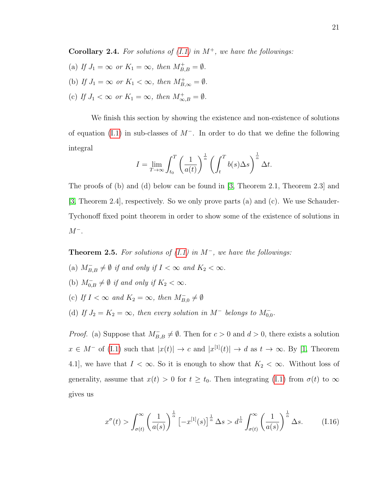**Corollary 2.4.** For solutions of  $(I.1)$  in  $M^+$ , we have the followings:

- (a) If  $J_1 = \infty$  or  $K_1 = \infty$ , then  $M_{B,B}^+ = \emptyset$ .
- (b) If  $J_1 = \infty$  or  $K_1 < \infty$ , then  $M_{B,\infty}^+ = \emptyset$ .
- (c) If  $J_1 < \infty$  or  $K_1 = \infty$ , then  $M_{\infty,B}^+ = \emptyset$ .

We finish this section by showing the existence and non-existence of solutions of equation [\(I.1\)](#page-22-1) in sub-classes of  $M^-$ . In order to do that we define the following integral

$$
I = \lim_{T \to \infty} \int_{t_0}^{T} \left(\frac{1}{a(t)}\right)^{\frac{1}{\alpha}} \left(\int_{t}^{T} b(s) \Delta s\right)^{\frac{1}{\alpha}} \Delta t.
$$

The proofs of (b) and (d) below can be found in [\[3,](#page-46-5) Theorem 2.1, Theorem 2.3] and [\[3,](#page-46-5) Theorem 2.4], respectively. So we only prove parts (a) and (c). We use Schauder-Tychonoff fixed point theorem in order to show some of the existence of solutions in  $M^-$ .

### <span id="page-31-1"></span>**Theorem 2.5.** For solutions of  $(I.1)$  in  $M^-$ , we have the followings:

- (a)  $M_{B,B}^- \neq \emptyset$  if and only if  $I < \infty$  and  $K_2 < \infty$ .
- (b)  $M_{0,B}^- \neq \emptyset$  if and only if  $K_2 < \infty$ .
- (c) If  $I < \infty$  and  $K_2 = \infty$ , then  $M_{B,0}^- \neq \emptyset$
- (d) If  $J_2 = K_2 = \infty$ , then every solution in M<sup>-</sup> belongs to  $M_{0,0}^-$ .

*Proof.* (a) Suppose that  $M_{B,B}^- \neq \emptyset$ . Then for  $c > 0$  and  $d > 0$ , there exists a solution  $x \in M^-$  of [\(I.1\)](#page-22-1) such that  $|x(t)| \to c$  and  $|x^{[1]}(t)| \to d$  as  $t \to \infty$ . By [\[1,](#page-46-3) Theorem 4.1], we have that  $I < \infty$ . So it is enough to show that  $K_2 < \infty$ . Without loss of generality, assume that  $x(t) > 0$  for  $t \geq t_0$ . Then integrating [\(I.1\)](#page-22-1) from  $\sigma(t)$  to  $\infty$ gives us

<span id="page-31-0"></span>
$$
x^{\sigma}(t) > \int_{\sigma(t)}^{\infty} \left(\frac{1}{a(s)}\right)^{\frac{1}{\alpha}} \left[-x^{[1]}(s)\right]^{\frac{1}{\alpha}} \Delta s > d^{\frac{1}{\alpha}} \int_{\sigma(t)}^{\infty} \left(\frac{1}{a(s)}\right)^{\frac{1}{\alpha}} \Delta s. \tag{I.16}
$$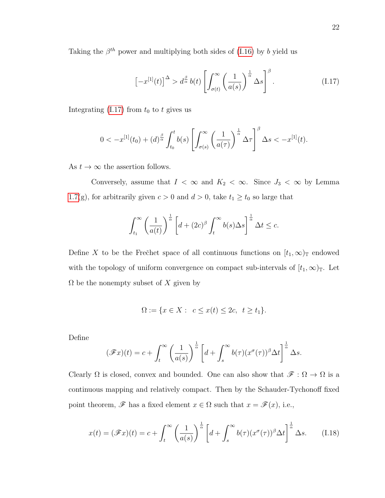Taking the  $\beta^{th}$  power and multiplying both sides of [\(I.16\)](#page-31-0) by b yield us

<span id="page-32-0"></span>
$$
\left[-x^{[1]}(t)\right]^{\Delta} > d^{\frac{\beta}{\alpha}}b(t) \left[\int_{\sigma(t)}^{\infty} \left(\frac{1}{a(s)}\right)^{\frac{1}{\alpha}} \Delta s\right]^{\beta}.\tag{I.17}
$$

Integrating  $(1.17)$  from  $t_0$  to t gives us

$$
0 < -x^{[1]}(t_0) + (d)^{\frac{\beta}{\alpha}} \int_{t_0}^t b(s) \left[ \int_{\sigma(s)}^{\infty} \left( \frac{1}{a(\tau)} \right)^{\frac{1}{\alpha}} \Delta \tau \right]^{\beta} \Delta s < -x^{[1]}(t).
$$

As  $t \to \infty$  the assertion follows.

Conversely, assume that  $I < \infty$  and  $K_2 < \infty$ . Since  $J_3 < \infty$  by Lemma [1.7\(](#page-26-0)g), for arbitrarily given  $c > 0$  and  $d > 0$ , take  $t_1 \ge t_0$  so large that

$$
\int_{t_1}^{\infty} \left(\frac{1}{a(t)}\right)^{\frac{1}{\alpha}} \left[d + (2c)^{\beta} \int_t^{\infty} b(s) \Delta s\right]^{\frac{1}{\alpha}} \Delta t \leq c.
$$

Define X to be the Frečhet space of all continuous functions on  $[t_1,\infty)$ <sub>T</sub> endowed with the topology of uniform convergence on compact sub-intervals of  $[t_1,\infty)_\mathbb{T}$ . Let  $\Omega$  be the nonempty subset of X given by

$$
\Omega := \{ x \in X : \ c \le x(t) \le 2c, \ t \ge t_1 \}.
$$

Define

$$
(\mathscr{F}x)(t) = c + \int_t^\infty \left(\frac{1}{a(s)}\right)^{\frac{1}{\alpha}} \left[d + \int_s^\infty b(\tau)(x^\sigma(\tau))^{\beta} \Delta t\right]^{\frac{1}{\alpha}} \Delta s.
$$

Clearly  $\Omega$  is closed, convex and bounded. One can also show that  $\mathscr{F}: \Omega \to \Omega$  is a continuous mapping and relatively compact. Then by the Schauder-Tychonoff fixed point theorem,  $\mathscr F$  has a fixed element  $x \in \Omega$  such that  $x = \mathscr F(x)$ , i.e.,

<span id="page-32-1"></span>
$$
x(t) = (\mathscr{F}x)(t) = c + \int_t^{\infty} \left(\frac{1}{a(s)}\right)^{\frac{1}{\alpha}} \left[d + \int_s^{\infty} b(\tau)(x^{\sigma}(\tau))^{\beta} \Delta t\right]^{\frac{1}{\alpha}} \Delta s.
$$
 (I.18)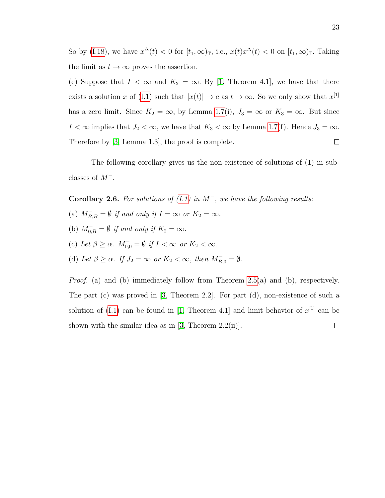So by [\(I.18\)](#page-32-1), we have  $x^{\Delta}(t) < 0$  for  $[t_1, \infty)_{\mathbb{T}}$ , i.e.,  $x(t)x^{\Delta}(t) < 0$  on  $[t_1, \infty)_{\mathbb{T}}$ . Taking the limit as  $t \to \infty$  proves the assertion.

(c) Suppose that  $I < \infty$  and  $K_2 = \infty$ . By [\[1,](#page-46-3) Theorem 4.1], we have that there exists a solution x of [\(I.1\)](#page-22-1) such that  $|x(t)| \to c$  as  $t \to \infty$ . So we only show that  $x^{[1]}$ has a zero limit. Since  $K_2 = \infty$ , by Lemma [1.7\(](#page-26-0)i),  $J_3 = \infty$  or  $K_3 = \infty$ . But since  $I < \infty$  implies that  $J_2 < \infty$ , we have that  $K_3 < \infty$  by Lemma [1.7\(](#page-26-0)f). Hence  $J_3 = \infty$ . Therefore by [\[3,](#page-46-5) Lemma 1.3], the proof is complete.  $\Box$ 

The following corollary gives us the non-existence of solutions of (1) in subclasses of  $M^-$ .

Corollary 2.6. For solutions of  $(I.1)$  in  $M^-$ , we have the following results:

- (a)  $M_{B,B}^- = \emptyset$  if and only if  $I = \infty$  or  $K_2 = \infty$ .
- (b)  $M_{0,B}^- = \emptyset$  if and only if  $K_2 = \infty$ .
- (c) Let  $\beta \geq \alpha$ .  $M_{0,0}^- = \emptyset$  if  $I < \infty$  or  $K_2 < \infty$ .
- (d) Let  $\beta \geq \alpha$ . If  $J_2 = \infty$  or  $K_2 < \infty$ , then  $M_{B,0}^- = \emptyset$ .

Proof. (a) and (b) immediately follow from Theorem [2.5\(](#page-31-1)a) and (b), respectively. The part (c) was proved in [\[3,](#page-46-5) Theorem 2.2]. For part (d), non-existence of such a solution of [\(I.1\)](#page-22-1) can be found in [\[1,](#page-46-3) Theorem 4.1] and limit behavior of  $x^{[1]}$  can be shown with the similar idea as in  $[3,$  Theorem 2.2(ii).  $\Box$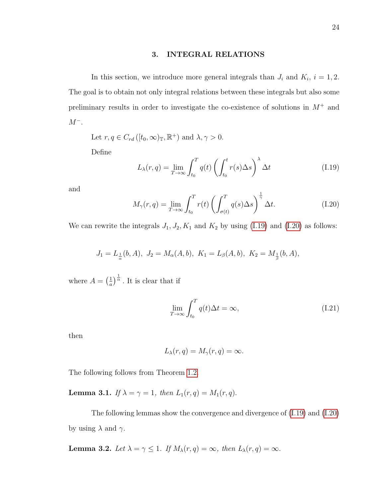#### 3. INTEGRAL RELATIONS

<span id="page-34-0"></span>In this section, we introduce more general integrals than  $J_i$  and  $K_i$ ,  $i = 1, 2$ . The goal is to obtain not only integral relations between these integrals but also some preliminary results in order to investigate the co-existence of solutions in  $M^+$  and  $M^-$ .

Let  $r, q \in C_{rd}([t_0, \infty)_\mathbb{T}, \mathbb{R}^+)$  and  $\lambda, \gamma > 0$ .

Define

<span id="page-34-1"></span>
$$
L_{\lambda}(r,q) = \lim_{T \to \infty} \int_{t_0}^{T} q(t) \left( \int_{t_0}^{t} r(s) \Delta s \right)^{\lambda} \Delta t \tag{I.19}
$$

and

<span id="page-34-2"></span>
$$
M_{\gamma}(r,q) = \lim_{T \to \infty} \int_{t_0}^{T} r(t) \left( \int_{\sigma(t)}^{T} q(s) \Delta s \right)^{\frac{1}{\gamma}} \Delta t.
$$
 (I.20)

We can rewrite the integrals  $J_1, J_2, K_1$  and  $K_2$  by using [\(I.19\)](#page-34-1) and [\(I.20\)](#page-34-2) as follows:

$$
J_1 = L_{\frac{1}{\alpha}}(b, A), \ J_2 = M_{\alpha}(A, b), \ K_1 = L_{\beta}(A, b), \ K_2 = M_{\frac{1}{\beta}}(b, A),
$$

where  $A = \left(\frac{1}{a}\right)$  $\frac{1}{a}$ ) $\frac{1}{\alpha}$ . It is clear that if

$$
\lim_{T \to \infty} \int_{t_0}^{T} q(t) \Delta t = \infty,
$$
\n(I.21)

then

$$
L_{\lambda}(r,q) = M_{\gamma}(r,q) = \infty.
$$

The following follows from Theorem [1.2.](#page-23-0)

**Lemma 3.1.** If  $\lambda = \gamma = 1$ , then  $L_1(r, q) = M_1(r, q)$ .

The following lemmas show the convergence and divergence of [\(I.19\)](#page-34-1) and [\(I.20\)](#page-34-2) by using  $\lambda$  and  $\gamma$ .

**Lemma 3.2.** Let  $\lambda = \gamma \leq 1$ . If  $M_{\lambda}(r, q) = \infty$ , then  $L_{\lambda}(r, q) = \infty$ .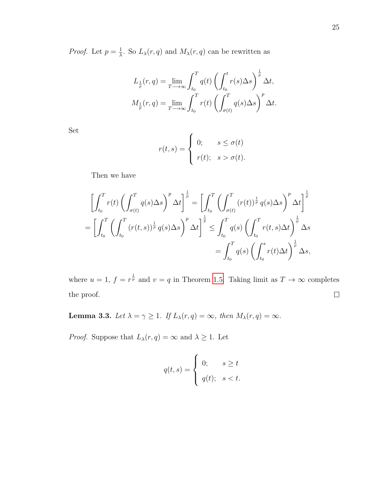*Proof.* Let  $p = \frac{1}{\lambda}$  $\frac{1}{\lambda}$ . So  $L_{\lambda}(r,q)$  and  $M_{\lambda}(r,q)$  can be rewritten as

$$
L_{\frac{1}{p}}(r,q) = \lim_{T \to \infty} \int_{t_0}^{T} q(t) \left( \int_{t_0}^{t} r(s) \Delta s \right)^{\frac{1}{p}} \Delta t,
$$
  

$$
M_{\frac{1}{p}}(r,q) = \lim_{T \to \infty} \int_{t_0}^{T} r(t) \left( \int_{\sigma(t)}^{T} q(s) \Delta s \right)^{p} \Delta t.
$$

Set

$$
r(t,s) = \begin{cases} 0; & s \le \sigma(t) \\ r(t); & s > \sigma(t). \end{cases}
$$

Then we have

$$
\left[\int_{t_0}^T r(t) \left(\int_{\sigma(t)}^T q(s) \Delta s\right)^p \Delta t\right]^{\frac{1}{p}} = \left[\int_{t_0}^T \left(\int_{\sigma(t)}^T (r(t))^{\frac{1}{p}} q(s) \Delta s\right)^p \Delta t\right]^{\frac{1}{p}}
$$

$$
= \left[\int_{t_0}^T \left(\int_{t_0}^T (r(t,s))^{\frac{1}{p}} q(s) \Delta s\right)^p \Delta t\right]^{\frac{1}{p}} \leq \int_{t_0}^T q(s) \left(\int_{t_0}^T r(t,s) \Delta t\right)^{\frac{1}{p}} \Delta s
$$

$$
= \int_{t_0}^T q(s) \left(\int_{t_0}^s r(t) \Delta t\right)^{\frac{1}{p}} \Delta s,
$$

where  $u = 1$ ,  $f = r^{\frac{1}{p}}$  and  $v = q$  in Theorem [1.5.](#page-24-2) Taking limit as  $T \to \infty$  completes the proof.  $\Box$ 

**Lemma 3.3.** Let  $\lambda = \gamma \ge 1$ . If  $L_{\lambda}(r, q) = \infty$ , then  $M_{\lambda}(r, q) = \infty$ .

*Proof.* Suppose that  $L_{\lambda}(r, q) = \infty$  and  $\lambda \geq 1$ . Let

$$
q(t,s) = \begin{cases} 0; & s \ge t \\ q(t); & s < t. \end{cases}
$$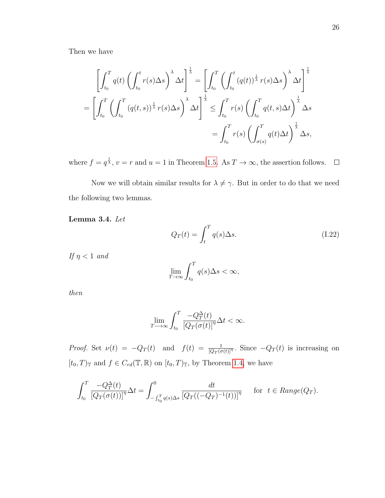Then we have

$$
\left[\int_{t_0}^T q(t) \left(\int_{t_0}^t r(s) \Delta s\right)^{\lambda} \Delta t\right]^{\frac{1}{\lambda}} = \left[\int_{t_0}^T \left(\int_{t_0}^t (q(t))^{\frac{1}{\lambda}} r(s) \Delta s\right)^{\lambda} \Delta t\right]^{\frac{1}{\lambda}}
$$

$$
= \left[\int_{t_0}^T \left(\int_{t_0}^T (q(t,s))^{\frac{1}{\lambda}} r(s) \Delta s\right)^{\lambda} \Delta t\right]^{\frac{1}{\lambda}} \leq \int_{t_0}^T r(s) \left(\int_{t_0}^T q(t,s) \Delta t\right)^{\frac{1}{\lambda}} \Delta s
$$

$$
= \int_{t_0}^T r(s) \left(\int_{\sigma(s)}^T q(t) \Delta t\right)^{\frac{1}{\lambda}} \Delta s,
$$

where  $f = q^{\frac{1}{\lambda}}, v = r$  and  $u = 1$  in Theorem [1.5.](#page-24-0) As  $T \to \infty$ , the assertion follows.

Now we will obtain similar results for  $\lambda \neq \gamma$ . But in order to do that we need the following two lemmas.

<span id="page-36-1"></span>Lemma 3.4. Let

<span id="page-36-0"></span>
$$
Q_T(t) = \int_t^T q(s) \Delta s. \tag{I.22}
$$

If  $\eta < 1$  and

$$
\lim_{T \to \infty} \int_{t_0}^T q(s) \Delta s < \infty,
$$

then

$$
\lim_{T \to \infty} \int_{t_0}^{T} \frac{-Q_T^{\Delta}(t)}{\left[Q_T(\sigma(t)\right]^{\eta}} \Delta t < \infty.
$$

*Proof.* Set  $\nu(t) = -Q_T(t)$  and  $f(t) = \frac{1}{[Q_T(\sigma(t))]^{\eta}}$ . Since  $-Q_T(t)$  is increasing on  $[t_0, T)_{\mathbb{T}}$  and  $f \in C_{rd}(\mathbb{T}, \mathbb{R})$  on  $[t_0, T)_{\mathbb{T}}$ , by Theorem [1.4,](#page-24-1) we have

$$
\int_{t_0}^T \frac{-Q_T^{\Delta}(t)}{\left[Q_T(\sigma(t))\right]^{\eta}} \Delta t = \int_{-\int_{t_0}^T q(s) \Delta s}^0 \frac{dt}{\left[Q_T((-Q_T)^{-1}(t))\right]^{\eta}} \quad \text{for } t \in Range(Q_T).
$$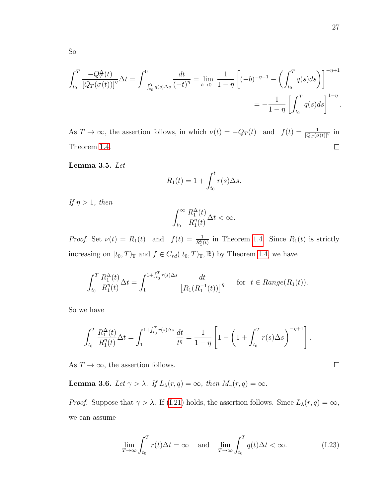$$
\int_{t_0}^{T} \frac{-Q_T^{\Delta}(t)}{\left[Q_T(\sigma(t))\right]^{\eta}} \Delta t = \int_{- \int_{t_0}^{T} q(s) \Delta s}^{0} \frac{dt}{\left(-t\right)^{\eta}} = \lim_{b \to 0^{-}} \frac{1}{1 - \eta} \left[ (-b)^{-\eta - 1} - \left( \int_{t_0}^{T} q(s) ds \right) \right]^{-\eta + 1}
$$
  
= 
$$
- \frac{1}{1 - \eta} \left[ \int_{t_0}^{T} q(s) ds \right]^{1 - \eta}.
$$

As  $T \to \infty$ , the assertion follows, in which  $\nu(t) = -Q_T(t)$  and  $f(t) = \frac{1}{[Q_T(\sigma(t)]^{\eta}}$  in Theorem [1.4.](#page-24-1)  $\Box$ 

<span id="page-37-0"></span>Lemma 3.5. Let

$$
R_1(t) = 1 + \int_{t_0}^t r(s) \Delta s.
$$

If  $\eta > 1$ , then

$$
\int_{t_0}^{\infty} \frac{R_1^{\Delta}(t)}{R_1^{\eta}(t)} \Delta t < \infty.
$$

*Proof.* Set  $\nu(t) = R_1(t)$  and  $f(t) = \frac{1}{R_1^n(t)}$  in Theorem [1.4.](#page-24-1) Since  $R_1(t)$  is strictly increasing on  $[t_0, T)_{\mathbb{T}}$  and  $f \in C_{rd}([t_0, T)_{\mathbb{T}}, \mathbb{R})$  by Theorem [1.4,](#page-24-1) we have

$$
\int_{t_0}^T \frac{R_1^{\Delta}(t)}{R_1^{\eta}(t)} \Delta t = \int_1^{1 + \int_{t_0}^T r(s) \Delta s} \frac{dt}{\left[R_1(R_1^{-1}(t))\right]^{\eta}} \quad \text{for } t \in Range(R_1(t)).
$$

So we have

$$
\int_{t_0}^T \frac{R_1^{\Delta}(t)}{R_1^{\eta}(t)} \Delta t = \int_1^{1 + \int_{t_0}^T r(s) \Delta s} \frac{dt}{t^{\eta}} = \frac{1}{1 - \eta} \left[ 1 - \left( 1 + \int_{t_0}^T r(s) \Delta s \right)^{-\eta + 1} \right].
$$

As  $T\to\infty,$  the assertion follows.

<span id="page-37-1"></span>**Lemma 3.6.** Let  $\gamma > \lambda$ . If  $L_{\lambda}(r, q) = \infty$ , then  $M_{\gamma}(r, q) = \infty$ .

*Proof.* Suppose that  $\gamma > \lambda$ . If [\(I.21\)](#page-34-0) holds, the assertion follows. Since  $L_{\lambda}(r, q) = \infty$ , we can assume

<span id="page-37-2"></span>
$$
\lim_{T \to \infty} \int_{t_0}^T r(t)\Delta t = \infty \quad \text{and} \quad \lim_{T \to \infty} \int_{t_0}^T q(t)\Delta t < \infty.
$$
 (I.23)

 $\Box$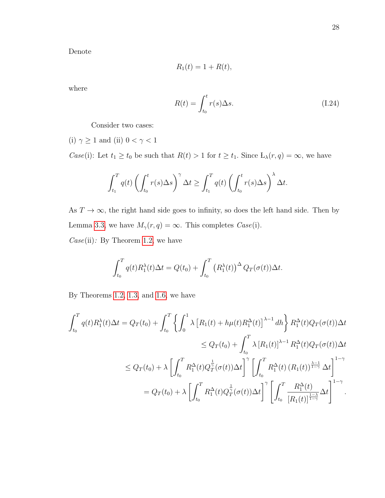Denote

$$
R_1(t) = 1 + R(t),
$$

where

<span id="page-38-0"></span>
$$
R(t) = \int_{t_0}^{t} r(s) \Delta s.
$$
 (I.24)

Consider two cases:

(i)  $\gamma\geq 1$  and (ii)  $0<\gamma<1$ 

*Case*(i): Let  $t_1 \ge t_0$  be such that  $R(t) > 1$  for  $t \ge t_1$ . Since  $L_\lambda(r, q) = \infty$ , we have

$$
\int_{t_1}^T q(t) \left( \int_{t_0}^t r(s) \Delta s \right)^{\gamma} \Delta t \ge \int_{t_1}^T q(t) \left( \int_{t_0}^t r(s) \Delta s \right)^{\lambda} \Delta t.
$$

As  $T \to \infty$ , the right hand side goes to infinity, so does the left hand side. Then by Lemma [3.3,](#page-35-0) we have  $M_{\gamma}(r, q) = \infty$ . This completes *Case*(i).  $Case (ii):$  By Theorem [1.2,](#page-23-0) we have

$$
\int_{t_0}^T q(t) R_1^{\lambda}(t) \Delta t = Q(t_0) + \int_{t_0}^T (R_1^{\lambda}(t))^{\Delta} Q_T(\sigma(t)) \Delta t.
$$

By Theorems [1.2,](#page-23-0) [1.3,](#page-23-1) and [1.6,](#page-24-2) we have

$$
\int_{t_0}^{T} q(t) R_1^{\lambda}(t) \Delta t = Q_T(t_0) + \int_{t_0}^{T} \left\{ \int_0^1 \lambda \left[ R_1(t) + h\mu(t) R_1^{\Delta}(t) \right]^{\lambda - 1} dh \right\} R_1^{\Delta}(t) Q_T(\sigma(t)) \Delta t
$$
  
\n
$$
\leq Q_T(t_0) + \int_{t_0}^{T} \lambda \left[ R_1(t) \right]^{\lambda - 1} R_1^{\Delta}(t) Q_T(\sigma(t)) \Delta t
$$
  
\n
$$
\leq Q_T(t_0) + \lambda \left[ \int_{t_0}^{T} R_1^{\Delta}(t) Q_T^{\frac{1}{\gamma}}(\sigma(t)) \Delta t \right]^{\gamma} \left[ \int_{t_0}^{T} R_1^{\Delta}(t) (R_1(t))^{\frac{\lambda - 1}{1 - \gamma}} \Delta t \right]^{1 - \gamma}
$$
  
\n
$$
= Q_T(t_0) + \lambda \left[ \int_{t_0}^{T} R_1^{\Delta}(t) Q_T^{\frac{1}{\gamma}}(\sigma(t)) \Delta t \right]^{\gamma} \left[ \int_{t_0}^{T} \frac{R_1^{\Delta}(t)}{\left[ R_1(t) \right]^{\frac{1 - \lambda}{1 - \gamma}}} \Delta t \right]^{1 - \gamma}.
$$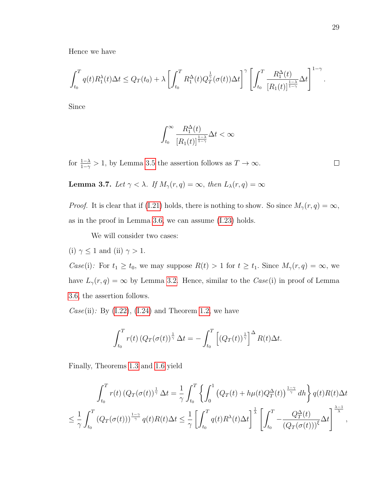Hence we have

$$
\int_{t_0}^T q(t)R_1^{\lambda}(t)\Delta t \leq Q_T(t_0) + \lambda \left[ \int_{t_0}^T R_1^{\Delta}(t)Q_T^{\frac{1}{\gamma}}(\sigma(t))\Delta t \right]^{\gamma} \left[ \int_{t_0}^T \frac{R_1^{\Delta}(t)}{[R_1(t)]^{\frac{1-\lambda}{1-\gamma}}} \Delta t \right]^{1-\gamma}.
$$

Since

$$
\int_{t_0}^{\infty}\frac{R_1^{\Delta}(t)}{[R_1(t)]^{\frac{1-\lambda}{1-\gamma}}}\Delta t<\infty
$$

for  $\frac{1-\lambda}{1-\gamma} > 1$ , by Lemma [3.5](#page-37-0) the assertion follows as  $T \to \infty$ .

 $\Box$ 

<span id="page-39-0"></span>**Lemma 3.7.** Let  $\gamma < \lambda$ . If  $M_{\gamma}(r, q) = \infty$ , then  $L_{\lambda}(r, q) = \infty$ 

*Proof.* It is clear that if [\(I.21\)](#page-34-0) holds, there is nothing to show. So since  $M_{\gamma}(r, q) = \infty$ , as in the proof in Lemma [3.6,](#page-37-1) we can assume [\(I.23\)](#page-37-2) holds.

We will consider two cases:

(i)  $\gamma \leq 1$  and (ii)  $\gamma > 1$ .

*Case*(i): For  $t_1 \ge t_0$ , we may suppose  $R(t) > 1$  for  $t \ge t_1$ . Since  $M_\gamma(r, q) = \infty$ , we have  $L_{\gamma}(r, q) = \infty$  by Lemma [3.2.](#page-34-1) Hence, similar to the  $Case(i)$  in proof of Lemma [3.6,](#page-37-1) the assertion follows.

Case(ii): By  $(1.22)$ ,  $(1.24)$  and Theorem [1.2,](#page-23-0) we have

$$
\int_{t_0}^T r(t) \left( Q_T(\sigma(t))^\frac{1}{\gamma} \Delta t \right) = - \int_{t_0}^T \left[ \left( Q_T(t) \right)^\frac{1}{\gamma} \right]^\Delta R(t) \Delta t.
$$

Finally, Theorems [1.3](#page-23-1) and [1.6](#page-24-2) yield

$$
\int_{t_0}^T r(t) \left(Q_T(\sigma(t))\right)^{\frac{1}{\gamma}} \Delta t = \frac{1}{\gamma} \int_{t_0}^T \left\{ \int_0^1 \left(Q_T(t) + h\mu(t)Q_T^{\Delta}(t)\right)^{\frac{1-\gamma}{\gamma}} dh \right\} q(t)R(t)\Delta t
$$
  

$$
\leq \frac{1}{\gamma} \int_{t_0}^T \left(Q_T(\sigma(t))\right)^{\frac{1-\gamma}{\gamma}} q(t)R(t)\Delta t \leq \frac{1}{\gamma} \left[ \int_{t_0}^T q(t)R^{\lambda}(t)\Delta t \right]^{\frac{1}{\lambda}} \left[ \int_{t_0}^T - \frac{Q_T^{\Delta}(t)}{\left(Q_T(\sigma(t))\right)^{\xi}} \Delta t \right]^{\frac{\lambda-1}{\lambda}},
$$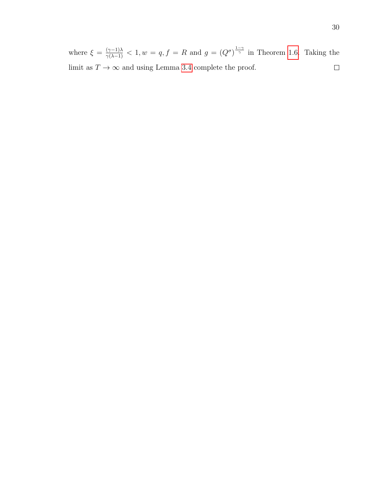where  $\xi = \frac{(\gamma - 1)\lambda}{\gamma(\lambda - 1)} < 1, w = q, f = R$  and  $g = (Q^{\sigma})^{\frac{1-\gamma}{\gamma}}$  in Theorem [1.6.](#page-24-2) Taking the limit as  $T \to \infty$  and using Lemma [3.4](#page-36-1) complete the proof.  $\Box$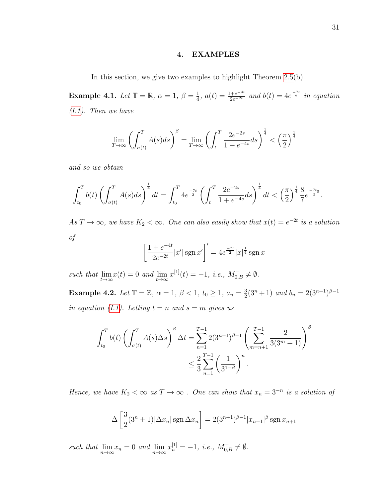## 4. EXAMPLES

In this section, we give two examples to highlight Theorem [2.5\(](#page-31-0)b).

**Example 4.1.** Let  $\mathbb{T} = \mathbb{R}$ ,  $\alpha = 1$ ,  $\beta = \frac{1}{4}$  $\frac{1}{4}$ ,  $a(t) = \frac{1+e^{-4t}}{2e^{-2t}}$  and  $b(t) = 4e^{\frac{-7t}{2}}$  in equation [\(I.1\)](#page-22-0). Then we have

$$
\lim_{T \to \infty} \left( \int_{\sigma(t)}^T A(s) ds \right)^{\beta} = \lim_{T \to \infty} \left( \int_t^T \frac{2e^{-2s}}{1 + e^{-4s}} ds \right)^{\frac{1}{4}} < \left( \frac{\pi}{2} \right)^{\frac{1}{4}}
$$

and so we obtain

$$
\int_{t_0}^T b(t) \left( \int_{\sigma(t)}^T A(s) ds \right)^{\frac{1}{4}} dt = \int_{t_0}^T 4e^{-\frac{7t}{2}} \left( \int_t^T \frac{2e^{-2s}}{1+e^{-4s}} ds \right)^{\frac{1}{4}} dt < \left( \frac{\pi}{2} \right)^{\frac{1}{4}} \frac{8}{7} e^{-\frac{7t_0}{2}}.
$$

As  $T \to \infty$ , we have  $K_2 < \infty$ . One can also easily show that  $x(t) = e^{-2t}$  is a solution of

$$
\left[\frac{1+e^{-4t}}{2e^{-2t}}|x'|\,\text{sgn}\,x'\right]' = 4e^{\frac{-7t}{2}}|x|^{\frac{1}{4}}\,\text{sgn}\,x
$$

such that  $\lim_{t \to \infty} x(t) = 0$  and  $\lim_{t \to \infty} x^{[1]}(t) = -1$ , i.e.,  $M_{0,B}^- \neq \emptyset$ .

**Example 4.2.** Let  $\mathbb{T} = \mathbb{Z}$ ,  $\alpha = 1$ ,  $\beta < 1$ ,  $t_0 \ge 1$ ,  $a_n = \frac{3}{2}$  $\frac{3}{2}(3^n+1)$  and  $b_n = 2(3^{n+1})^{\beta-1}$ in equation [\(I.1\)](#page-22-0). Letting  $t = n$  and  $s = m$  gives us

$$
\int_{t_0}^{T} b(t) \left( \int_{\sigma(t)}^{T} A(s) \Delta s \right)^{\beta} \Delta t = \sum_{n=1}^{T-1} 2(3^{n+1})^{\beta-1} \left( \sum_{m=n+1}^{T-1} \frac{2}{3(3^m+1)} \right)^{\beta}
$$
  

$$
\leq \frac{2}{3} \sum_{n=1}^{T-1} \left( \frac{1}{3^{1-\beta}} \right)^n.
$$

Hence, we have  $K_2 < \infty$  as  $T \to \infty$ . One can show that  $x_n = 3^{-n}$  is a solution of

$$
\Delta \left[ \frac{3}{2} (3^n + 1) |\Delta x_n| \operatorname{sgn} \Delta x_n \right] = 2 (3^{n+1})^{\beta - 1} |x_{n+1}|^{\beta} \operatorname{sgn} x_{n+1}
$$

such that  $\lim_{n\to\infty} x_n = 0$  and  $\lim_{n\to\infty} x_n^{[1]} = -1$ , i.e.,  $M_{0,B}^- \neq \emptyset$ .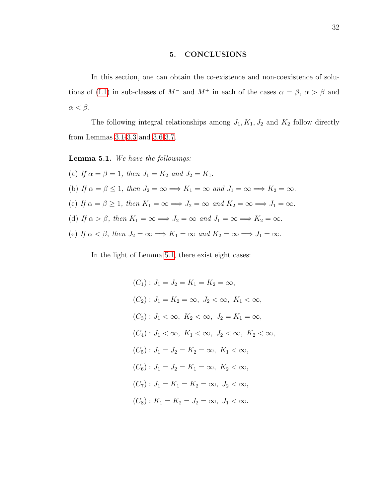# 5. CONCLUSIONS

In this section, one can obtain the co-existence and non-coexistence of solu-tions of [\(I.1\)](#page-22-0) in sub-classes of  $M^-$  and  $M^+$  in each of the cases  $\alpha = \beta$ ,  $\alpha > \beta$  and  $\alpha < \beta$ .

The following integral relationships among  $J_1, K_1, J_2$  and  $K_2$  follow directly from Lemmas [3.1-](#page-34-2)[3.3](#page-35-0) and [3.6-](#page-37-1)[3.7.](#page-39-0)

<span id="page-42-0"></span>Lemma 5.1. We have the followings:

(a) If  $\alpha = \beta = 1$ , then  $J_1 = K_2$  and  $J_2 = K_1$ . (b) If  $\alpha = \beta \leq 1$ , then  $J_2 = \infty \Longrightarrow K_1 = \infty$  and  $J_1 = \infty \Longrightarrow K_2 = \infty$ . (c) If  $\alpha = \beta \ge 1$ , then  $K_1 = \infty \Longrightarrow J_2 = \infty$  and  $K_2 = \infty \Longrightarrow J_1 = \infty$ . (d) If  $\alpha > \beta$ , then  $K_1 = \infty \Longrightarrow J_2 = \infty$  and  $J_1 = \infty \Longrightarrow K_2 = \infty$ . (e) If  $\alpha < \beta$ , then  $J_2 = \infty \Longrightarrow K_1 = \infty$  and  $K_2 = \infty \Longrightarrow J_1 = \infty$ .

In the light of Lemma [5.1,](#page-42-0) there exist eight cases:

$$
(C_1): J_1 = J_2 = K_1 = K_2 = \infty,
$$
  
\n
$$
(C_2): J_1 = K_2 = \infty, J_2 < \infty, K_1 < \infty,
$$
  
\n
$$
(C_3): J_1 < \infty, K_2 < \infty, J_2 = K_1 = \infty,
$$
  
\n
$$
(C_4): J_1 < \infty, K_1 < \infty, J_2 < \infty, K_2 < \infty,
$$
  
\n
$$
(C_5): J_1 = J_2 = K_2 = \infty, K_1 < \infty,
$$
  
\n
$$
(C_6): J_1 = J_2 = K_1 = \infty, K_2 < \infty,
$$
  
\n
$$
(C_7): J_1 = K_1 = K_2 = \infty, J_2 < \infty,
$$
  
\n
$$
(C_8): K_1 = K_2 = J_2 = \infty, J_1 < \infty.
$$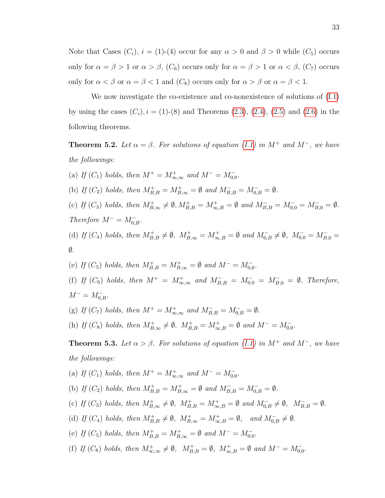Note that Cases  $(C_i)$ ,  $i = (1)$ - $(4)$  occur for any  $\alpha > 0$  and  $\beta > 0$  while  $(C_5)$  occurs only for  $\alpha = \beta > 1$  or  $\alpha > \beta$ ,  $(C_6)$  occurs only for  $\alpha = \beta > 1$  or  $\alpha < \beta$ ,  $(C_7)$  occurs only for  $\alpha < \beta$  or  $\alpha = \beta < 1$  and  $(C_8)$  occurs only for  $\alpha > \beta$  or  $\alpha = \beta < 1$ .

We now investigate the co-existence and co-nonexistence of solutions of [\(I.1\)](#page-22-0) by using the cases  $(C_i)$ ,  $i = (1)$ - $(8)$  and Theorems  $(2.3)$ ,  $(2.4)$ ,  $(2.5)$  and  $(2.6)$  in the following theorems.

**Theorem 5.2.** Let  $\alpha = \beta$ . For solutions of equation [\(I.1\)](#page-22-0) in M<sup>+</sup> and M<sup>-</sup>, we have the followings:

(a) If  $(C_1)$  holds, then  $M^+ = M^+_{\infty, \infty}$  and  $M^- = M^-_{0,0}$ . (b) If  $(C_2)$  holds, then  $M_{B,B}^+ = M_{B,\infty}^+ = \emptyset$  and  $M_{B,B}^- = M_{0,B}^- = \emptyset$ . (c) If  $(C_3)$  holds, then  $M^+_{B,\infty} \neq \emptyset$ ,  $M^+_{B,B} = M^+_{\infty,B} = \emptyset$  and  $M^-_{B,B} = M^-_{0,0} = M^-_{B,0} = \emptyset$ . Therefore  $M^- = M_{0,B}^-$ . (d) If  $(C_4)$  holds, then  $M_{B,B}^+ \neq \emptyset$ ,  $M_{B,\infty}^+ = M_{\infty,B}^+ = \emptyset$  and  $M_{0,B}^- \neq \emptyset$ ,  $M_{0,0}^- = M_{B,0}^- = \emptyset$  $\emptyset$ . (e) If  $(C_5)$  holds, then  $M_{B,B}^+ = M_{B,\infty}^+ = \emptyset$  and  $M^- = M_{0,0}^-$ . (f) If  $(C_6)$  holds, then  $M^+ = M^+_{\infty,\infty}$  and  $M^-_{B,B} = M^-_{0,0} = M^-_{B,0} = \emptyset$ . Therefore,  $M^- = M_{0,B}^-$ .

(g) If  $(C_7)$  holds, then  $M^+ = M^+_{\infty,\infty}$  and  $M^-_{B,B} = M^-_{0,B} = \emptyset$ .

(h) If  $(C_8)$  holds, then  $M^+_{B,\infty} \neq \emptyset$ ,  $M^+_{B,B} = M^+_{\infty,B} = \emptyset$  and  $M^- = M^-_{0,0}$ .

**Theorem 5.3.** Let  $\alpha > \beta$ . For solutions of equation [\(I.1\)](#page-22-0) in M<sup>+</sup> and M<sup>-</sup>, we have the followings:

(a) If  $(C_1)$  holds, then  $M^+ = M^+_{\infty, \infty}$  and  $M^- = M^-_{0,0}$ .

(b) If  $(C_2)$  holds, then  $M_{B,B}^+ = M_{B,\infty}^+ = \emptyset$  and  $M_{B,B}^- = M_{0,B}^- = \emptyset$ .

- (c) If  $(C_3)$  holds, then  $M^+_{B,\infty} \neq \emptyset$ ,  $M^+_{B,B} = M^+_{\infty,B} = \emptyset$  and  $M^-_{0,B} \neq \emptyset$ ,  $M^-_{B,B} = \emptyset$ .
- (d) If  $(C_4)$  holds, then  $M_{B,B}^+ \neq \emptyset$ ,  $M_{B,\infty}^+ = M_{\infty,B}^+ = \emptyset$ , and  $M_{0,B}^- \neq \emptyset$ .
- (e) If  $(C_5)$  holds, then  $M_{B,B}^+ = M_{B,\infty}^+ = \emptyset$  and  $M^- = M_{0,0}^-$ .
- (f) If  $(C_8)$  holds, then  $M^+_{\infty,\infty} \neq \emptyset$ ,  $M^+_{B,B} = \emptyset$ ,  $M^+_{\infty,B} = \emptyset$  and  $M^- = M^-_{0,0}$ .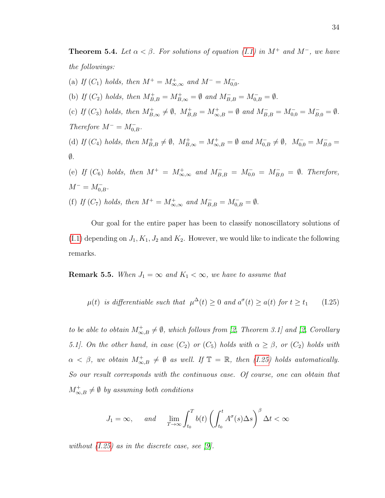**Theorem 5.4.** Let  $\alpha < \beta$ . For solutions of equation [\(I.1\)](#page-22-0) in M<sup>+</sup> and M<sup>-</sup>, we have the followings:

(a) If  $(C_1)$  holds, then  $M^+ = M^+_{\infty, \infty}$  and  $M^- = M^-_{0,0}$ . (b) If  $(C_2)$  holds, then  $M_{B,B}^+ = M_{B,\infty}^+ = \emptyset$  and  $M_{B,B}^- = M_{0,B}^- = \emptyset$ . (c) If  $(C_3)$  holds, then  $M^+_{B,\infty} \neq \emptyset$ ,  $M^+_{B,B} = M^+_{\infty,B} = \emptyset$  and  $M^-_{B,B} = M^-_{0,0} = M^-_{B,0} = \emptyset$ . Therefore  $M^- = M_{0,B}^-$ . (d) If  $(C_4)$  holds, then  $M_{B,B}^+ \neq \emptyset$ ,  $M_{B,\infty}^+ = M_{\infty,B}^+ = \emptyset$  and  $M_{0,B}^- \neq \emptyset$ ,  $M_{0,0}^- = M_{B,0}^- = \emptyset$  $\emptyset$ . (e) If  $(C_6)$  holds, then  $M^+ = M^+_{\infty, \infty}$  and  $M^-_{B,B} = M^-_{0,0} = M^-_{B,0} = \emptyset$ . Therefore,  $M^- = M_{0,B}^-$ .

(f) If  $(C_7)$  holds, then  $M^+ = M^+_{\infty, \infty}$  and  $M^-_{B,B} = M^-_{0,B} = \emptyset$ .

Our goal for the entire paper has been to classify nonoscillatory solutions of  $(1.1)$  depending on  $J_1, K_1, J_2$  and  $K_2$ . However, we would like to indicate the following remarks.

**Remark 5.5.** When  $J_1 = \infty$  and  $K_1 < \infty$ , we have to assume that

<span id="page-44-0"></span>
$$
\mu(t) \text{ is differentiable such that } \mu^{\Delta}(t) \ge 0 \text{ and } a^{\sigma}(t) \ge a(t) \text{ for } t \ge t_1 \qquad (I.25)
$$

to be able to obtain  $M_{\infty,B}^+\neq\emptyset$ , which follows from [\[2,](#page-46-0) Theorem 3.1] and [2, Corollary 5.1]. On the other hand, in case  $(C_2)$  or  $(C_5)$  holds with  $\alpha \geq \beta$ , or  $(C_2)$  holds with  $\alpha \leq \beta$ , we obtain  $M^+_{\infty,B} \neq \emptyset$  as well. If  $\mathbb{T} = \mathbb{R}$ , then [\(I.25\)](#page-44-0) holds automatically. So our result corresponds with the continuous case. Of course, one can obtain that  $M_{\infty,B}^+\neq\emptyset$  by assuming both conditions

$$
J_1 = \infty, \quad \text{and} \quad \lim_{T \to \infty} \int_{t_0}^T b(t) \left( \int_{t_0}^t A^\sigma(s) \Delta s \right)^\beta \Delta t < \infty
$$

without  $(I.25)$  as in the discrete case, see [\[9\]](#page-46-1).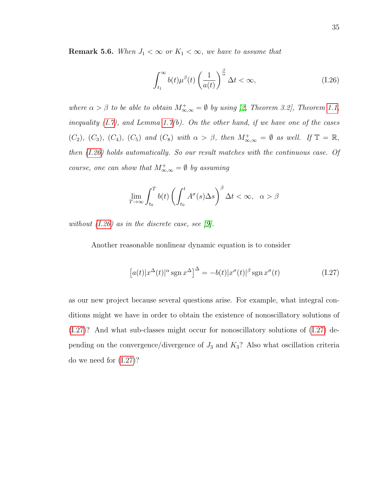**Remark 5.6.** When  $J_1 < \infty$  or  $K_1 < \infty$ , we have to assume that

<span id="page-45-0"></span>
$$
\int_{t_1}^{\infty} b(t) \mu^{\beta}(t) \left(\frac{1}{a(t)}\right)^{\frac{\beta}{\alpha}} \Delta t < \infty,\tag{I.26}
$$

where  $\alpha > \beta$  to be able to obtain  $M^+_{\infty,\infty} = \emptyset$  by using [\[2,](#page-46-0) Theorem 3.2], Theorem [1.1,](#page-23-2) inequality  $(I.7)$ , and Lemma [1.7\(](#page-26-0)b). On the other hand, if we have one of the cases  $(C_2)$ ,  $(C_3)$ ,  $(C_4)$ ,  $(C_5)$  and  $(C_8)$  with  $\alpha > \beta$ , then  $M^+_{\infty,\infty} = \emptyset$  as well. If  $\mathbb{T} = \mathbb{R}$ , then [\(I.26\)](#page-45-0) holds automatically. So our result matches with the continuous case. Of course, one can show that  $M^+_{\infty,\infty} = \emptyset$  by assuming

$$
\lim_{T \to \infty} \int_{t_0}^T b(t) \left( \int_{t_0}^t A^\sigma(s) \Delta s \right)^\beta \Delta t < \infty, \quad \alpha > \beta
$$

without  $(I.26)$  as in the discrete case, see [\[9\]](#page-46-1).

Another reasonable nonlinear dynamic equation is to consider

<span id="page-45-1"></span>
$$
[a(t)|x^{\Delta}(t)|^{\alpha}\operatorname{sgn} x^{\Delta}]^{\Delta} = -b(t)|x^{\sigma}(t)|^{\beta}\operatorname{sgn} x^{\sigma}(t)
$$
 (I.27)

as our new project because several questions arise. For example, what integral conditions might we have in order to obtain the existence of nonoscillatory solutions of [\(I.27\)](#page-45-1)? And what sub-classes might occur for nonoscillatory solutions of [\(I.27\)](#page-45-1) depending on the convergence/divergence of  $J_3$  and  $K_3$ ? Also what oscillation criteria do we need for [\(I.27\)](#page-45-1)?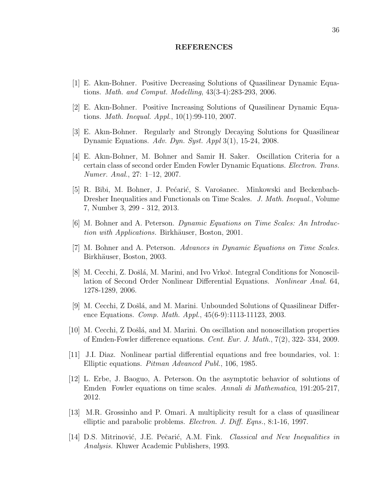### REFERENCES

- [1] E. Akın-Bohner. Positive Decreasing Solutions of Quasilinear Dynamic Equations. Math. and Comput. Modelling, 43(3-4):283-293, 2006.
- <span id="page-46-0"></span>[2] E. Akın-Bohner. Positive Increasing Solutions of Quasilinear Dynamic Equations. Math. Inequal. Appl., 10(1):99-110, 2007.
- [3] E. Akın-Bohner. Regularly and Strongly Decaying Solutions for Quasilinear Dynamic Equations. Adv. Dyn. Syst. Appl 3(1), 15-24, 2008.
- [4] E. Akın-Bohner, M. Bohner and Samir H. Saker. Oscillation Criteria for a certain class of second order Emden Fowler Dynamic Equations. Electron. Trans. Numer. Anal., 27: 1–12, 2007.
- [5] R. Bibi, M. Bohner, J. Pećarić, S. Varošanec. Minkowski and Beckenbach-Dresher Inequalities and Functionals on Time Scales. J. Math. Inequal., Volume 7, Number 3, 299 - 312, 2013.
- [6] M. Bohner and A. Peterson. Dynamic Equations on Time Scales: An Introduction with Applications. Birkhäuser, Boston, 2001.
- [7] M. Bohner and A. Peterson. Advances in Dynamic Equations on Time Scales. Birkhäuser, Boston, 2003.
- [8] M. Cecchi, Z. Došlá, M. Marini, and Ivo Vrkoč. Integral Conditions for Nonoscillation of Second Order Nonlinear Differential Equations. Nonlinear Anal. 64, 1278-1289, 2006.
- <span id="page-46-1"></span>[9] M. Cecchi, Z Došlá, and M. Marini. Unbounded Solutions of Quasilinear Difference Equations. *Comp. Math. Appl.*, 45(6-9):1113-11123, 2003.
- [10] M. Cecchi, Z Doˇsl´a, and M. Marini. On oscillation and nonoscillation properties of Emden-Fowler difference equations. Cent. Eur. J. Math., 7(2), 322- 334, 2009.
- [11] J.I. Diaz. Nonlinear partial differential equations and free boundaries, vol. 1: Elliptic equations. Pitman Advanced Publ., 106, 1985.
- [12] L. Erbe, J. Baoguo, A. Peterson. On the asymptotic behavior of solutions of Emden Fowler equations on time scales. Annali di Mathematica, 191:205-217, 2012.
- [13] M.R. Grossinho and P. Omari. A multiplicity result for a class of quasilinear elliptic and parabolic problems. Electron. J. Diff. Eqns., 8:1-16, 1997.
- [14] D.S. Mitrinović, J.E. Pečarić, A.M. Fink. *Classical and New Inequalities in* Analysis. Kluwer Academic Publishers, 1993.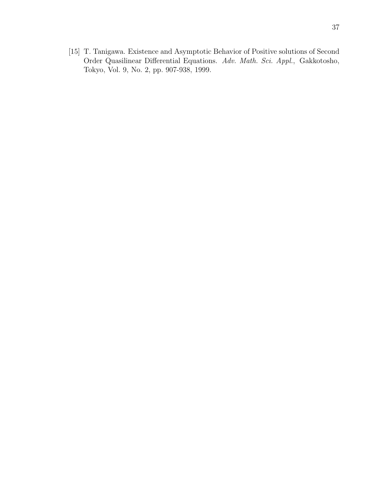[15] T. Tanigawa. Existence and Asymptotic Behavior of Positive solutions of Second Order Quasilinear Differential Equations. Adv. Math. Sci. Appl., Gakkotosho, Tokyo, Vol. 9, No. 2, pp. 907-938, 1999.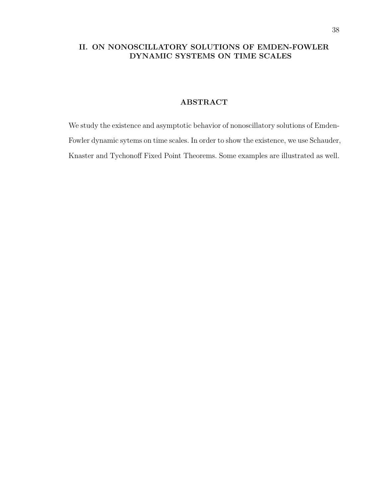# II. ON NONOSCILLATORY SOLUTIONS OF EMDEN-FOWLER DYNAMIC SYSTEMS ON TIME SCALES

# ABSTRACT

We study the existence and asymptotic behavior of nonoscillatory solutions of Emden-Fowler dynamic sytems on time scales. In order to show the existence, we use Schauder, Knaster and Tychonoff Fixed Point Theorems. Some examples are illustrated as well.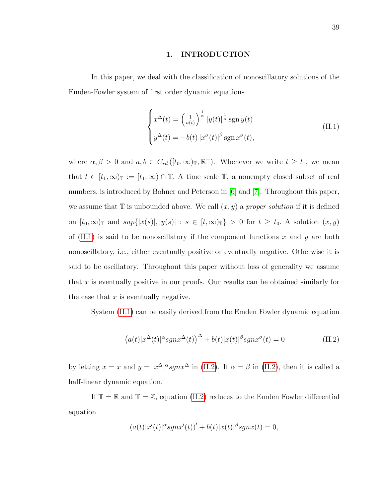#### 1. INTRODUCTION

In this paper, we deal with the classification of nonoscillatory solutions of the Emden-Fowler system of first order dynamic equations

<span id="page-49-0"></span>
$$
\begin{cases}\nx^{\Delta}(t) = \left(\frac{1}{a(t)}\right)^{\frac{1}{\alpha}} |y(t)|^{\frac{1}{\alpha}} \operatorname{sgn} y(t) \\
y^{\Delta}(t) = -b(t) |x^{\sigma}(t)|^{\beta} \operatorname{sgn} x^{\sigma}(t),\n\end{cases} \tag{II.1}
$$

where  $\alpha, \beta > 0$  and  $a, b \in C_{rd}([t_0, \infty)_\mathbb{T}, \mathbb{R}^+)$ . Whenever we write  $t \geq t_1$ , we mean that  $t \in [t_1,\infty)$ <sub>T</sub> :=  $[t_1,\infty)$  ∩ T. A time scale T, a nonempty closed subset of real numbers, is introduced by Bohner and Peterson in [\[6\]](#page-71-0) and [\[7\]](#page-71-1). Throughout this paper, we assume that  $\mathbb T$  is unbounded above. We call  $(x, y)$  a proper solution if it is defined on  $[t_0,\infty)$ <sub>T</sub> and  $sup{ |x(s)|, |y(s)| : s \in [t,\infty)_{\mathbb{T}} } > 0$  for  $t \geq t_0$ . A solution  $(x, y)$ of  $(II.1)$  is said to be nonoscillatory if the component functions x and y are both nonoscillatory, i.e., either eventually positive or eventually negative. Otherwise it is said to be oscillatory. Throughout this paper without loss of generality we assume that x is eventually positive in our proofs. Our results can be obtained similarly for the case that  $x$  is eventually negative.

System [\(II.1\)](#page-49-0) can be easily derived from the Emden Fowler dynamic equation

<span id="page-49-1"></span>
$$
(a(t)|x^{\Delta}(t)|^{\alpha}sgnx^{\Delta}(t))^{\Delta} + b(t)|x(t)|^{\beta}sgnx^{\sigma}(t) = 0
$$
\n(II.2)

by letting  $x = x$  and  $y = |x^{\Delta}|^{\alpha}sgnx^{\Delta}$  in [\(II.2\)](#page-49-1). If  $\alpha = \beta$  in (II.2), then it is called a half-linear dynamic equation.

If  $\mathbb{T} = \mathbb{R}$  and  $\mathbb{T} = \mathbb{Z}$ , equation [\(II.2\)](#page-49-1) reduces to the Emden Fowler differential equation

$$
(a(t)|x'(t)|^{\alpha}sgnx'(t))' + b(t)|x(t)|^{\beta}sgnx(t) = 0,
$$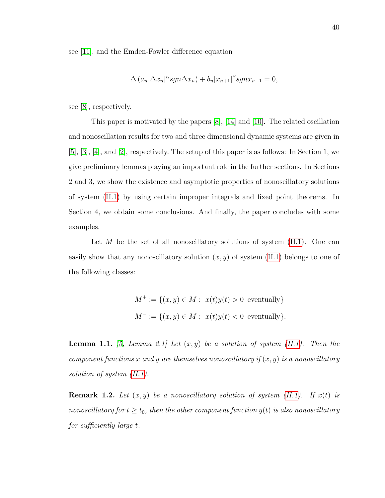see [\[11\]](#page-71-2), and the Emden-Fowler difference equation

$$
\Delta (a_n|\Delta x_n|^{\alpha} sgn\Delta x_n) + b_n |x_{n+1}|^{\beta} sgnx_{n+1} = 0,
$$

see [\[8\]](#page-71-3), respectively.

This paper is motivated by the papers [\[8\]](#page-71-3), [\[14\]](#page-71-4) and [\[10\]](#page-71-5). The related oscillation and nonoscillation results for two and three dimensional dynamic systems are given in [\[5\]](#page-71-6), [\[3\]](#page-71-7), [\[4\]](#page-71-8), and [\[2\]](#page-71-9), respectively. The setup of this paper is as follows: In Section 1, we give preliminary lemmas playing an important role in the further sections. In Sections 2 and 3, we show the existence and asymptotic properties of nonoscillatory solutions of system [\(II.1\)](#page-49-0) by using certain improper integrals and fixed point theorems. In Section 4, we obtain some conclusions. And finally, the paper concludes with some examples.

Let M be the set of all nonoscillatory solutions of system  $(II.1)$ . One can easily show that any nonoscillatory solution  $(x, y)$  of system [\(II.1\)](#page-49-0) belongs to one of the following classes:

$$
M^+ := \{(x, y) \in M : x(t)y(t) > 0 \text{ eventually}\}
$$
  

$$
M^- := \{(x, y) \in M : x(t)y(t) < 0 \text{ eventually}\}.
$$

**Lemma 1.1.** [\[5,](#page-71-6) Lemma 2.1] Let  $(x, y)$  be a solution of system [\(II.1\)](#page-49-0). Then the component functions x and y are themselves nonoscillatory if  $(x, y)$  is a nonoscillatory solution of system [\(II.1\)](#page-49-0).

<span id="page-50-0"></span>**Remark 1.2.** Let  $(x, y)$  be a nonoscillatory solution of system [\(II.1\)](#page-49-0). If  $x(t)$  is nonoscillatory for  $t \geq t_0$ , then the other component function  $y(t)$  is also nonoscillatory for sufficiently large t.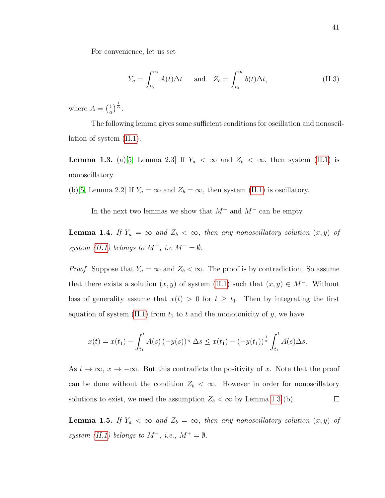For convenience, let us set

$$
Y_a = \int_{t_0}^{\infty} A(t) \Delta t \quad \text{and} \quad Z_b = \int_{t_0}^{\infty} b(t) \Delta t, \tag{II.3}
$$

where  $A = \left(\frac{1}{a}\right)$  $\frac{1}{a}\Big)^{\frac{1}{\alpha}}$ .

The following lemma gives some sufficient conditions for oscillation and nonoscillation of system [\(II.1\)](#page-49-0).

<span id="page-51-0"></span>**Lemma 1.3.** (a)[\[5,](#page-71-6) Lemma 2.3] If  $Y_a < \infty$  and  $Z_b < \infty$ , then system [\(II.1\)](#page-49-0) is nonoscillatory.

(b)[\[5,](#page-71-6) Lemma 2.2] If  $Y_a = \infty$  and  $Z_b = \infty$ , then system [\(II.1\)](#page-49-0) is oscillatory.

In the next two lemmas we show that  $M^+$  and  $M^-$  can be empty.

<span id="page-51-1"></span>**Lemma 1.4.** If  $Y_a = \infty$  and  $Z_b < \infty$ , then any nonoscillatory solution  $(x, y)$  of system [\(II.1\)](#page-49-0) belongs to  $M^+$ , i.e  $M^- = \emptyset$ .

*Proof.* Suppose that  $Y_a = \infty$  and  $Z_b < \infty$ . The proof is by contradiction. So assume that there exists a solution  $(x, y)$  of system [\(II.1\)](#page-49-0) such that  $(x, y) \in M^-$ . Without loss of generality assume that  $x(t) > 0$  for  $t \geq t_1$ . Then by integrating the first equation of system [\(II.1\)](#page-49-0) from  $t_1$  to t and the monotonicity of y, we have

$$
x(t) = x(t_1) - \int_{t_1}^t A(s) (-y(s))^{\frac{1}{\alpha}} \Delta s \leq x(t_1) - (-y(t_1))^{\frac{1}{\alpha}} \int_{t_1}^t A(s) \Delta s.
$$

As  $t \to \infty$ ,  $x \to -\infty$ . But this contradicts the positivity of x. Note that the proof can be done without the condition  $Z_b < \infty$ . However in order for nonoscillatory solutions to exist, we need the assumption  $Z_b < \infty$  by Lemma [1.3](#page-51-0) (b).  $\Box$ 

<span id="page-51-2"></span>**Lemma 1.5.** If  $Y_a < \infty$  and  $Z_b = \infty$ , then any nonoscillatory solution  $(x, y)$  of system [\(II.1\)](#page-49-0) belongs to  $M^-$ , i.e.,  $M^+ = \emptyset$ .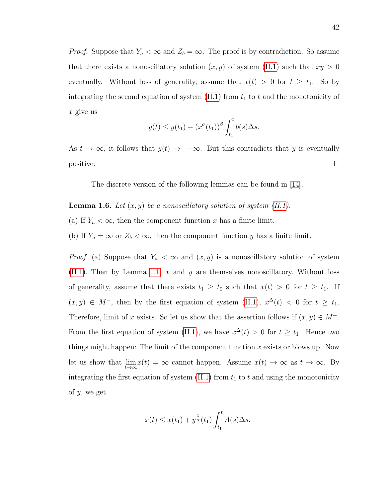*Proof.* Suppose that  $Y_a < \infty$  and  $Z_b = \infty$ . The proof is by contradiction. So assume that there exists a nonoscillatory solution  $(x, y)$  of system [\(II.1\)](#page-49-0) such that  $xy > 0$ eventually. Without loss of generality, assume that  $x(t) > 0$  for  $t \geq t_1$ . So by integrating the second equation of system  $(II.1)$  from  $t_1$  to  $t$  and the monotonicity of  $x$  give us

$$
y(t) \leq y(t_1) - (x^{\sigma}(t_1))^{\beta} \int_{t_1}^t b(s) \Delta s.
$$

As  $t \to \infty$ , it follows that  $y(t) \to -\infty$ . But this contradicts that y is eventually  $\Box$ positive.

The discrete version of the following lemmas can be found in [\[14\]](#page-71-4).

- <span id="page-52-0"></span>**Lemma 1.6.** Let  $(x, y)$  be a nonoscillatory solution of system  $(II.1)$ .
- (a) If  $Y_a < \infty$ , then the component function x has a finite limit.

(b) If  $Y_a = \infty$  or  $Z_b < \infty$ , then the component function y has a finite limit.

*Proof.* (a) Suppose that  $Y_a < \infty$  and  $(x, y)$  is a nonoscillatory solution of system  $(II.1)$ . Then by Lemma [1.1,](#page-74-0) x and y are themselves nonoscillatory. Without loss of generality, assume that there exists  $t_1 \geq t_0$  such that  $x(t) > 0$  for  $t \geq t_1$ . If  $(x, y) \in M^-$ , then by the first equation of system [\(II.1\)](#page-49-0),  $x^{\Delta}(t) < 0$  for  $t \geq t_1$ . Therefore, limit of x exists. So let us show that the assertion follows if  $(x, y) \in M^+$ . From the first equation of system [\(II.1\)](#page-49-0), we have  $x^{\Delta}(t) > 0$  for  $t \geq t_1$ . Hence two things might happen: The limit of the component function  $x$  exists or blows up. Now let us show that  $\lim_{t\to\infty} x(t) = \infty$  cannot happen. Assume  $x(t) \to \infty$  as  $t \to \infty$ . By integrating the first equation of system  $(II.1)$  from  $t_1$  to t and using the monotonicity of y, we get

$$
x(t) \leq x(t_1) + y^{\frac{1}{\alpha}}(t_1) \int_{t_1}^t A(s) \Delta s.
$$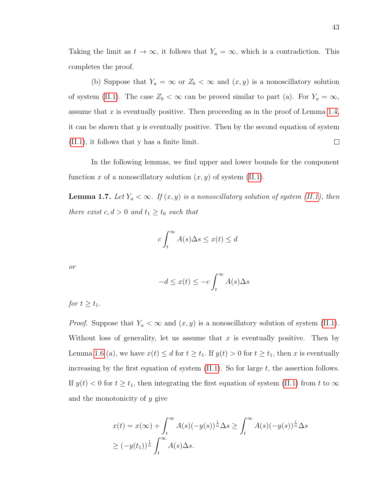Taking the limit as  $t \to \infty$ , it follows that  $Y_a = \infty$ , which is a contradiction. This completes the proof.

(b) Suppose that  $Y_a = \infty$  or  $Z_b < \infty$  and  $(x, y)$  is a nonoscillatory solution of system [\(II.1\)](#page-49-0). The case  $Z_b < \infty$  can be proved similar to part (a). For  $Y_a = \infty$ , assume that  $x$  is eventually positive. Then proceeding as in the proof of Lemma [1.4,](#page-51-1) it can be shown that y is eventually positive. Then by the second equation of system [\(II.1\)](#page-49-0), it follows that y has a finite limit.  $\Box$ 

In the following lemmas, we find upper and lower bounds for the component function x of a nonoscillatory solution  $(x, y)$  of system [\(II.1\)](#page-49-0).

**Lemma 1.7.** Let  $Y_a < \infty$ . If  $(x, y)$  is a nonoscillatory solution of system [\(II.1\)](#page-49-0), then there exist  $c, d > 0$  and  $t_1 \ge t_0$  such that

$$
c \int_t^{\infty} A(s) \Delta s \le x(t) \le d
$$

or

$$
-d \le x(t) \le -c \int_t^\infty A(s) \Delta s
$$

for  $t \geq t_1$ .

*Proof.* Suppose that  $Y_a < \infty$  and  $(x, y)$  is a nonoscillatory solution of system [\(II.1\)](#page-49-0). Without loss of generality, let us assume that  $x$  is eventually positive. Then by Lemma [1.6](#page-52-0) (a), we have  $x(t) \leq d$  for  $t \geq t_1$ . If  $y(t) > 0$  for  $t \geq t_1$ , then x is eventually increasing by the first equation of system  $(II.1)$ . So for large t, the assertion follows. If  $y(t) < 0$  for  $t \ge t_1$ , then integrating the first equation of system [\(II.1\)](#page-49-0) from t to  $\infty$ and the monotonicity of y give

$$
x(t) = x(\infty) + \int_t^{\infty} A(s)(-y(s))^{\frac{1}{\alpha}} \Delta s \ge \int_t^{\infty} A(s)(-y(s))^{\frac{1}{\alpha}} \Delta s
$$
  
 
$$
\ge (-y(t_1))^{\frac{1}{\alpha}} \int_t^{\infty} A(s) \Delta s.
$$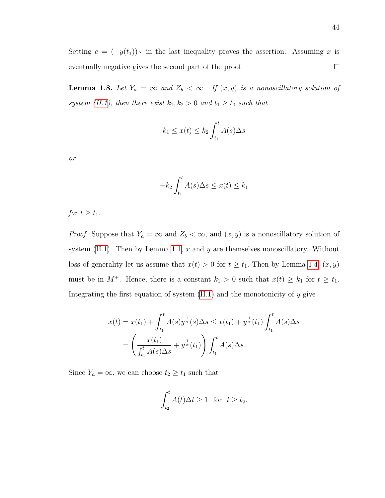Setting  $c = (-y(t_1))^{\frac{1}{\alpha}}$  in the last inequality proves the assertion. Assuming x is eventually negative gives the second part of the proof.  $\Box$ 

**Lemma 1.8.** Let  $Y_a = \infty$  and  $Z_b < \infty$ . If  $(x, y)$  is a nonoscillatory solution of system [\(II.1\)](#page-49-0), then there exist  $k_1, k_2 > 0$  and  $t_1 \ge t_0$  such that

$$
k_1 \le x(t) \le k_2 \int_{t_1}^t A(s) \Delta s
$$

or

$$
-k_2 \int_{t_1}^t A(s) \Delta s \le x(t) \le k_1
$$

for  $t \geq t_1$ .

*Proof.* Suppose that  $Y_a = \infty$  and  $Z_b < \infty$ , and  $(x, y)$  is a nonoscillatory solution of system  $(II.1)$ . Then by Lemma [1.1,](#page-74-0) x and y are themselves nonoscillatory. Without loss of generality let us assume that  $x(t) > 0$  for  $t \ge t_1$ . Then by Lemma [1.4,](#page-51-1)  $(x, y)$ must be in  $M^+$ . Hence, there is a constant  $k_1 > 0$  such that  $x(t) \geq k_1$  for  $t \geq t_1$ . Integrating the first equation of system  $(II.1)$  and the monotonicity of y give

$$
x(t) = x(t_1) + \int_{t_1}^t A(s)y^{\frac{1}{\alpha}}(s)\Delta s \le x(t_1) + y^{\frac{1}{\alpha}}(t_1) \int_{t_1}^t A(s)\Delta s
$$
  
= 
$$
\left(\frac{x(t_1)}{\int_{t_1}^t A(s)\Delta s} + y^{\frac{1}{\alpha}}(t_1)\right) \int_{t_1}^t A(s)\Delta s.
$$

Since  $Y_a = \infty$ , we can choose  $t_2 \ge t_1$  such that

$$
\int_{t_2}^t A(t)\Delta t \ge 1 \text{ for } t \ge t_2.
$$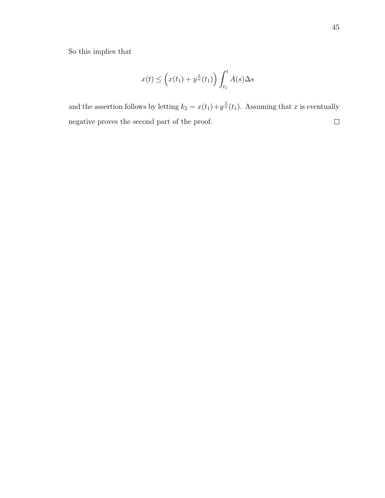So this implies that

$$
x(t) \le \left(x(t_1) + y^{\frac{1}{\alpha}}(t_1)\right) \int_{t_1}^t A(s) \Delta s
$$

and the assertion follows by letting  $k_2 = x(t_1) + y^{\frac{1}{\alpha}}(t_1)$ . Assuming that x is eventually negative proves the second part of the proof. $\Box$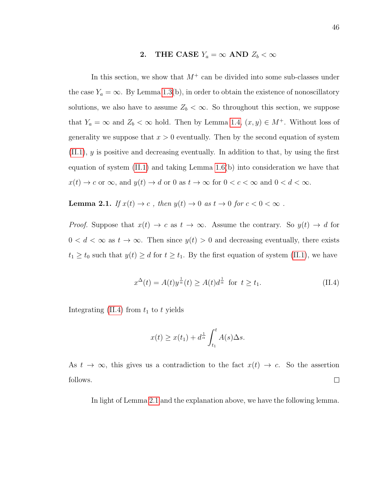# 2. THE CASE  $Y_a = \infty$  AND  $Z_b < \infty$

<span id="page-56-2"></span>In this section, we show that  $M^+$  can be divided into some sub-classes under the case  $Y_a = \infty$ . By Lemma [1.3\(](#page-51-0)b), in order to obtain the existence of nonoscillatory solutions, we also have to assume  $Z_b < \infty$ . So throughout this section, we suppose that  $Y_a = \infty$  and  $Z_b < \infty$  hold. Then by Lemma [1.4,](#page-51-1)  $(x, y) \in M^+$ . Without loss of generality we suppose that  $x > 0$  eventually. Then by the second equation of system  $(II.1)$ ,  $\gamma$  is positive and decreasing eventually. In addition to that, by using the first equation of system  $(II.1)$  and taking Lemma [1.6\(](#page-52-0)b) into consideration we have that  $x(t) \to c$  or  $\infty$ , and  $y(t) \to d$  or 0 as  $t \to \infty$  for  $0 < c < \infty$  and  $0 < d < \infty$ .

<span id="page-56-1"></span>**Lemma 2.1.** If  $x(t) \to c$ , then  $y(t) \to 0$  as  $t \to 0$  for  $c < 0 < \infty$ .

*Proof.* Suppose that  $x(t) \to c$  as  $t \to \infty$ . Assume the contrary. So  $y(t) \to d$  for  $0 < d < \infty$  as  $t \to \infty$ . Then since  $y(t) > 0$  and decreasing eventually, there exists  $t_1 \ge t_0$  such that  $y(t) \ge d$  for  $t \ge t_1$ . By the first equation of system [\(II.1\)](#page-49-0), we have

<span id="page-56-0"></span>
$$
x^{\Delta}(t) = A(t)y^{\frac{1}{\alpha}}(t) \ge A(t)d^{\frac{1}{\alpha}} \text{ for } t \ge t_1.
$$
 (II.4)

Integrating  $(II.4)$  from  $t_1$  to t yields

$$
x(t) \ge x(t_1) + d^{\frac{1}{\alpha}} \int_{t_1}^t A(s) \Delta s.
$$

As  $t \to \infty$ , this gives us a contradiction to the fact  $x(t) \to c$ . So the assertion follows.  $\Box$ 

In light of Lemma [2.1](#page-56-1) and the explanation above, we have the following lemma.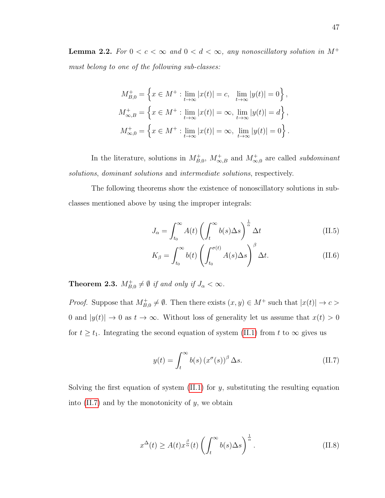**Lemma 2.2.** For  $0 < c < \infty$  and  $0 < d < \infty$ , any nonoscillatory solution in M<sup>+</sup> must belong to one of the following sub-classes:

$$
M_{B,0}^{+} = \left\{ x \in M^{+} : \lim_{t \to \infty} |x(t)| = c, \lim_{t \to \infty} |y(t)| = 0 \right\},\,
$$
  

$$
M_{\infty,B}^{+} = \left\{ x \in M^{+} : \lim_{t \to \infty} |x(t)| = \infty, \lim_{t \to \infty} |y(t)| = d \right\},\,
$$
  

$$
M_{\infty,0}^{+} = \left\{ x \in M^{+} : \lim_{t \to \infty} |x(t)| = \infty, \lim_{t \to \infty} |y(t)| = 0 \right\}.
$$

In the literature, solutions in  $M^+_{B,0}$ ,  $M^+_{\infty,B}$  and  $M^+_{\infty,0}$  are called *subdominant* solutions, dominant solutions and intermediate solutions, respectively.

The following theorems show the existence of nonoscillatory solutions in subclasses mentioned above by using the improper integrals:

$$
J_{\alpha} = \int_{t_0}^{\infty} A(t) \left( \int_t^{\infty} b(s) \Delta s \right)^{\frac{1}{\alpha}} \Delta t \tag{II.5}
$$

$$
K_{\beta} = \int_{t_0}^{\infty} b(t) \left( \int_{t_0}^{\sigma(t)} A(s) \Delta s \right)^{\beta} \Delta t.
$$
 (II.6)

<span id="page-57-2"></span>**Theorem 2.3.**  $M_{B,0}^+ \neq \emptyset$  if and only if  $J_\alpha < \infty$ .

*Proof.* Suppose that  $M_{B,0}^+ \neq \emptyset$ . Then there exists  $(x, y) \in M^+$  such that  $|x(t)| \to c$ 0 and  $|y(t)| \to 0$  as  $t \to \infty$ . Without loss of generality let us assume that  $x(t) > 0$ for  $t \geq t_1$ . Integrating the second equation of system [\(II.1\)](#page-49-0) from t to  $\infty$  gives us

<span id="page-57-0"></span>
$$
y(t) = \int_{t}^{\infty} b(s) (x^{\sigma}(s))^{\beta} \Delta s.
$$
 (II.7)

Solving the first equation of system  $(II.1)$  for y, substituting the resulting equation into  $(II.7)$  and by the monotonicity of y, we obtain

<span id="page-57-1"></span>
$$
x^{\Delta}(t) \ge A(t)x^{\frac{\beta}{\alpha}}(t)\left(\int_{t}^{\infty}b(s)\Delta s\right)^{\frac{1}{\alpha}}.
$$
\n(II.8)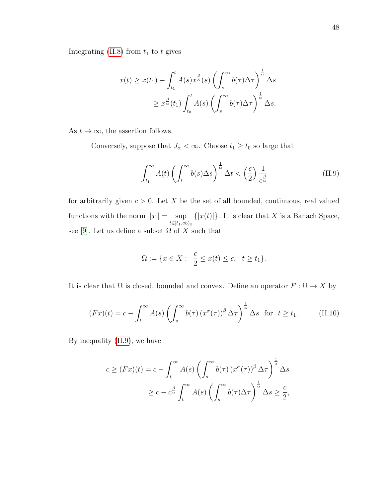Integrating [\(II.8\)](#page-57-1) from  $t_1$  to  $t$  gives

$$
x(t) \geq x(t_1) + \int_{t_1}^t A(s) x^{\frac{\beta}{\alpha}}(s) \left( \int_s^{\infty} b(\tau) \Delta \tau \right)^{\frac{1}{\alpha}} \Delta s
$$
  
 
$$
\geq x^{\frac{\beta}{\alpha}}(t_1) \int_{t_0}^t A(s) \left( \int_s^{\infty} b(\tau) \Delta \tau \right)^{\frac{1}{\alpha}} \Delta s.
$$

As  $t \to \infty$ , the assertion follows.

Conversely, suppose that  $J_{\alpha} < \infty$ . Choose  $t_1 \geq t_0$  so large that

<span id="page-58-0"></span>
$$
\int_{t_1}^{\infty} A(t) \left( \int_t^{\infty} b(s) \Delta s \right)^{\frac{1}{\alpha}} \Delta t < \left( \frac{c}{2} \right) \frac{1}{c^{\frac{\beta}{\alpha}}} \tag{II.9}
$$

for arbitrarily given  $c > 0$ . Let X be the set of all bounded, continuous, real valued functions with the norm  $||x|| = \sup$  $t\in[t_1,\infty)_{\mathbb{T}}$  $\{|x(t)|\}$ . It is clear that X is a Banach Space, see [\[9\]](#page-71-10). Let us define a subset  $\Omega$  of X such that

$$
\Omega := \{ x \in X : \ \frac{c}{2} \le x(t) \le c, \ t \ge t_1 \}.
$$

It is clear that  $\Omega$  is closed, bounded and convex. Define an operator  $F : \Omega \to X$  by

$$
(Fx)(t) = c - \int_t^{\infty} A(s) \left( \int_s^{\infty} b(\tau) \left( x^{\sigma}(\tau) \right)^{\beta} \Delta \tau \right)^{\frac{1}{\alpha}} \Delta s \text{ for } t \ge t_1.
$$
 (II.10)

By inequality [\(II.9\)](#page-58-0), we have

$$
c \geq (Fx)(t) = c - \int_t^{\infty} A(s) \left( \int_s^{\infty} b(\tau) (x^{\sigma}(\tau))^{\beta} \Delta \tau \right)^{\frac{1}{\alpha}} \Delta s
$$
  

$$
\geq c - c^{\frac{\beta}{\alpha}} \int_t^{\infty} A(s) \left( \int_s^{\infty} b(\tau) \Delta \tau \right)^{\frac{1}{\alpha}} \Delta s \geq \frac{c}{2},
$$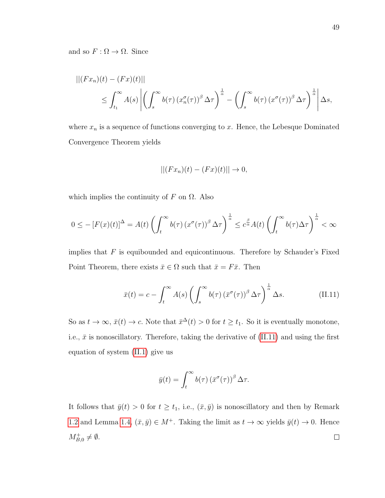and so  $F : \Omega \to \Omega$ . Since

$$
||(Fx_n)(t) - (Fx)(t)||
$$
  
\n
$$
\leq \int_{t_1}^{\infty} A(s) \left| \left( \int_s^{\infty} b(\tau) \left( x_n^{\sigma}(\tau) \right)^{\beta} \Delta \tau \right)^{\frac{1}{\alpha}} - \left( \int_s^{\infty} b(\tau) \left( x^{\sigma}(\tau) \right)^{\beta} \Delta \tau \right)^{\frac{1}{\alpha}} \right| \Delta s,
$$

where  $x_n$  is a sequence of functions converging to x. Hence, the Lebesque Dominated Convergence Theorem yields

$$
||(Fx_n)(t) - (Fx)(t)|| \rightarrow 0,
$$

which implies the continuity of  $F$  on  $\Omega$ . Also

$$
0 \leq -\left[F(x)(t)\right]^{\Delta} = A(t) \left(\int_{t}^{\infty} b(\tau) \left(x^{\sigma}(\tau)\right)^{\beta} \Delta \tau\right)^{\frac{1}{\alpha}} \leq c^{\frac{\beta}{\alpha}} A(t) \left(\int_{t}^{\infty} b(\tau) \Delta \tau\right)^{\frac{1}{\alpha}} < \infty
$$

implies that  $F$  is equibounded and equicontinuous. Therefore by Schauder's Fixed Point Theorem, there exists  $\bar{x} \in \Omega$  such that  $\bar{x} = F\bar{x}$ . Then

<span id="page-59-0"></span>
$$
\bar{x}(t) = c - \int_{t}^{\infty} A(s) \left( \int_{s}^{\infty} b(\tau) \left( \bar{x}^{\sigma}(\tau) \right)^{\beta} \Delta \tau \right)^{\frac{1}{\alpha}} \Delta s. \tag{II.11}
$$

So as  $t \to \infty$ ,  $\bar{x}(t) \to c$ . Note that  $\bar{x}^{\Delta}(t) > 0$  for  $t \geq t_1$ . So it is eventually monotone, i.e.,  $\bar{x}$  is nonoscillatory. Therefore, taking the derivative of [\(II.11\)](#page-59-0) and using the first equation of system [\(II.1\)](#page-49-0) give us

$$
\bar{y}(t) = \int_t^{\infty} b(\tau) \left(\bar{x}^{\sigma}(\tau)\right)^{\beta} \Delta \tau.
$$

<span id="page-59-1"></span>It follows that  $\bar{y}(t) > 0$  for  $t \geq t_1$ , i.e.,  $(\bar{x}, \bar{y})$  is nonoscillatory and then by Remark [1.2](#page-50-0) and Lemma [1.4,](#page-51-1)  $(\bar{x}, \bar{y}) \in M^+$ . Taking the limit as  $t \to \infty$  yields  $\bar{y}(t) \to 0$ . Hence  $M_{B,0}^+ \neq \emptyset$ .  $\Box$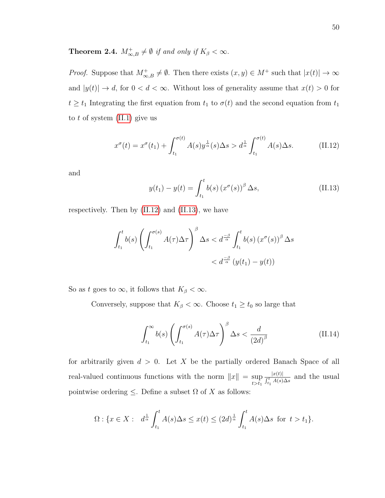# **Theorem 2.4.**  $M_{\infty,B}^+ \neq \emptyset$  if and only if  $K_\beta < \infty$ .

*Proof.* Suppose that  $M_{\infty,B}^+ \neq \emptyset$ . Then there exists  $(x, y) \in M^+$  such that  $|x(t)| \to \infty$ and  $|y(t)| \to d$ , for  $0 < d < \infty$ . Without loss of generality assume that  $x(t) > 0$  for  $t \ge t_1$  Integrating the first equation from  $t_1$  to  $\sigma(t)$  and the second equation from  $t_1$ to t of system  $(II.1)$  give us

<span id="page-60-0"></span>
$$
x^{\sigma}(t) = x^{\sigma}(t_1) + \int_{t_1}^{\sigma(t)} A(s) y^{\frac{1}{\alpha}}(s) \Delta s > d^{\frac{1}{\alpha}} \int_{t_1}^{\sigma(t)} A(s) \Delta s.
$$
 (II.12)

and

<span id="page-60-1"></span>
$$
y(t_1) - y(t) = \int_{t_1}^t b(s) (x^{\sigma}(s))^{\beta} \Delta s,
$$
 (II.13)

respectively. Then by [\(II.12\)](#page-60-0) and [\(II.13\)](#page-60-1), we have

$$
\int_{t_1}^t b(s) \left( \int_{t_1}^{\sigma(s)} A(\tau) \Delta \tau \right) \Delta s < d^{\frac{-\beta}{\alpha}} \int_{t_1}^t b(s) \left( x^{\sigma}(s) \right)^{\beta} \Delta s \\
&< d^{\frac{-\beta}{\alpha}} \left( y(t_1) - y(t) \right)
$$

So as t goes to  $\infty$ , it follows that  $K_\beta < \infty$ .

Conversely, suppose that  $K_{\beta} < \infty$ . Choose  $t_1 \geq t_0$  so large that

$$
\int_{t_1}^{\infty} b(s) \left( \int_{t_1}^{\sigma(s)} A(\tau) \Delta \tau \right)^{\beta} \Delta s < \frac{d}{(2d)^{\beta}} \tag{II.14}
$$

for arbitrarily given  $d > 0$ . Let X be the partially ordered Banach Space of all real-valued continuous functions with the norm  $||x|| = \sup$  $t > t_1$  $|x(t)|$  $\frac{|x(t)|}{\int_{t_1}^t A(s)\Delta s}$  and the usual pointwise ordering  $\leq$ . Define a subset  $\Omega$  of X as follows:

$$
\Omega: \{x \in X: d^{\frac{1}{\alpha}} \int_{t_1}^t A(s) \Delta s \le x(t) \le (2d)^{\frac{1}{\alpha}} \int_{t_1}^t A(s) \Delta s \text{ for } t > t_1\}.
$$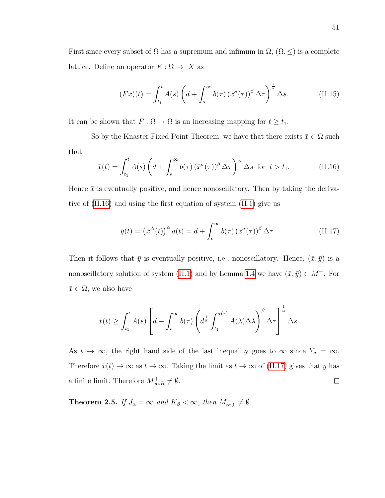First since every subset of  $\Omega$  has a supremum and infimum in  $\Omega$ ,  $(\Omega, \leq)$  is a complete lattice. Define an operator  $F : \Omega \to X$  as

$$
(Fx)(t) = \int_{t_1}^t A(s) \left( d + \int_s^\infty b(\tau) \left( x^\sigma(\tau) \right)^\beta \Delta \tau \right)^{\frac{1}{\alpha}} \Delta s. \tag{II.15}
$$

It can be shown that  $F: \Omega \to \Omega$  is an increasing mapping for  $t \geq t_1$ .

So by the Knaster Fixed Point Theorem, we have that there exists  $\bar{x} \in \Omega$  such that

<span id="page-61-0"></span>
$$
\bar{x}(t) = \int_{t_1}^t A(s) \left( d + \int_s^\infty b(\tau) \left( \bar{x}^\sigma(\tau) \right)^\beta \Delta \tau \right)^{\frac{1}{\alpha}} \Delta s \text{ for } t > t_1. \tag{II.16}
$$

Hence  $\bar{x}$  is eventually positive, and hence nonoscillatory. Then by taking the derivative of [\(II.16\)](#page-61-0) and using the first equation of system [\(II.1\)](#page-49-0) give us

<span id="page-61-1"></span>
$$
\bar{y}(t) = (\bar{x}^{\Delta}(t))^{\alpha} a(t) = d + \int_{t}^{\infty} b(\tau) (\bar{x}^{\sigma}(\tau))^{\beta} \Delta \tau.
$$
 (II.17)

Then it follows that  $\bar{y}$  is eventually positive, i.e., nonoscillatory. Hence,  $(\bar{x}, \bar{y})$  is a nonoscillatory solution of system [\(II.1\)](#page-49-0) and by Lemma [1.4](#page-51-1) we have  $(\bar{x}, \bar{y}) \in M^+$ . For  $\bar{x} \in \Omega$ , we also have

$$
\bar{x}(t) \ge \int_{t_1}^t A(s) \left[ d + \int_s^{\infty} b(\tau) \left( d^{\frac{1}{\alpha}} \int_{t_1}^{\sigma(\tau)} A(\lambda) \Delta \lambda \right)^{\beta} \Delta \tau \right]^{\frac{1}{\alpha}} \Delta s
$$

As  $t \to \infty$ , the right hand side of the last inequality goes to  $\infty$  since  $Y_a = \infty$ . Therefore  $\bar{x}(t) \to \infty$  as  $t \to \infty$ . Taking the limit as  $t \to \infty$  of [\(II.17\)](#page-61-1) gives that y has a finite limit. Therefore  $M_{\infty,B}^+ \neq \emptyset$ .  $\Box$ 

<span id="page-61-2"></span>**Theorem 2.5.** If  $J_{\alpha} = \infty$  and  $K_{\beta} < \infty$ , then  $M_{\infty,0}^{+} \neq \emptyset$ .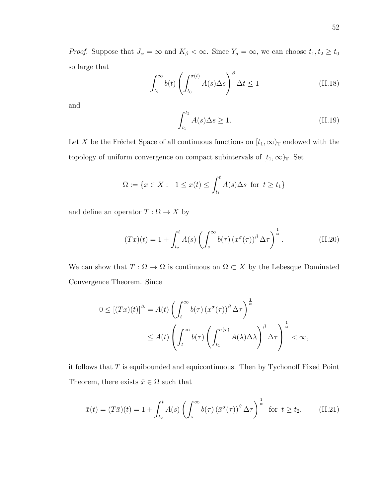*Proof.* Suppose that  $J_{\alpha} = \infty$  and  $K_{\beta} < \infty$ . Since  $Y_a = \infty$ , we can choose  $t_1, t_2 \ge t_0$ so large that  $\overline{B}$ 

$$
\int_{t_2}^{\infty} b(t) \left( \int_{t_0}^{\sigma(t)} A(s) \Delta s \right)^{\beta} \Delta t \le 1
$$
\n(II.18)

and

$$
\int_{t_1}^{t_2} A(s) \Delta s \ge 1.
$$
\n(II.19)

Let X be the Fréchet Space of all continuous functions on  $[t_1,\infty)_\mathbb{T}$  endowed with the topology of uniform convergence on compact subintervals of  $[t_1,\infty)_\mathbb{T}$ . Set

$$
\Omega := \{ x \in X : 1 \le x(t) \le \int_{t_1}^t A(s) \Delta s \text{ for } t \ge t_1 \}
$$

and define an operator  $T:\Omega\rightarrow X$  by

$$
(Tx)(t) = 1 + \int_{t_2}^t A(s) \left( \int_s^\infty b(\tau) \left( x^\sigma(\tau) \right)^\beta \Delta \tau \right)^\frac{1}{\alpha}.
$$
 (II.20)

We can show that  $T : \Omega \to \Omega$  is continuous on  $\Omega \subset X$  by the Lebesque Dominated Convergence Theorem. Since

$$
0 \leq [(Tx)(t)]^{\Delta} = A(t) \left( \int_{t}^{\infty} b(\tau) (x^{\sigma}(\tau))^{\beta} \Delta \tau \right)^{\frac{1}{\alpha}}
$$
  
 
$$
\leq A(t) \left( \int_{t}^{\infty} b(\tau) \left( \int_{t_{1}}^{\sigma(\tau)} A(\lambda) \Delta \lambda \right)^{\beta} \Delta \tau \right)^{\frac{1}{\alpha}} < \infty,
$$

it follows that  $T$  is equibounded and equicontinuous. Then by Tychonoff Fixed Point Theorem, there exists  $\bar{x} \in \Omega$  such that

<span id="page-62-0"></span>
$$
\bar{x}(t) = (T\bar{x})(t) = 1 + \int_{t_2}^t A(s) \left( \int_s^\infty b(\tau) \left( \bar{x}^\sigma(\tau) \right)^\beta \Delta \tau \right)^{\frac{1}{\alpha}} \text{ for } t \ge t_2. \tag{II.21}
$$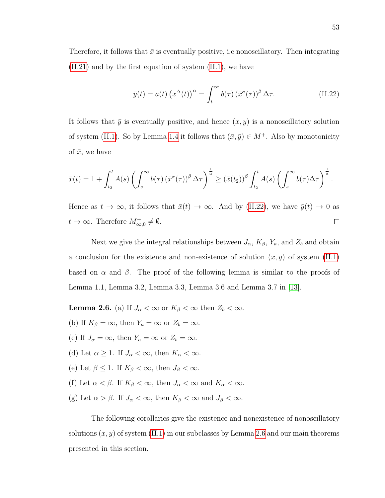Therefore, it follows that  $\bar{x}$  is eventually positive, i.e nonoscillatory. Then integrating [\(II.21\)](#page-62-0) and by the first equation of system [\(II.1\)](#page-49-0), we have

<span id="page-63-0"></span>
$$
\bar{y}(t) = a(t) \left( x^{\Delta}(t) \right)^{\alpha} = \int_{t}^{\infty} b(\tau) \left( \bar{x}^{\sigma}(\tau) \right)^{\beta} \Delta \tau.
$$
 (II.22)

It follows that  $\bar{y}$  is eventually positive, and hence  $(x, y)$  is a nonoscillatory solution of system [\(II.1\)](#page-49-0). So by Lemma [1.4](#page-51-1) it follows that  $(\bar{x}, \bar{y}) \in M^+$ . Also by monotonicity of  $\bar{x}$ , we have

$$
\bar{x}(t) = 1 + \int_{t_2}^t A(s) \left( \int_s^{\infty} b(\tau) \left( \bar{x}^{\sigma}(\tau) \right)^{\beta} \Delta \tau \right)^{\frac{1}{\alpha}} \geq \left( \bar{x}(t_2) \right)^{\beta} \int_{t_2}^t A(s) \left( \int_s^{\infty} b(\tau) \Delta \tau \right)^{\frac{1}{\alpha}}.
$$

Hence as  $t \to \infty$ , it follows that  $\bar{x}(t) \to \infty$ . And by [\(II.22\)](#page-63-0), we have  $\bar{y}(t) \to 0$  as  $t \to \infty$ . Therefore  $M_{\infty,0}^+ \neq \emptyset$ .  $\Box$ 

Next we give the integral relationships between  $J_{\alpha}$ ,  $K_{\beta}$ ,  $Y_a$ , and  $Z_b$  and obtain a conclusion for the existence and non-existence of solution  $(x, y)$  of system [\(II.1\)](#page-49-0) based on  $\alpha$  and  $\beta$ . The proof of the following lemma is similar to the proofs of Lemma 1.1, Lemma 3.2, Lemma 3.3, Lemma 3.6 and Lemma 3.7 in [\[13\]](#page-71-11).

<span id="page-63-1"></span>**Lemma 2.6.** (a) If  $J_{\alpha} < \infty$  or  $K_{\beta} < \infty$  then  $Z_b < \infty$ .

- (b) If  $K_{\beta} = \infty$ , then  $Y_a = \infty$  or  $Z_b = \infty$ .
- (c) If  $J_{\alpha} = \infty$ , then  $Y_a = \infty$  or  $Z_b = \infty$ .
- (d) Let  $\alpha \geq 1$ . If  $J_{\alpha} < \infty$ , then  $K_{\alpha} < \infty$ .
- (e) Let  $\beta \leq 1$ . If  $K_{\beta} < \infty$ , then  $J_{\beta} < \infty$ .
- (f) Let  $\alpha < \beta$ . If  $K_{\beta} < \infty$ , then  $J_{\alpha} < \infty$  and  $K_{\alpha} < \infty$ .
- (g) Let  $\alpha > \beta$ . If  $J_{\alpha} < \infty$ , then  $K_{\beta} < \infty$  and  $J_{\beta} < \infty$ .

The following corollaries give the existence and nonexistence of nonoscillatory solutions  $(x, y)$  of system [\(II.1\)](#page-49-0) in our subclasses by Lemma [2.6](#page-63-1) and our main theorems presented in this section.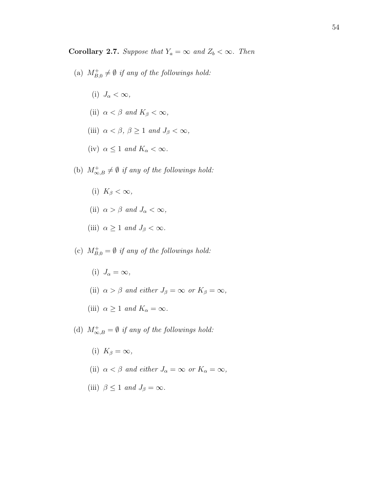**Corollary 2.7.** Suppose that  $Y_a = \infty$  and  $Z_b < \infty$ . Then

- (a)  $M_{B,0}^+ \neq \emptyset$  if any of the followings hold:
	- (i)  $J_{\alpha} < \infty$ ,
	- (ii)  $\alpha < \beta$  and  $K_{\beta} < \infty$ ,
	- (iii)  $\alpha < \beta, \beta \ge 1$  and  $J_{\beta} < \infty$ ,
	- (iv)  $\alpha \leq 1$  and  $K_{\alpha} < \infty$ .
- (b)  $M^+_{\infty,B} \neq \emptyset$  if any of the followings hold:
	- (i)  $K_{\beta} < \infty$ ,
	- (ii)  $\alpha > \beta$  and  $J_{\alpha} < \infty$ ,
	- (iii)  $\alpha \geq 1$  and  $J_{\beta} < \infty$ .
- (c)  $M_{B,0}^+ = \emptyset$  if any of the followings hold:
	- (i)  $J_{\alpha} = \infty$ ,
	- (ii)  $\alpha > \beta$  and either  $J_{\beta} = \infty$  or  $K_{\beta} = \infty$ ,
	- (iii)  $\alpha \geq 1$  and  $K_{\alpha} = \infty$ .
- (d)  $M^+_{\infty,B} = \emptyset$  if any of the followings hold:
	- (i)  $K_{\beta} = \infty$ ,
	- (ii)  $\alpha < \beta$  and either  $J_{\alpha} = \infty$  or  $K_{\alpha} = \infty$ ,
	- (iii)  $\beta \leq 1$  and  $J_{\beta} = \infty$ .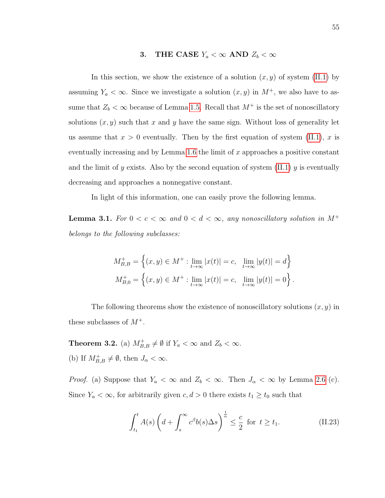# 3. THE CASE  $Y_a < \infty$  AND  $Z_b < \infty$

<span id="page-65-0"></span>In this section, we show the existence of a solution  $(x, y)$  of system [\(II.1\)](#page-49-0) by assuming  $Y_a < \infty$ . Since we investigate a solution  $(x, y)$  in  $M^+$ , we also have to assume that  $Z_b < \infty$  because of Lemma [1.5.](#page-51-2) Recall that  $M^+$  is the set of nonoscillatory solutions  $(x, y)$  such that x and y have the same sign. Without loss of generality let us assume that  $x > 0$  eventually. Then by the first equation of system [\(II.1\)](#page-49-0), x is eventually increasing and by Lemma [1.6](#page-52-0) the limit of  $x$  approaches a positive constant and the limit of y exists. Also by the second equation of system  $(II.1)$  y is eventually decreasing and approaches a nonnegative constant.

In light of this information, one can easily prove the following lemma.

**Lemma 3.1.** For  $0 < c < \infty$  and  $0 < d < \infty$ , any nonoscillatory solution in M<sup>+</sup> belongs to the following subclasses:

$$
M_{B,B}^+ = \left\{ (x, y) \in M^+ : \lim_{t \to \infty} |x(t)| = c, \lim_{t \to \infty} |y(t)| = d \right\}
$$
  

$$
M_{B,0}^+ = \left\{ (x, y) \in M^+ : \lim_{t \to \infty} |x(t)| = c, \lim_{t \to \infty} |y(t)| = 0 \right\}.
$$

The following theorems show the existence of nonoscillatory solutions  $(x, y)$  in these subclasses of  $M^+$ .

**Theorem 3.2.** (a)  $M_{B,B}^+ \neq \emptyset$  if  $Y_a < \infty$  and  $Z_b < \infty$ . (b) If  $M_{B,B}^+ \neq \emptyset$ , then  $J_{\alpha} < \infty$ .

*Proof.* (a) Suppose that  $Y_a < \infty$  and  $Z_b < \infty$ . Then  $J_\alpha < \infty$  by Lemma [2.6](#page-63-1) (c). Since  $Y_a < \infty$ , for arbitrarily given  $c, d > 0$  there exists  $t_1 \ge t_0$  such that

$$
\int_{t_1}^t A(s) \left( d + \int_s^\infty c^\beta b(s) \Delta s \right)^{\frac{1}{\alpha}} \le \frac{c}{2} \text{ for } t \ge t_1.
$$
 (II.23)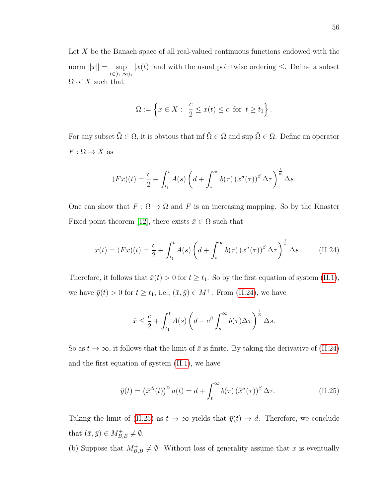Let X be the Banach space of all real-valued continuous functions endowed with the norm  $||x|| = \sup$  $t\in[t_1,\infty)_{\mathbb{T}}$  $|x(t)|$  and with the usual pointwise ordering  $\leq$ . Define a subset  $\Omega$  of X such that

$$
\Omega := \left\{ x \in X : \begin{array}{l} \frac{c}{2} \leq x(t) \leq c \text{ for } t \geq t_1 \end{array} \right\}.
$$

For any subset  $\tilde{\Omega} \in \Omega$ , it is obvious that inf  $\tilde{\Omega} \in \Omega$  and sup  $\tilde{\Omega} \in \Omega$ . Define an operator  $F: \Omega \to X$  as

$$
(Fx)(t) = \frac{c}{2} + \int_{t_1}^t A(s) \left( d + \int_s^{\infty} b(\tau) \left( x^{\sigma}(\tau) \right)^{\beta} \Delta \tau \right)^{\frac{1}{\alpha}} \Delta s.
$$

One can show that  $F: \Omega \to \Omega$  and F is an increasing mapping. So by the Knaster Fixed point theorem [\[12\]](#page-71-12), there exists  $\bar{x} \in \Omega$  such that

<span id="page-66-0"></span>
$$
\bar{x}(t) = (F\bar{x})(t) = \frac{c}{2} + \int_{t_1}^t A(s) \left( d + \int_s^\infty b(\tau) \left( \bar{x}^\sigma(\tau) \right)^\beta \Delta \tau \right)^\frac{1}{\alpha} \Delta s. \tag{II.24}
$$

Therefore, it follows that  $\bar{x}(t) > 0$  for  $t \geq t_1$ . So by the first equation of system [\(II.1\)](#page-49-0), we have  $\bar{y}(t) > 0$  for  $t \geq t_1$ , i.e.,  $(\bar{x}, \bar{y}) \in M^+$ . From [\(II.24\)](#page-66-0), we have

$$
\bar{x} \leq \frac{c}{2} + \int_{t_1}^t A(s) \left( d + c^\beta \int_s^\infty b(\tau) \Delta \tau \right)^{\frac{1}{\alpha}} \Delta s.
$$

So as  $t \to \infty$ , it follows that the limit of  $\bar{x}$  is finite. By taking the derivative of [\(II.24\)](#page-66-0) and the first equation of system [\(II.1\)](#page-49-0), we have

<span id="page-66-1"></span>
$$
\bar{y}(t) = (\bar{x}^{\Delta}(t))^{\alpha} a(t) = d + \int_{t}^{\infty} b(\tau) (\bar{x}^{\sigma}(\tau))^{\beta} \Delta \tau.
$$
 (II.25)

Taking the limit of [\(II.25\)](#page-66-1) as  $t \to \infty$  yields that  $\bar{y}(t) \to d$ . Therefore, we conclude that  $(\bar{x}, \bar{y}) \in M_{B,B}^+ \neq \emptyset$ .

(b) Suppose that  $M_{B,B}^+\neq\emptyset$ . Without loss of generality assume that x is eventually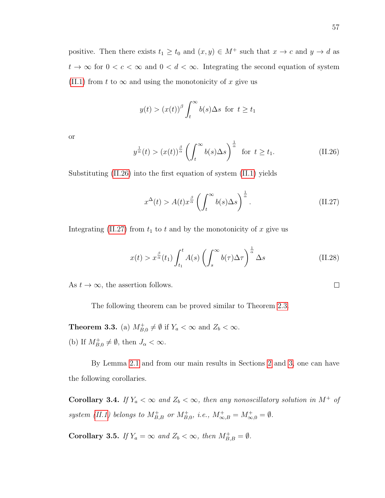positive. Then there exists  $t_1 \ge t_0$  and  $(x, y) \in M^+$  such that  $x \to c$  and  $y \to d$  as  $t \to \infty$  for  $0 < c < \infty$  and  $0 < d < \infty$ . Integrating the second equation of system [\(II.1\)](#page-49-0) from t to  $\infty$  and using the monotonicity of x give us

$$
y(t) > (x(t))^\beta \int_t^\infty b(s) \Delta s
$$
 for  $t \ge t_1$ 

or

<span id="page-67-0"></span>
$$
y^{\frac{1}{\alpha}}(t) > (x(t))^{\frac{\beta}{\alpha}} \left( \int_{t}^{\infty} b(s) \Delta s \right)^{\frac{1}{\alpha}} \text{ for } t \ge t_1. \tag{II.26}
$$

Substituting [\(II.26\)](#page-67-0) into the first equation of system [\(II.1\)](#page-49-0) yields

<span id="page-67-1"></span>
$$
x^{\Delta}(t) > A(t)x^{\frac{\beta}{\alpha}} \left(\int_{t}^{\infty} b(s)\Delta s\right)^{\frac{1}{\alpha}}.
$$
 (II.27)

Integrating [\(II.27\)](#page-67-1) from  $t_1$  to  $t$  and by the monotonicity of  $x$  give us

$$
x(t) > x^{\frac{\beta}{\alpha}}(t_1) \int_{t_1}^t A(s) \left( \int_s^\infty b(\tau) \Delta \tau \right)^{\frac{1}{\alpha}} \Delta s \tag{II.28}
$$

As  $t \to \infty$ , the assertion follows.

The following theorem can be proved similar to Theorem [2.3.](#page-57-2)

**Theorem 3.3.** (a)  $M_{B,0}^+ \neq \emptyset$  if  $Y_a < \infty$  and  $Z_b < \infty$ . (b) If  $M_{B,0}^+ \neq \emptyset$ , then  $J_\alpha < \infty$ .

By Lemma [2.1](#page-56-1) and from our main results in Sections [2](#page-56-2) and [3,](#page-65-0) one can have the following corollaries.

Corollary 3.4. If  $Y_a < \infty$  and  $Z_b < \infty$ , then any nonoscillatory solution in  $M^+$  of system [\(II.1\)](#page-49-0) belongs to  $M_{B,B}^+$  or  $M_{B,0}^+$ , i.e.,  $M_{\infty,B}^+ = M_{\infty,0}^+ = \emptyset$ .

**Corollary 3.5.** If  $Y_a = \infty$  and  $Z_b < \infty$ , then  $M_{B,B}^+ = \emptyset$ .

 $\Box$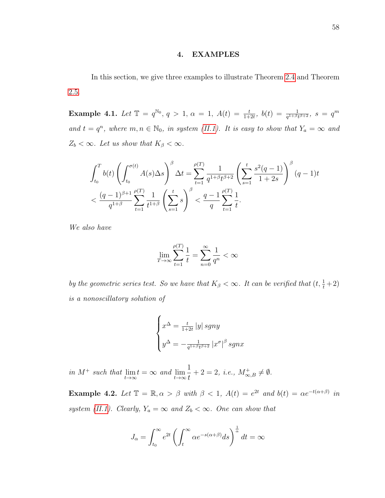## 4. EXAMPLES

In this section, we give three examples to illustrate Theorem [2.4](#page-59-1) and Theorem [2.5.](#page-61-2)

Example 4.1. Let  $\mathbb{T} = q^{\mathbb{N}_0}, q > 1, \alpha = 1, A(t) = \frac{t}{1+2t}, b(t) = \frac{1}{q^{1+\beta}t^{\beta+2}}, s = q^m$ and  $t = q^n$ , where  $m, n \in \mathbb{N}_0$ , in system [\(II.1\)](#page-49-0). It is easy to show that  $Y_a = \infty$  and  $Z_b < \infty$ . Let us show that  $K_\beta < \infty$ .

$$
\int_{t_0}^{T} b(t) \left( \int_{t_0}^{\sigma(t)} A(s) \Delta s \right)^{\beta} \Delta t = \sum_{t=1}^{\rho(T)} \frac{1}{q^{1+\beta} t^{\beta+2}} \left( \sum_{s=1}^{t} \frac{s^2 (q-1)}{1+2s} \right)^{\beta} (q-1)t
$$
  

$$
< \frac{(q-1)^{\beta+1}}{q^{1+\beta}} \sum_{t=1}^{\rho(T)} \frac{1}{t^{1+\beta}} \left( \sum_{s=1}^{t} s \right)^{\beta} < \frac{q-1}{q} \sum_{t=1}^{\rho(T)} \frac{1}{t}.
$$

We also have

$$
\lim_{T \to \infty} \sum_{t=1}^{\rho(T)} \frac{1}{t} = \sum_{n=0}^{\infty} \frac{1}{q^n} < \infty
$$

by the geometric series test. So we have that  $K_{\beta} < \infty$ . It can be verified that  $(t, \frac{1}{t} + 2)$ is a nonoscillatory solution of

$$
\begin{cases}\nx^{\Delta} = \frac{t}{1+2t} |y| \operatorname{sgn}y \\
y^{\Delta} = -\frac{1}{q^{1+\beta}t^{\beta+2}} |x^{\sigma}|^{\beta} \operatorname{sgn}x\n\end{cases}
$$

in  $M^+$  such that  $\lim_{t \to \infty} t = \infty$  and  $\lim_{t \to \infty}$ 1 t  $+ 2 = 2, i.e., M^+_{\infty, B} \neq \emptyset.$ 

**Example 4.2.** Let  $\mathbb{T} = \mathbb{R}, \alpha > \beta$  with  $\beta < 1$ ,  $A(t) = e^{2t}$  and  $b(t) = \alpha e^{-t(\alpha+\beta)}$  in system [\(II.1\)](#page-49-0). Clearly,  $Y_a = \infty$  and  $Z_b < \infty$ . One can show that

$$
J_{\alpha} = \int_{t_0}^{\infty} e^{2t} \left( \int_t^{\infty} \alpha e^{-s(\alpha+\beta)} ds \right)^{\frac{1}{\alpha}} dt = \infty
$$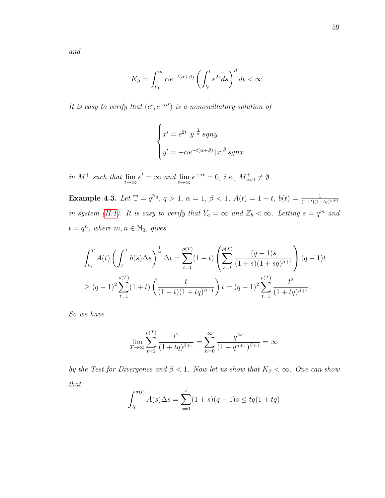It is easy to verify that  $(e^t, e^{-\alpha t})$  is a nonoscillatory solution of

$$
\begin{cases}\nx' = e^{2t} |y|^{\frac{1}{\alpha}} \operatorname{sgn}y \\
y' = -\alpha e^{-t(\alpha+\beta)} |x|^{\beta} \operatorname{sgn}x\n\end{cases}
$$

in  $M^+$  such that  $\lim_{t \to \infty} e^t = \infty$  and  $\lim_{t \to \infty} e^{-\alpha t} = 0$ , i.e.,  $M^+_{\infty,0} \neq \emptyset$ .

Example 4.3. Let  $\mathbb{T} = q^{\mathbb{N}_0}$ ,  $q > 1$ ,  $\alpha = 1$ ,  $\beta < 1$ ,  $A(t) = 1 + t$ ,  $b(t) = \frac{1}{(1+t)(1+tq)^{\beta+1}}$ in system [\(II.1\)](#page-49-0). It is easy to verify that  $Y_a = \infty$  and  $Z_b < \infty$ . Letting  $s = q^m$  and  $t = q^n$ , where  $m, n \in \mathbb{N}_0$ , gives

$$
\int_{t_0}^{T} A(t) \left( \int_{t}^{T} b(s) \Delta s \right)^{\frac{1}{\alpha}} \Delta t = \sum_{t=1}^{\rho(T)} (1+t) \left( \sum_{s=t}^{\rho(T)} \frac{(q-1)s}{(1+s)(1+sq)^{\beta+1}} \right) (q-1)t
$$
  
\n
$$
\geq (q-1)^2 \sum_{t=1}^{\rho(T)} (1+t) \left( \frac{t}{(1+t)(1+tq)^{\beta+1}} \right) t = (q-1)^2 \sum_{t=1}^{\rho(T)} \frac{t^2}{(1+tq)^{\beta+1}}.
$$

So we have

$$
\lim_{T \to \infty} \sum_{t=1}^{\rho(T)} \frac{t^2}{(1+tq)^{\beta+1}} = \sum_{n=0}^{\infty} \frac{q^{2n}}{(1+q^{n+1})^{\beta+1}} = \infty
$$

by the Test for Divergence and  $\beta < 1$ . Now let us show that  $K_{\beta} < \infty$ . One can show that

$$
\int_{t_0}^{\sigma(t)} A(s) \Delta s = \sum_{s=1}^{t} (1+s)(q-1)s \le tq(1+tq)
$$

59

and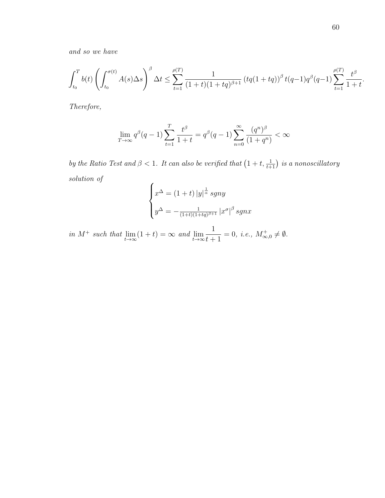and so we have

$$
\int_{t_0}^{T} b(t) \left( \int_{t_0}^{\sigma(t)} A(s) \Delta s \right)^{\beta} \Delta t \le \sum_{t=1}^{\rho(T)} \frac{1}{(1+t)(1+tq)^{\beta+1}} \left( tq(1+tq) \right)^{\beta} t(q-1) q^{\beta} (q-1) \sum_{t=1}^{\rho(T)} \frac{t^{\beta}}{1+t}
$$

Therefore,

$$
\lim_{T \to \infty} q^{\beta}(q-1) \sum_{t=1}^{T} \frac{t^{\beta}}{1+t} = q^{\beta}(q-1) \sum_{n=0}^{\infty} \frac{(q^n)^{\beta}}{(1+q^n)} < \infty
$$

by the Ratio Test and  $\beta < 1$ . It can also be verified that  $\left(1 + t, \frac{1}{t+1}\right)$  is a nonoscillatory solution of  $\overline{1}$ 

$$
\begin{cases}\nx^{\Delta} = (1+t) |y|^{\frac{1}{\alpha}} \operatorname{sgn}y \\
y^{\Delta} = -\frac{1}{(1+t)(1+tq)^{\beta+1}} |x^{\sigma}|^{\beta} \operatorname{sgn}x\n\end{cases}
$$

in  $M^+$  such that  $\lim_{t \to \infty} (1 + t) = \infty$  and  $\lim_{t \to \infty}$ 1  $t+1$  $= 0, i.e., M^+_{\infty,0} \neq \emptyset.$  .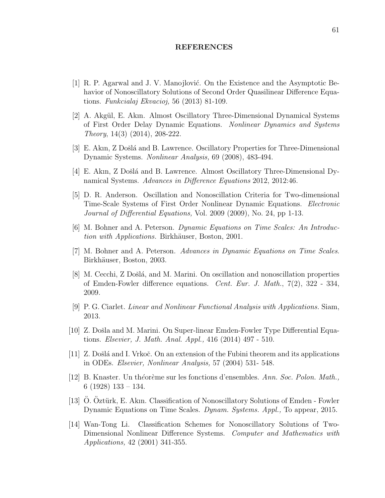## REFERENCES

- [1] R. P. Agarwal and J. V. Manojlović. On the Existence and the Asymptotic Behavior of Nonoscillatory Solutions of Second Order Quasilinear Difference Equations. Funkcialaj Ekvacioj, 56 (2013) 81-109.
- <span id="page-71-9"></span>[2] A. Akgül, E. Akın. Almost Oscillatory Three-Dimensional Dynamical Systems of First Order Delay Dynamic Equations. Nonlinear Dynamics and Systems Theory, 14(3) (2014), 208-222.
- <span id="page-71-7"></span>[3] E. Akın, Z Došlá and B. Lawrence. Oscillatory Properties for Three-Dimensional Dynamic Systems. Nonlinear Analysis, 69 (2008), 483-494.
- <span id="page-71-8"></span>[4] E. Akın, Z Došlá and B. Lawrence. Almost Oscillatory Three-Dimensional Dynamical Systems. Advances in Difference Equations 2012, 2012:46.
- <span id="page-71-6"></span>[5] D. R. Anderson. Oscillation and Nonoscillation Criteria for Two-dimensional Time-Scale Systems of First Order Nonlinear Dynamic Equations. Electronic Journal of Differential Equations, Vol. 2009 (2009), No. 24, pp 1-13.
- <span id="page-71-0"></span>[6] M. Bohner and A. Peterson. Dynamic Equations on Time Scales: An Introduction with Applications. Birkhäuser, Boston, 2001.
- <span id="page-71-1"></span>[7] M. Bohner and A. Peterson. Advances in Dynamic Equations on Time Scales. Birkhäuser, Boston, 2003.
- <span id="page-71-3"></span>[8] M. Cecchi, Z Došlá, and M. Marini. On oscillation and nonoscillation properties of Emden-Fowler difference equations. Cent. Eur. J. Math., 7(2), 322 - 334, 2009.
- <span id="page-71-10"></span>[9] P. G. Ciarlet. Linear and Nonlinear Functional Analysis with Applications. Siam, 2013.
- <span id="page-71-5"></span>[10] Z. Došla and M. Marini. On Super-linear Emden-Fowler Type Differential Equations. Elsevier, J. Math. Anal. Appl., 416 (2014) 497 - 510.
- <span id="page-71-2"></span>[11] Z. Došlá and I. Vrkoč. On an extension of the Fubini theorem and its applications in ODEs. Elsevier, Nonlinear Analysis, 57 (2004) 531- 548.
- <span id="page-71-12"></span>[12] B. Knaster. Un théorème sur les fonctions d'ensembles. Ann. Soc. Polon. Math., 6 (1928) 133 – 134.
- <span id="page-71-11"></span>[13] O. Oztürk, E. Akın. Classification of Nonoscillatory Solutions of Emden - Fowler Dynamic Equations on Time Scales. Dynam. Systems. Appl., To appear, 2015.
- <span id="page-71-4"></span>[14] Wan-Tong Li. Classification Schemes for Nonoscillatory Solutions of Two-Dimensional Nonlinear Difference Systems. Computer and Mathematics with Applications, 42 (2001) 341-355.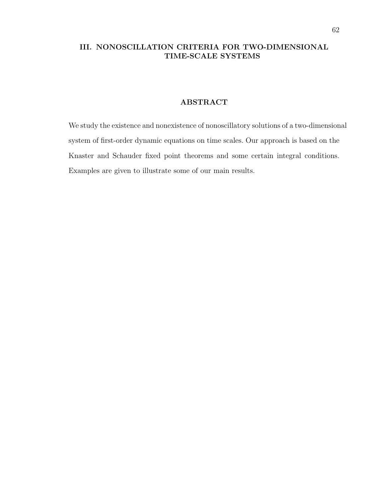## III. NONOSCILLATION CRITERIA FOR TWO-DIMENSIONAL TIME-SCALE SYSTEMS

### ABSTRACT

We study the existence and nonexistence of nonoscillatory solutions of a two-dimensional system of first-order dynamic equations on time scales. Our approach is based on the Knaster and Schauder fixed point theorems and some certain integral conditions. Examples are given to illustrate some of our main results.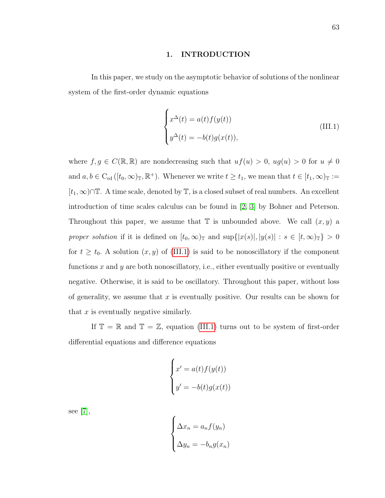#### 1. INTRODUCTION

In this paper, we study on the asymptotic behavior of solutions of the nonlinear system of the first-order dynamic equations

<span id="page-73-0"></span>
$$
\begin{cases}\nx^{\Delta}(t) = a(t)f(y(t)) \\
y^{\Delta}(t) = -b(t)g(x(t)),\n\end{cases}
$$
\n(III.1)

where  $f, g \in C(\mathbb{R}, \mathbb{R})$  are nondecreasing such that  $uf(u) > 0$ ,  $ug(u) > 0$  for  $u \neq 0$ and  $a, b \in C_{\rm rd}([t_0, \infty)_\mathbb{T}, \mathbb{R}^+)$ . Whenever we write  $t \geq t_1$ , we mean that  $t \in [t_1, \infty)_\mathbb{T} :=$  $[t_1, ∞)$ ∩T. A time scale, denoted by T, is a closed subset of real numbers. An excellent introduction of time scales calculus can be found in [\[2,](#page-95-0) [3\]](#page-95-1) by Bohner and Peterson. Throughout this paper, we assume that  $\mathbb T$  is unbounded above. We call  $(x, y)$  a proper solution if it is defined on  $[t_0, \infty)_\mathbb{T}$  and  $\sup\{|x(s)|, |y(s)| : s \in [t, \infty)_\mathbb{T}\} > 0$ for  $t \geq t_0$ . A solution  $(x, y)$  of [\(III.1\)](#page-73-0) is said to be nonoscillatory if the component functions  $x$  and  $y$  are both nonoscillatory, i.e., either eventually positive or eventually negative. Otherwise, it is said to be oscillatory. Throughout this paper, without loss of generality, we assume that  $x$  is eventually positive. Our results can be shown for that  $x$  is eventually negative similarly.

If  $\mathbb{T} = \mathbb{R}$  and  $\mathbb{T} = \mathbb{Z}$ , equation [\(III.1\)](#page-73-0) turns out to be system of first-order differential equations and difference equations

$$
\begin{cases}\nx' = a(t)f(y(t)) \\
y' = -b(t)g(x(t))\n\end{cases}
$$

see [\[7\]](#page-95-2),

$$
\begin{cases}\n\Delta x_n = a_n f(y_n) \\
\Delta y_n = -b_n g(x_n)\n\end{cases}
$$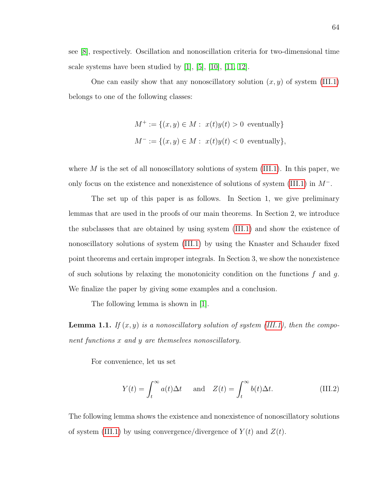see [\[8\]](#page-95-3), respectively. Oscillation and nonoscillation criteria for two-dimensional time scale systems have been studied by  $[1]$ ,  $[5]$ ,  $[10]$ ,  $[11, 12]$  $[11, 12]$ .

One can easily show that any nonoscillatory solution  $(x, y)$  of system [\(III.1\)](#page-73-0) belongs to one of the following classes:

$$
M^+ := \{(x, y) \in M : x(t)y(t) > 0 \text{ eventually}\}
$$
  

$$
M^- := \{(x, y) \in M : x(t)y(t) < 0 \text{ eventually}\},
$$

where  $M$  is the set of all nonoscillatory solutions of system [\(III.1\)](#page-73-0). In this paper, we only focus on the existence and nonexistence of solutions of system [\(III.1\)](#page-73-0) in  $M^-$ .

The set up of this paper is as follows. In Section 1, we give preliminary lemmas that are used in the proofs of our main theorems. In Section 2, we introduce the subclasses that are obtained by using system [\(III.1\)](#page-73-0) and show the existence of nonoscillatory solutions of system [\(III.1\)](#page-73-0) by using the Knaster and Schauder fixed point theorems and certain improper integrals. In Section 3, we show the nonexistence of such solutions by relaxing the monotonicity condition on the functions  $f$  and  $g$ . We finalize the paper by giving some examples and a conclusion.

The following lemma is shown in [\[1\]](#page-95-4).

<span id="page-74-0"></span>**Lemma 1.1.** If  $(x, y)$  is a nonoscillatory solution of system [\(III.1\)](#page-73-0), then the component functions x and y are themselves nonoscillatory.

For convenience, let us set

$$
Y(t) = \int_{t}^{\infty} a(t)\Delta t \quad \text{and} \quad Z(t) = \int_{t}^{\infty} b(t)\Delta t. \tag{III.2}
$$

<span id="page-74-1"></span>The following lemma shows the existence and nonexistence of nonoscillatory solutions of system [\(III.1\)](#page-73-0) by using convergence/divergence of  $Y(t)$  and  $Z(t)$ .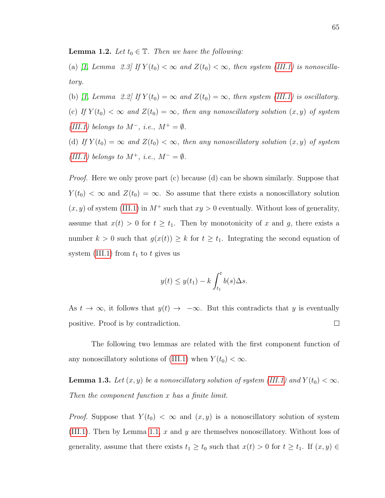**Lemma 1.2.** Let  $t_0 \in \mathbb{T}$ . Then we have the following:

(a) [\[1,](#page-95-4) Lemma 2.3] If  $Y(t_0) < \infty$  and  $Z(t_0) < \infty$ , then system [\(III.1\)](#page-73-0) is nonoscillatory.

(b) [\[1,](#page-95-4) Lemma 2.2] If  $Y(t_0) = \infty$  and  $Z(t_0) = \infty$ , then system [\(III.1\)](#page-73-0) is oscillatory. (c) If  $Y(t_0) < \infty$  and  $Z(t_0) = \infty$ , then any nonoscillatory solution  $(x, y)$  of system [\(III.1\)](#page-73-0) belongs to  $M^-$ , i.e.,  $M^+ = \emptyset$ .

(d) If  $Y(t_0) = \infty$  and  $Z(t_0) < \infty$ , then any nonoscillatory solution  $(x, y)$  of system [\(III.1\)](#page-73-0) belongs to  $M^+$ , i.e.,  $M^- = \emptyset$ .

*Proof.* Here we only prove part (c) because (d) can be shown similarly. Suppose that  $Y(t_0) < \infty$  and  $Z(t_0) = \infty$ . So assume that there exists a nonoscillatory solution  $(x, y)$  of system [\(III.1\)](#page-73-0) in  $M^+$  such that  $xy > 0$  eventually. Without loss of generality, assume that  $x(t) > 0$  for  $t \geq t_1$ . Then by monotonicity of x and g, there exists a number  $k > 0$  such that  $g(x(t)) \geq k$  for  $t \geq t_1$ . Integrating the second equation of system [\(III.1\)](#page-73-0) from  $t_1$  to  $t$  gives us

$$
y(t) \le y(t_1) - k \int_{t_1}^t b(s) \Delta s.
$$

As  $t \to \infty$ , it follows that  $y(t) \to -\infty$ . But this contradicts that y is eventually  $\Box$ positive. Proof is by contradiction.

The following two lemmas are related with the first component function of any nonoscillatory solutions of [\(III.1\)](#page-73-0) when  $Y(t_0) < \infty$ .

<span id="page-75-0"></span>**Lemma 1.3.** Let  $(x, y)$  be a nonoscillatory solution of system [\(III.1\)](#page-73-0) and  $Y(t_0) < \infty$ . Then the component function x has a finite limit.

*Proof.* Suppose that  $Y(t_0) < \infty$  and  $(x, y)$  is a nonoscillatory solution of system [\(III.1\)](#page-73-0). Then by Lemma [1.1,](#page-74-0) x and y are themselves nonoscillatory. Without loss of generality, assume that there exists  $t_1 \ge t_0$  such that  $x(t) > 0$  for  $t \ge t_1$ . If  $(x, y) \in$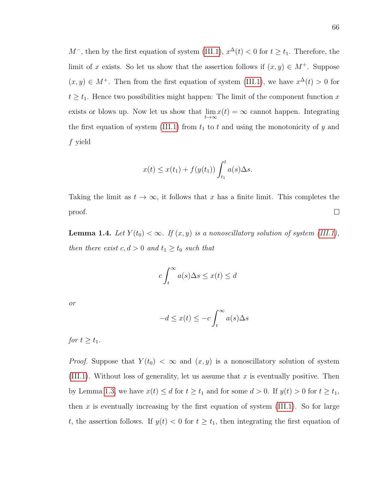$M^-$ , then by the first equation of system [\(III.1\)](#page-73-0),  $x^{\Delta}(t) < 0$  for  $t \ge t_1$ . Therefore, the limit of x exists. So let us show that the assertion follows if  $(x, y) \in M^+$ . Suppose  $(x, y) \in M^+$ . Then from the first equation of system [\(III.1\)](#page-73-0), we have  $x^{\Delta}(t) > 0$  for  $t \geq t_1$ . Hence two possibilities might happen: The limit of the component function x exists or blows up. Now let us show that  $\lim_{t\to\infty} x(t) = \infty$  cannot happen. Integrating the first equation of system [\(III.1\)](#page-73-0) from  $t_1$  to  $t$  and using the monotonicity of  $y$  and f yield

$$
x(t) \leq x(t_1) + f(y(t_1)) \int_{t_1}^t a(s) \Delta s.
$$

Taking the limit as  $t \to \infty$ , it follows that x has a finite limit. This completes the  $\Box$ proof.

<span id="page-76-0"></span>**Lemma 1.4.** Let  $Y(t_0) < \infty$ . If  $(x, y)$  is a nonoscillatory solution of system [\(III.1\)](#page-73-0), then there exist  $c, d > 0$  and  $t_1 \geq t_0$  such that

$$
c \int_t^\infty a(s) \Delta s \le x(t) \le d
$$

or

$$
-d \le x(t) \le -c \int_t^\infty a(s) \Delta s
$$

for  $t \geq t_1$ .

*Proof.* Suppose that  $Y(t_0) < \infty$  and  $(x, y)$  is a nonoscillatory solution of system [\(III.1\)](#page-73-0). Without loss of generality, let us assume that  $x$  is eventually positive. Then by Lemma [1.3,](#page-75-0) we have  $x(t) \leq d$  for  $t \geq t_1$  and for some  $d > 0$ . If  $y(t) > 0$  for  $t \geq t_1$ , then x is eventually increasing by the first equation of system  $(III.1)$ . So for large t, the assertion follows. If  $y(t) < 0$  for  $t \geq t_1$ , then integrating the first equation of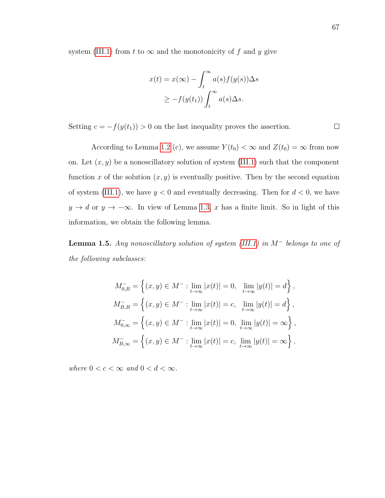system [\(III.1\)](#page-73-0) from t to  $\infty$  and the monotonicity of f and y give

$$
x(t) = x(\infty) - \int_t^{\infty} a(s) f(y(s)) \Delta s
$$
  
 
$$
\geq -f(y(t_1)) \int_t^{\infty} a(s) \Delta s.
$$

Setting  $c = -f(y(t_1)) > 0$  on the last inequality proves the assertion.

According to Lemma [1.2](#page-74-1) (c), we assume  $Y(t_0) < \infty$  and  $Z(t_0) = \infty$  from now on. Let  $(x, y)$  be a nonoscillatory solution of system [\(III.1\)](#page-73-0) such that the component function x of the solution  $(x, y)$  is eventually positive. Then by the second equation of system [\(III.1\)](#page-73-0), we have  $y < 0$  and eventually decreasing. Then for  $d < 0$ , we have  $y \to d$  or  $y \to -\infty$ . In view of Lemma [1.3,](#page-75-0) x has a finite limit. So in light of this information, we obtain the following lemma.

<span id="page-77-0"></span>**Lemma 1.5.** Any nonoscillatory solution of system [\(III.1\)](#page-73-0) in  $M^-$  belongs to one of the following subclasses:

$$
M_{0,B}^{-} = \left\{ (x, y) \in M^{-} : \lim_{t \to \infty} |x(t)| = 0, \lim_{t \to \infty} |y(t)| = d \right\},\,
$$
  
\n
$$
M_{B,B}^{-} = \left\{ (x, y) \in M^{-} : \lim_{t \to \infty} |x(t)| = c, \lim_{t \to \infty} |y(t)| = d \right\},\,
$$
  
\n
$$
M_{0,\infty}^{-} = \left\{ (x, y) \in M^{-} : \lim_{t \to \infty} |x(t)| = 0, \lim_{t \to \infty} |y(t)| = \infty \right\},\,
$$
  
\n
$$
M_{B,\infty}^{-} = \left\{ (x, y) \in M^{-} : \lim_{t \to \infty} |x(t)| = c, \lim_{t \to \infty} |y(t)| = \infty \right\},\,
$$

where  $0 < c < \infty$  and  $0 < d < \infty$ .

 $\Box$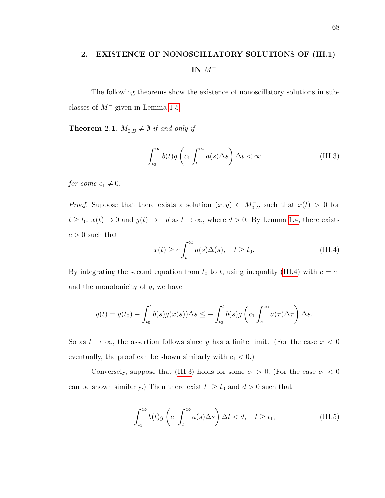## 2. EXISTENCE OF NONOSCILLATORY SOLUTIONS OF (III.1) IN M<sup>−</sup>

The following theorems show the existence of nonoscillatory solutions in subclasses of  $M^-$  given in Lemma [1.5.](#page-77-0)

<span id="page-78-3"></span>**Theorem 2.1.**  $M_{0,B}^- \neq \emptyset$  if and only if

<span id="page-78-1"></span>
$$
\int_{t_0}^{\infty} b(t)g\left(c_1 \int_t^{\infty} a(s)\Delta s\right) \Delta t < \infty
$$
 (III.3)

for some  $c_1 \neq 0$ .

*Proof.* Suppose that there exists a solution  $(x, y) \in M_{0,B}^-$  such that  $x(t) > 0$  for  $t \ge t_0$ ,  $x(t) \to 0$  and  $y(t) \to -d$  as  $t \to \infty$ , where  $d > 0$ . By Lemma [1.4,](#page-76-0) there exists  $c > 0$  such that

<span id="page-78-0"></span>
$$
x(t) \ge c \int_{t}^{\infty} a(s) \Delta(s), \quad t \ge t_0.
$$
 (III.4)

By integrating the second equation from  $t_0$  to  $t$ , using inequality [\(III.4\)](#page-78-0) with  $c = c_1$ and the monotonicity of  $g$ , we have

$$
y(t) = y(t_0) - \int_{t_0}^t b(s)g(x(s))\Delta s \le -\int_{t_0}^t b(s)g\left(c_1 \int_s^\infty a(\tau)\Delta \tau\right)\Delta s.
$$

So as  $t \to \infty$ , the assertion follows since y has a finite limit. (For the case  $x < 0$ eventually, the proof can be shown similarly with  $c_1 < 0$ .)

Conversely, suppose that [\(III.3\)](#page-78-1) holds for some  $c_1 > 0$ . (For the case  $c_1 < 0$ can be shown similarly.) Then there exist  $t_1 \geq t_0$  and  $d > 0$  such that

<span id="page-78-2"></span>
$$
\int_{t_1}^{\infty} b(t)g\left(c_1 \int_t^{\infty} a(s)\Delta s\right) \Delta t < d, \quad t \ge t_1,\tag{III.5}
$$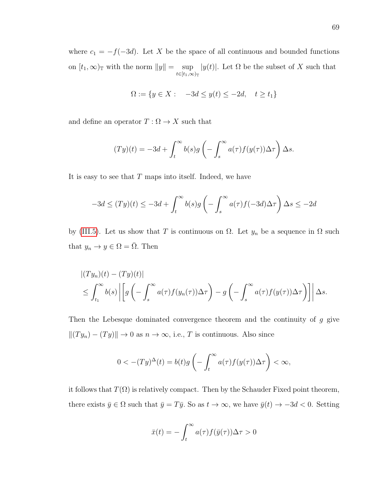where  $c_1 = -f(-3d)$ . Let X be the space of all continuous and bounded functions on  $[t_1, \infty)$ <sub>T</sub> with the norm  $||y|| = \sup$  $t\in[t_1,\infty)_{\mathbb{T}}$  $|y(t)|$ . Let  $\Omega$  be the subset of X such that

$$
\Omega := \{ y \in X : -3d \le y(t) \le -2d, \quad t \ge t_1 \}
$$

and define an operator  $T:\Omega\rightarrow X$  such that

$$
(Ty)(t) = -3d + \int_t^{\infty} b(s)g\left(-\int_s^{\infty} a(\tau)f(y(\tau))\Delta\tau\right)\Delta s.
$$

It is easy to see that  $T$  maps into itself. Indeed, we have

$$
-3d \le (Ty)(t) \le -3d + \int_t^{\infty} b(s)g\left(-\int_s^{\infty} a(\tau)f(-3d)\Delta\tau\right)\Delta s \le -2d
$$

by [\(III.5\)](#page-78-2). Let us show that T is continuous on  $\Omega$ . Let  $y_n$  be a sequence in  $\Omega$  such that  $y_n \to y \in \Omega = \overline{\Omega}$ . Then

$$
\begin{aligned} &\left| (Ty_n)(t) - (Ty)(t) \right| \\ &\leq \int_{t_1}^{\infty} b(s) \left| \left[ g \left( - \int_s^{\infty} a(\tau) f(y_n(\tau)) \Delta \tau \right) - g \left( - \int_s^{\infty} a(\tau) f(y(\tau)) \Delta \tau \right) \right] \right| \Delta s. \end{aligned}
$$

Then the Lebesque dominated convergence theorem and the continuity of g give  $||(Ty_n) - (Ty)|| \rightarrow 0$  as  $n \rightarrow \infty$ , i.e., T is continuous. Also since

$$
0 < -(Ty)^{\Delta}(t) = b(t)g\left(-\int_t^{\infty} a(\tau)f(y(\tau))\Delta\tau\right) < \infty,
$$

it follows that  $T(\Omega)$  is relatively compact. Then by the Schauder Fixed point theorem, there exists  $\bar{y} \in \Omega$  such that  $\bar{y} = T\bar{y}$ . So as  $t \to \infty$ , we have  $\bar{y}(t) \to -3d < 0$ . Setting

$$
\bar{x}(t) = -\int_t^\infty a(\tau) f(\bar{y}(\tau)) \Delta \tau > 0
$$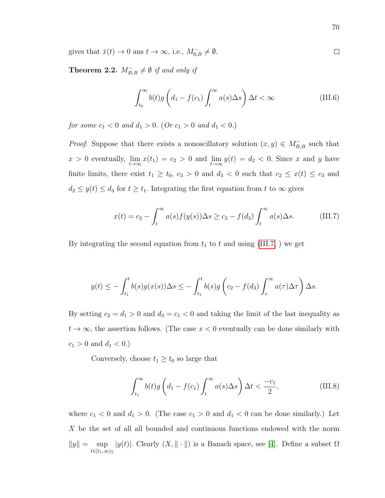gives that  $\bar{x}(t) \to 0$  ans  $t \to \infty$ , i.e.,  $M_{0,B}^- \neq \emptyset$ .

**Theorem 2.2.**  $M_{B,B}^- \neq \emptyset$  if and only if

$$
\int_{t_0}^{\infty} b(t)g\left(d_1 - f(c_1)\int_t^{\infty} a(s)\Delta s\right)\Delta t < \infty
$$
 (III.6)

for some  $c_1 < 0$  and  $d_1 > 0$ . (Or  $c_1 > 0$  and  $d_1 < 0$ .)

*Proof.* Suppose that there exists a nonoscillatory solution  $(x, y) \in M_{B,B}^-$  such that  $x > 0$  eventually,  $\lim_{t \to \infty} x(t_1) = c_2 > 0$  and  $\lim_{t \to \infty} y(t) = d_2 < 0$ . Since x and y have finite limits, there exist  $t_1 \geq t_0$ ,  $c_3 > 0$  and  $d_3 < 0$  such that  $c_2 \leq x(t) \leq c_3$  and  $d_2 \leq y(t) \leq d_3$  for  $t \geq t_1$ . Integrating the first equation from t to  $\infty$  gives

<span id="page-80-0"></span>
$$
x(t) = c_2 - \int_t^{\infty} a(s) f(y(s)) \Delta s \ge c_2 - f(d_3) \int_t^{\infty} a(s) \Delta s.
$$
 (III.7)

By integrating the second equation from  $t_1$  to t and using [\(III.7,](#page-80-0) ) we get

$$
y(t) \leq -\int_{t_1}^t b(s)g(x(s))\Delta s \leq -\int_{t_1}^t b(s)g\left(c_2 - f(d_3)\int_s^\infty a(\tau)\Delta \tau\right)\Delta s.
$$

By setting  $c_2 = d_1 > 0$  and  $d_3 = c_1 < 0$  and taking the limit of the last inequality as  $t \to \infty$ , the assertion follows. (The case  $x < 0$  eventually can be done similarly with  $c_1 > 0$  and  $d_1 < 0$ .)

Conversely, choose  $t_1 \geq t_0$  so large that

$$
\int_{t_1}^{\infty} b(t)g\left(d_1 - f(c_1)\int_t^{\infty} a(s)\Delta s\right)\Delta t < \frac{-c_1}{2},\tag{III.8}
$$

where  $c_1 < 0$  and  $d_1 > 0$ . (The case  $c_1 > 0$  and  $d_1 < 0$  can be done similarly.) Let  $X$  be the set of all all bounded and continuous functions endowed with the norm  $||y|| = \sup$  $t \in [t_1,\infty)$ |y(t)|. Clearly  $(X, \|\cdot\|)$  is a Banach space, see [\[4\]](#page-95-9). Define a subset  $\Omega$ 

 $\Box$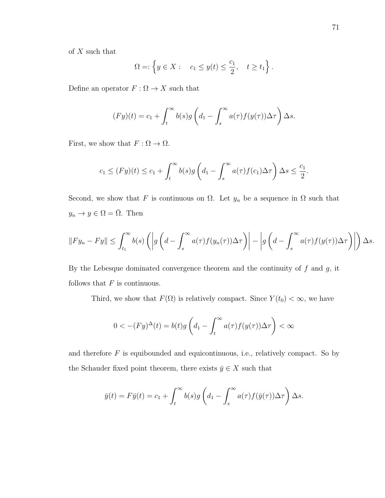of  $X$  such that

$$
\Omega = \left\{ y \in X : \quad c_1 \le y(t) \le \frac{c_1}{2}, \quad t \ge t_1 \right\}.
$$

Define an operator  $F:\Omega\to X$  such that

$$
(Fy)(t) = c_1 + \int_t^{\infty} b(s)g\left(d_1 - \int_s^{\infty} a(\tau)f(y(\tau))\Delta\tau\right)\Delta s.
$$

First, we show that  $F: \Omega \to \Omega$ .

$$
c_1 \le (Fy)(t) \le c_1 + \int_t^{\infty} b(s)g\left(d_1 - \int_s^{\infty} a(\tau)f(c_1)\Delta\tau\right)\Delta s \le \frac{c_1}{2}.
$$

Second, we show that F is continuous on  $\Omega$ . Let  $y_n$  be a sequence in  $\Omega$  such that  $y_n \to y \in \Omega = \overline{\Omega}$ . Then

$$
||Fy_n - Fy|| \leq \int_{t_1}^{\infty} b(s) \left( \left| g \left( d - \int_s^{\infty} a(\tau) f(y_n(\tau)) \Delta \tau \right) \right| - \left| g \left( d - \int_s^{\infty} a(\tau) f(y(\tau)) \Delta \tau \right) \right| \right) \Delta s.
$$

By the Lebesque dominated convergence theorem and the continuity of  $f$  and  $g$ , it follows that  $F$  is continuous.

Third, we show that  $F(\Omega)$  is relatively compact. Since  $Y(t_0) < \infty$ , we have

$$
0 < -(Fy)^{\Delta}(t) = b(t)g\left(d_1 - \int_t^{\infty} a(\tau)f(y(\tau))\Delta\tau\right) < \infty
$$

and therefore  $F$  is equibounded and equicontinuous, i.e., relatively compact. So by the Schauder fixed point theorem, there exists  $\bar{y} \in X$  such that

$$
\bar{y}(t) = F\bar{y}(t) = c_1 + \int_t^{\infty} b(s)g\left(d_1 - \int_s^{\infty} a(\tau)f(\bar{y}(\tau))\Delta\tau\right)\Delta s.
$$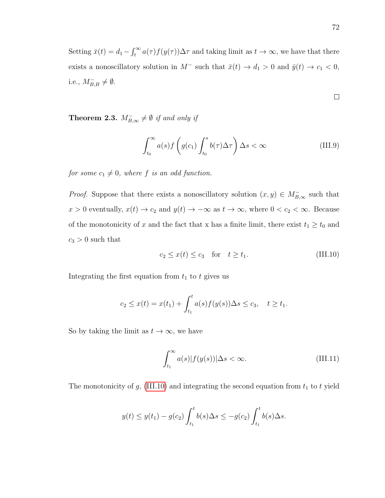Setting  $\bar{x}(t) = d_1 - \int_t^{\infty} a(\tau) f(y(\tau)) \Delta \tau$  and taking limit as  $t \to \infty$ , we have that there exists a nonoscillatory solution in  $M^-$  such that  $\bar{x}(t) \to d_1 > 0$  and  $\bar{y}(t) \to c_1 < 0$ , i.e.,  $M_{B,B}^- \neq \emptyset$ .

$$
\Box
$$

<span id="page-82-2"></span>**Theorem 2.3.**  $M_{B,\infty}^- \neq \emptyset$  if and only if

$$
\int_{t_0}^{\infty} a(s) f\left(g(c_1) \int_{t_0}^s b(\tau) \Delta \tau\right) \Delta s < \infty \tag{III.9}
$$

for some  $c_1 \neq 0$ , where f is an odd function.

*Proof.* Suppose that there exists a nonoscillatory solution  $(x, y) \in M_{B,\infty}^-$  such that  $x > 0$  eventually,  $x(t) \to c_2$  and  $y(t) \to -\infty$  as  $t \to \infty$ , where  $0 < c_2 < \infty$ . Because of the monotonicity of x and the fact that x has a finite limit, there exist  $t_1 \ge t_0$  and  $c_3 > 0$  such that

<span id="page-82-0"></span>
$$
c_2 \le x(t) \le c_3 \quad \text{for} \quad t \ge t_1. \tag{III.10}
$$

Integrating the first equation from  $t_1$  to  $t$  gives us

$$
c_2 \leq x(t) = x(t_1) + \int_{t_1}^t a(s) f(y(s)) \Delta s \leq c_3, \quad t \geq t_1.
$$

So by taking the limit as  $t \to \infty$ , we have

<span id="page-82-1"></span>
$$
\int_{t_1}^{\infty} a(s)|f(y(s))|\Delta s < \infty.
$$
 (III.11)

The monotonicity of  $g$ , [\(III.10\)](#page-82-0) and integrating the second equation from  $t_1$  to  $t$  yield

$$
y(t) \le y(t_1) - g(c_2) \int_{t_1}^t b(s) \Delta s \le -g(c_2) \int_{t_1}^t b(s) \Delta s.
$$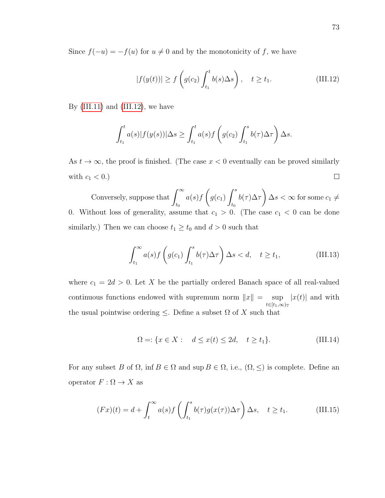Since  $f(-u) = -f(u)$  for  $u \neq 0$  and by the monotonicity of f, we have

<span id="page-83-0"></span>
$$
|f(y(t))| \ge f\left(g(c_2)\int_{t_1}^t b(s)\Delta s\right), \quad t \ge t_1. \tag{III.12}
$$

By  $(III.11)$  and  $(III.12)$ , we have

$$
\int_{t_1}^t a(s)|f(y(s))| \Delta s \ge \int_{t_1}^t a(s)f\left(g(c_2)\int_{t_1}^s b(\tau)\Delta \tau\right) \Delta s.
$$

As  $t \to \infty$ , the proof is finished. (The case  $x < 0$  eventually can be proved similarly with  $c_1 < 0.$ )  $\Box$ 

Conversely, suppose that  $\int_{0}^{\infty}$  $t_0$  $a(s)f$  $\sqrt{ }$  $g(c_1)$  $\int^s$  $t_0$  $b(\tau)\Delta\tau$  $\setminus$  $\Delta s < \infty$  for some  $c_1 \neq$ 0. Without loss of generality, assume that  $c_1 > 0$ . (The case  $c_1 < 0$  can be done similarly.) Then we can choose  $t_1 \geq t_0$  and  $d > 0$  such that

<span id="page-83-1"></span>
$$
\int_{t_1}^{\infty} a(s) f\left(g(c_1) \int_{t_1}^s b(\tau) \Delta \tau\right) \Delta s < d, \quad t \ge t_1,\tag{III.13}
$$

where  $c_1 = 2d > 0$ . Let X be the partially ordered Banach space of all real-valued continuous functions endowed with supremum norm  $||x|| = \sup$  $t \in [t_1,\infty)$ T  $|x(t)|$  and with the usual pointwise ordering  $\leq$ . Define a subset  $\Omega$  of X such that

$$
\Omega = \{ x \in X : \quad d \le x(t) \le 2d, \quad t \ge t_1 \}. \tag{III.14}
$$

For any subset B of  $\Omega$ , inf  $B \in \Omega$  and sup  $B \in \Omega$ , i.e.,  $(\Omega, \leq)$  is complete. Define an operator  $F:\Omega\to X$  as

$$
(Fx)(t) = d + \int_{t}^{\infty} a(s)f\left(\int_{t_1}^{s} b(\tau)g(x(\tau))\Delta\tau\right)\Delta s, \quad t \ge t_1.
$$
 (III.15)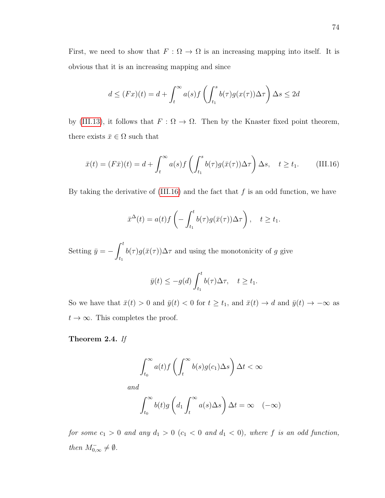First, we need to show that  $F : \Omega \to \Omega$  is an increasing mapping into itself. It is obvious that it is an increasing mapping and since

$$
d \leq (Fx)(t) = d + \int_t^{\infty} a(s)f\left(\int_{t_1}^s b(\tau)g(x(\tau))\Delta\tau\right)\Delta s \leq 2d
$$

by [\(III.13\)](#page-83-1), it follows that  $F : \Omega \to \Omega$ . Then by the Knaster fixed point theorem, there exists  $\bar{x} \in \Omega$  such that

<span id="page-84-0"></span>
$$
\bar{x}(t) = (F\bar{x})(t) = d + \int_{t}^{\infty} a(s)f\left(\int_{t_1}^{s} b(\tau)g(\bar{x}(\tau))\Delta\tau\right)\Delta s, \quad t \ge t_1. \tag{III.16}
$$

By taking the derivative of  $(III.16)$  and the fact that f is an odd function, we have

$$
\bar{x}^{\Delta}(t) = a(t)f\left(-\int_{t_1}^t b(\tau)g(\bar{x}(\tau))\Delta\tau\right), \quad t \ge t_1.
$$

Setting  $\bar{y} = -\int^t$  $t_1$  $b(\tau)g(\bar{x}(\tau))\Delta \tau$  and using the monotonicity of g give

$$
\bar{y}(t) \le -g(d) \int_{t_1}^t b(\tau) \Delta \tau, \quad t \ge t_1.
$$

So we have that  $\bar{x}(t) > 0$  and  $\bar{y}(t) < 0$  for  $t \ge t_1$ , and  $\bar{x}(t) \to d$  and  $\bar{y}(t) \to -\infty$  as  $t \to \infty$ . This completes the proof.

Theorem 2.4. If

$$
\int_{t_0}^{\infty} a(t) f\left(\int_t^{\infty} b(s) g(c_1) \Delta s\right) \Delta t < \infty
$$

and

$$
\int_{t_0}^{\infty} b(t)g\left(d_1 \int_t^{\infty} a(s) \Delta s\right) \Delta t = \infty \quad (-\infty)
$$

for some  $c_1 > 0$  and any  $d_1 > 0$   $(c_1 < 0$  and  $d_1 < 0)$ , where f is an odd function, then  $M_{0,\infty}^- \neq \emptyset$ .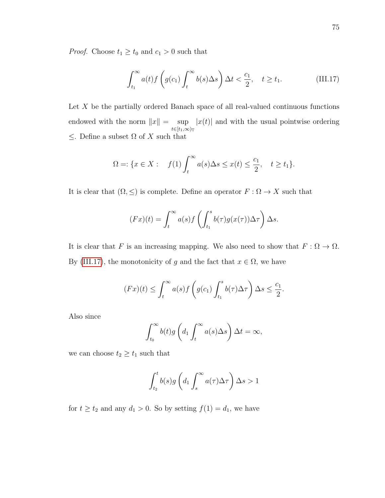*Proof.* Choose  $t_1 \geq t_0$  and  $c_1 > 0$  such that

<span id="page-85-0"></span>
$$
\int_{t_1}^{\infty} a(t) f\left(g(c_1) \int_t^{\infty} b(s) \Delta s\right) \Delta t < \frac{c_1}{2}, \quad t \ge t_1. \tag{III.17}
$$

Let  $X$  be the partially ordered Banach space of all real-valued continuous functions endowed with the norm  $||x|| = \sup$  $t \in [t_1,\infty)$ T  $|x(t)|$  and with the usual pointwise ordering  $\leq$  . Define a subset  $\Omega$  of  $X$  such that

$$
\Omega = \{ x \in X : \quad f(1) \int_t^\infty a(s) \Delta s \le x(t) \le \frac{c_1}{2}, \quad t \ge t_1 \}.
$$

It is clear that  $(\Omega, \leq)$  is complete. Define an operator  $F : \Omega \to X$  such that

$$
(Fx)(t) = \int_t^{\infty} a(s)f\left(\int_{t_1}^s b(\tau)g(x(\tau))\Delta\tau\right)\Delta s.
$$

It is clear that F is an increasing mapping. We also need to show that  $F : \Omega \to \Omega$ . By [\(III.17\)](#page-85-0), the monotonicity of g and the fact that  $x \in \Omega$ , we have

$$
(Fx)(t) \leq \int_t^{\infty} a(s)f\left(g(c_1)\int_{t_1}^s b(\tau)\Delta\tau\right)\Delta s \leq \frac{c_1}{2}.
$$

Also since

$$
\int_{t_0}^{\infty} b(t)g\left(d_1 \int_t^{\infty} a(s)\Delta s\right)\Delta t = \infty,
$$

we can choose  $t_2 \geq t_1$  such that

$$
\int_{t_2}^t b(s)g\left(d_1 \int_s^{\infty} a(\tau)\Delta\tau\right)\Delta s > 1
$$

for  $t \ge t_2$  and any  $d_1 > 0$ . So by setting  $f(1) = d_1$ , we have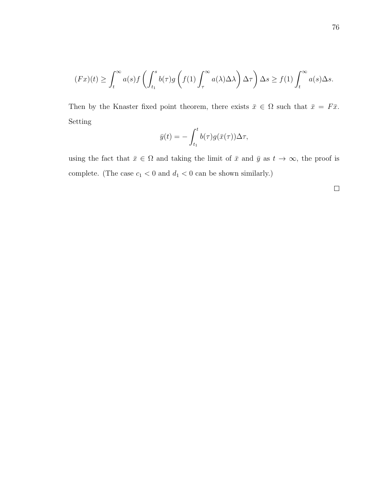$$
(Fx)(t) \geq \int_t^{\infty} a(s)f\left(\int_{t_1}^s b(\tau)g\left(f(1)\int_{\tau}^{\infty} a(\lambda)\Delta\lambda\right)\Delta\tau\right)\Delta s \geq f(1)\int_t^{\infty} a(s)\Delta s.
$$

Then by the Knaster fixed point theorem, there exists  $\bar{x} \in \Omega$  such that  $\bar{x} = F\bar{x}$ . Setting

$$
\bar{y}(t) = -\int_{t_1}^t b(\tau)g(\bar{x}(\tau))\Delta \tau,
$$

using the fact that  $\bar{x} \in \Omega$  and taking the limit of  $\bar{x}$  and  $\bar{y}$  as  $t \to \infty$ , the proof is complete. (The case  $c_1 < 0$  and  $d_1 < 0$  can be shown similarly.)

 $\Box$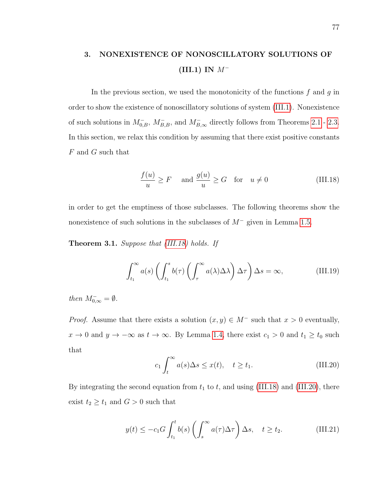## 3. NONEXISTENCE OF NONOSCILLATORY SOLUTIONS OF (III.1) IN  $M^-$

In the previous section, we used the monotonicity of the functions  $f$  and  $g$  in order to show the existence of nonoscillatory solutions of system [\(III.1\)](#page-73-0). Nonexistence of such solutions in  $M_{0,B}^-$ ,  $M_{B,B}^-$ , and  $M_{B,\infty}^-$  directly follows from Theorems [2.1](#page-78-3) - [2.3.](#page-82-2) In this section, we relax this condition by assuming that there exist positive constants  $F$  and  $G$  such that

<span id="page-87-0"></span>
$$
\frac{f(u)}{u} \ge F \quad \text{and } \frac{g(u)}{u} \ge G \quad \text{for} \quad u \ne 0 \tag{III.18}
$$

in order to get the emptiness of those subclasses. The following theorems show the nonexistence of such solutions in the subclasses of  $M^-$  given in Lemma [1.5.](#page-77-0)

**Theorem 3.1.** Suppose that [\(III.18\)](#page-87-0) holds. If

<span id="page-87-3"></span>
$$
\int_{t_1}^{\infty} a(s) \left( \int_{t_1}^s b(\tau) \left( \int_{\tau}^{\infty} a(\lambda) \Delta \lambda \right) \Delta \tau \right) \Delta s = \infty, \tag{III.19}
$$

then  $M_{0,\infty}^- = \emptyset$ .

*Proof.* Assume that there exists a solution  $(x, y) \in M^-$  such that  $x > 0$  eventually,  $x \to 0$  and  $y \to -\infty$  as  $t \to \infty$ . By Lemma [1.4,](#page-76-0) there exist  $c_1 > 0$  and  $t_1 \ge t_0$  such that

<span id="page-87-2"></span><span id="page-87-1"></span>
$$
c_1 \int_t^{\infty} a(s) \Delta s \le x(t), \quad t \ge t_1.
$$
 (III.20)

By integrating the second equation from  $t_1$  to  $t$ , and using [\(III.18\)](#page-87-0) and [\(III.20\)](#page-87-1), there exist  $t_2 \geq t_1$  and  $G > 0$  such that

$$
y(t) \le -c_1 G \int_{t_1}^t b(s) \left( \int_s^\infty a(\tau) \Delta \tau \right) \Delta s, \quad t \ge t_2. \tag{III.21}
$$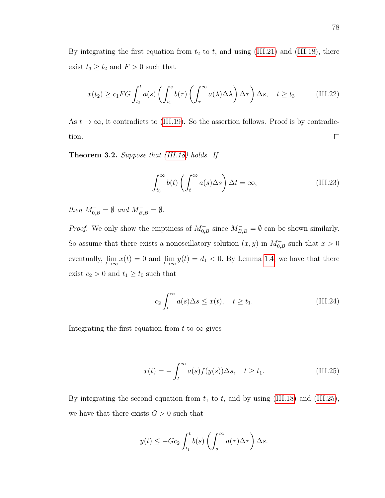By integrating the first equation from  $t_2$  to  $t$ , and using [\(III.21\)](#page-87-2) and [\(III.18\)](#page-87-0), there exist  $t_3 \geq t_2$  and  $F > 0$  such that

$$
x(t_2) \ge c_1 FG \int_{t_2}^t a(s) \left( \int_{t_1}^s b(\tau) \left( \int_{\tau}^{\infty} a(\lambda) \Delta \lambda \right) \Delta \tau \right) \Delta s, \quad t \ge t_3. \tag{III.22}
$$

As  $t \to \infty$ , it contradicts to [\(III.19\)](#page-87-3). So the assertion follows. Proof is by contradic- $\Box$ tion.

Theorem 3.2. Suppose that [\(III.18\)](#page-87-0) holds. If

<span id="page-88-1"></span>
$$
\int_{t_0}^{\infty} b(t) \left( \int_t^{\infty} a(s) \Delta s \right) \Delta t = \infty, \tag{III.23}
$$

then  $M_{0,B}^- = \emptyset$  and  $M_{B,B}^- = \emptyset$ .

*Proof.* We only show the emptiness of  $M_{0,B}^-$  since  $M_{B,B}^- = \emptyset$  can be shown similarly. So assume that there exists a nonoscillatory solution  $(x, y)$  in  $M_{0,B}^-$  such that  $x > 0$ eventually,  $\lim_{t\to\infty} x(t) = 0$  and  $\lim_{t\to\infty} y(t) = d_1 < 0$ . By Lemma [1.4,](#page-76-0) we have that there exist  $c_2 > 0$  and  $t_1 \ge t_0$  such that

$$
c_2 \int_t^{\infty} a(s) \Delta s \le x(t), \quad t \ge t_1.
$$
 (III.24)

Integrating the first equation from t to  $\infty$  gives

<span id="page-88-0"></span>
$$
x(t) = -\int_{t}^{\infty} a(s)f(y(s))\Delta s, \quad t \ge t_1.
$$
 (III.25)

By integrating the second equation from  $t_1$  to  $t$ , and by using [\(III.18\)](#page-87-0) and [\(III.25\)](#page-88-0), we have that there exists  $G > 0$  such that

$$
y(t) \le -Gc_2 \int_{t_1}^t b(s) \left( \int_s^\infty a(\tau) \Delta \tau \right) \Delta s.
$$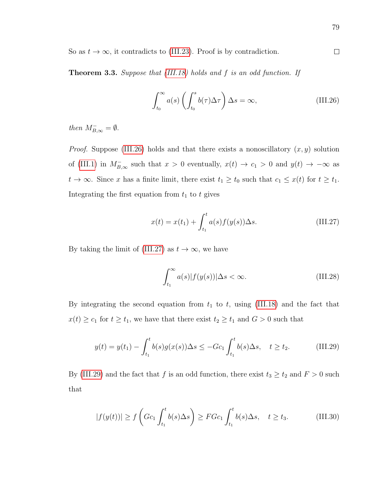So as  $t \to \infty$ , it contradicts to [\(III.23\)](#page-88-1). Proof is by contradiction.

Theorem 3.3. Suppose that [\(III.18\)](#page-87-0) holds and f is an odd function. If

<span id="page-89-0"></span>
$$
\int_{t_0}^{\infty} a(s) \left( \int_{t_0}^s b(\tau) \Delta \tau \right) \Delta s = \infty, \tag{III.26}
$$

then  $M_{B,\infty}^- = \emptyset$ .

*Proof.* Suppose [\(III.26\)](#page-89-0) holds and that there exists a nonoscillatory  $(x, y)$  solution of [\(III.1\)](#page-73-0) in  $M_{B,\infty}^-$  such that  $x > 0$  eventually,  $x(t) \to c_1 > 0$  and  $y(t) \to -\infty$  as  $t \to \infty$ . Since x has a finite limit, there exist  $t_1 \ge t_0$  such that  $c_1 \le x(t)$  for  $t \ge t_1$ . Integrating the first equation from  $t_1$  to t gives

<span id="page-89-1"></span>
$$
x(t) = x(t_1) + \int_{t_1}^t a(s) f(y(s)) \Delta s.
$$
 (III.27)

By taking the limit of [\(III.27\)](#page-89-1) as  $t \to \infty$ , we have

<span id="page-89-4"></span><span id="page-89-3"></span><span id="page-89-2"></span>
$$
\int_{t_1}^{\infty} a(s)|f(y(s))|\Delta s < \infty.
$$
 (III.28)

By integrating the second equation from  $t_1$  to  $t$ , using [\(III.18\)](#page-87-0) and the fact that  $x(t) \ge c_1$  for  $t \ge t_1$ , we have that there exist  $t_2 \ge t_1$  and  $G > 0$  such that

$$
y(t) = y(t_1) - \int_{t_1}^t b(s)g(x(s))\Delta s \le -Gc_1 \int_{t_1}^t b(s)\Delta s, \quad t \ge t_2. \tag{III.29}
$$

By [\(III.29\)](#page-89-2) and the fact that f is an odd function, there exist  $t_3 \ge t_2$  and  $F > 0$  such that

$$
|f(y(t))| \ge f\left(Gc_1 \int_{t_1}^t b(s)\Delta s\right) \ge F Gc_1 \int_{t_1}^t b(s)\Delta s, \quad t \ge t_3. \tag{III.30}
$$

 $\Box$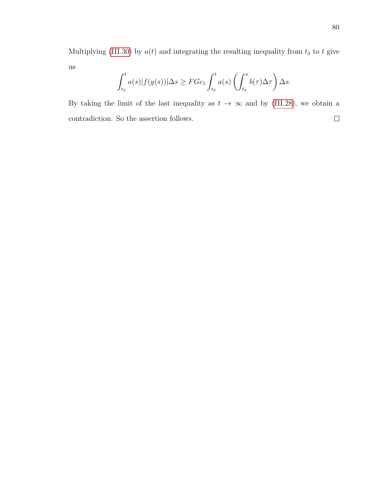Multiplying [\(III.30\)](#page-89-3) by  $a(t)$  and integrating the resulting inequality from  $t_3$  to t give us

$$
\int_{t_3}^t a(s)|f(y(s))| \Delta s \geq F G c_1 \int_{t_3}^t a(s) \left( \int_{t_3}^s b(\tau) \Delta \tau \right) \Delta s.
$$

By taking the limit of the last inequality as  $t \to \infty$  and by [\(III.28\)](#page-89-4), we obtain a contradiction. So the assertion follows. $\Box$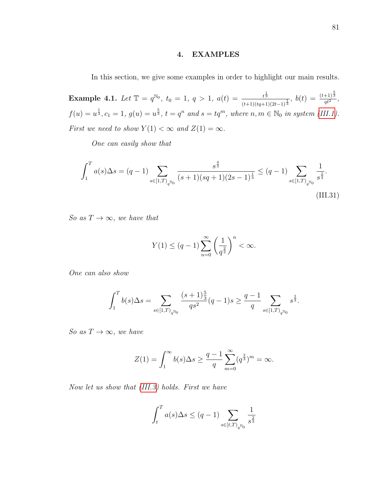### 4. EXAMPLES

In this section, we give some examples in order to highlight our main results.

**Example 4.1.** Let  $\mathbb{T} = q^{\mathbb{N}_0}$ ,  $t_0 = 1$ ,  $q > 1$ ,  $a(t) = \frac{t^{\frac{1}{3}}}{(t-1)(t-1)}$  $\frac{t^{\frac{1}{3}}}{(t+1)(tq+1)(2t-1)^{\frac{1}{3}}}, \ b(t) \, = \, \frac{(t+1)^{\frac{5}{3}}}{q t^2}$  $\frac{+1}{q t^2}$ ,  $f(u) = u^{\frac{1}{3}}, c_1 = 1, g(u) = u^{\frac{5}{3}}, t = q^n \text{ and } s = tq^m, \text{ where } n, m \in \mathbb{N}_0 \text{ in system (III.1)}.$  $f(u) = u^{\frac{1}{3}}, c_1 = 1, g(u) = u^{\frac{5}{3}}, t = q^n \text{ and } s = tq^m, \text{ where } n, m \in \mathbb{N}_0 \text{ in system (III.1)}.$  $f(u) = u^{\frac{1}{3}}, c_1 = 1, g(u) = u^{\frac{5}{3}}, t = q^n \text{ and } s = tq^m, \text{ where } n, m \in \mathbb{N}_0 \text{ in system (III.1)}.$ First we need to show  $Y(1) < \infty$  and  $Z(1) = \infty$ .

One can easily show that

$$
\int_{1}^{T} a(s) \Delta s = (q-1) \sum_{s \in [1,T]_{q^{\mathbb{N}_{0}}}} \frac{s^{\frac{4}{3}}}{(s+1)(sq+1)(2s-1)^{\frac{1}{3}}} \leq (q-1) \sum_{s \in [1,T]_{q^{\mathbb{N}_{0}}}} \frac{1}{s^{\frac{2}{3}}}.
$$
\n(III.31)

So as  $T \rightarrow \infty$ , we have that

<span id="page-91-0"></span>
$$
Y(1) \le (q-1) \sum_{n=0}^{\infty} \left(\frac{1}{q^{\frac{2}{3}}}\right)^n < \infty.
$$

One can also show

$$
\int_1^T b(s) \Delta s = \sum_{s \in [1,T)_{q^{\mathbb{N}_0}}} \frac{(s+1)\frac{5}{3}}{qs^2} (q-1) s \geq \frac{q-1}{q} \sum_{s \in [1,T)_{q^{\mathbb{N}_0}}} s^{\frac{2}{3}}.
$$

So as  $T \to \infty$ , we have

$$
Z(1) = \int_1^\infty b(s) \Delta s \ge \frac{q-1}{q} \sum_{m=0}^\infty (q^{\frac{2}{3}})^m = \infty.
$$

Now let us show that [\(III.3\)](#page-78-1) holds. First we have

$$
\int_{t}^{T} a(s) \Delta s \le (q-1) \sum_{s \in [t,T]_{q^{\mathbb{N}_0}}} \frac{1}{s^{\frac{2}{3}}}
$$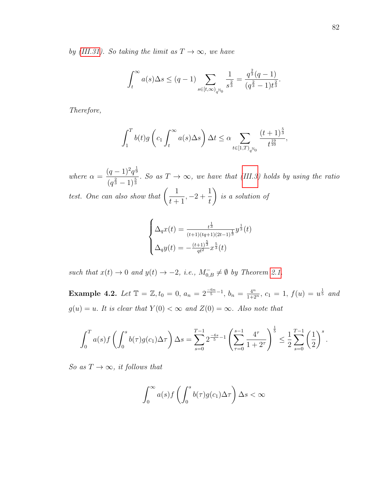by [\(III.31\)](#page-91-0). So taking the limit as  $T \to \infty$ , we have

$$
\int_t^{\infty} a(s) \Delta s \le (q-1) \sum_{s \in [t,\infty)_{q^{\mathbb{N}_0}}} \frac{1}{s^{\frac{2}{3}}} = \frac{q^{\frac{2}{3}}(q-1)}{(q^{\frac{2}{3}}-1)t^{\frac{2}{3}}}.
$$

Therefore,

$$
\int_1^T b(t)g\left(c_1 \int_t^\infty a(s)\Delta s\right)\Delta t \leq \alpha \sum_{t \in [1,T)_{q^{\mathbb{N}_0}}} \frac{(t+1)^{\frac{5}{3}}}{t^{\frac{19}{10}}},
$$

where  $\alpha =$  $(q-1)^2 q^{\frac{1}{9}}$  $\frac{(q^2-1)^2q^2}{(q^{\frac{2}{3}}-1)^{\frac{5}{3}}}$ . So as  $T \to \infty$ , we have that [\(III.3\)](#page-78-1) holds by using the ratio test. One can also show that  $\left(\frac{1}{1+r}\right)$  $t+1$  $, -2 + \frac{1}{4}$ t  $\setminus$ is a solution of

$$
\begin{cases} \Delta_q x(t) = \frac{t^{\frac{1}{3}}}{(t+1)(tq+1)(2t-1)^{\frac{1}{3}}} y^{\frac{1}{3}}(t) \\ \Delta_q y(t) = -\frac{(t+1)^{\frac{5}{3}}}{q t^2} x^{\frac{5}{3}}(t) \end{cases}
$$

such that  $x(t) \to 0$  and  $y(t) \to -2$ , i.e.,  $M_{0,B}^- \neq \emptyset$  by Theorem [2.1.](#page-78-3)

Example 4.2. Let  $\mathbb{T} = \mathbb{Z}, t_0 = 0, a_n = 2^{\frac{-6n}{5} - 1}, b_n = \frac{4^n}{1 + 2^n}, c_1 = 1, f(u) = u^{\frac{1}{5}}$  and  $g(u) = u$ . It is clear that  $Y(0) < \infty$  and  $Z(0) = \infty$ . Also note that

$$
\int_0^T a(s)f\left(\int_0^s b(\tau)g(c_1)\Delta \tau\right)\Delta s = \sum_{s=0}^{T-1} 2^{\frac{-6s}{5}-1}\left(\sum_{\tau=0}^{s-1} \frac{4^{\tau}}{1+2^{\tau}}\right)^{\frac{1}{5}} \leq \frac{1}{2}\sum_{s=0}^{T-1} \left(\frac{1}{2}\right)^s.
$$

So as  $T \to \infty$ , it follows that

$$
\int_0^\infty a(s)f\left(\int_0^s b(\tau)g(c_1)\Delta\tau\right)\Delta s < \infty
$$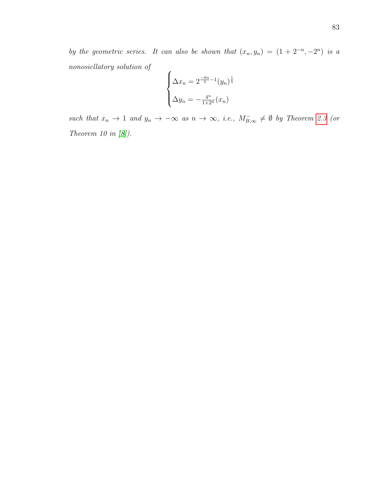by the geometric series. It can also be shown that  $(x_n, y_n) = (1 + 2^{-n}, -2^n)$  is a nonosicllatory solution of  $\overline{ }$ 

$$
\begin{cases}\n\Delta x_n = 2^{-\frac{6n}{5} - 1} (y_n)^{\frac{1}{5}} \\
\Delta y_n = -\frac{4^n}{1 + 2^n} (x_n)\n\end{cases}
$$

such that  $x_n \to 1$  and  $y_n \to -\infty$  as  $n \to \infty$ , i.e.,  $M_{B,\infty}^- \neq \emptyset$  by Theorem [2.3](#page-82-2) (or Theorem 10 in [\[8\]](#page-95-3)).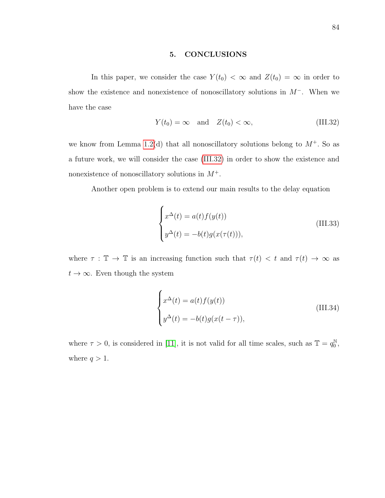### 5. CONCLUSIONS

In this paper, we consider the case  $Y(t_0) < \infty$  and  $Z(t_0) = \infty$  in order to show the existence and nonexistence of nonoscillatory solutions in M<sup>−</sup>. When we have the case

<span id="page-94-0"></span>
$$
Y(t_0) = \infty \quad \text{and} \quad Z(t_0) < \infty,\tag{III.32}
$$

we know from Lemma [1.2\(](#page-74-1)d) that all nonoscillatory solutions belong to  $M^+$ . So as a future work, we will consider the case [\(III.32\)](#page-94-0) in order to show the existence and nonexistence of nonoscillatory solutions in  $M^+$ .

Another open problem is to extend our main results to the delay equation

$$
\begin{cases}\nx^{\Delta}(t) = a(t)f(y(t)) \\
y^{\Delta}(t) = -b(t)g(x(\tau(t))),\n\end{cases}
$$
\n(III.33)

where  $\tau : \mathbb{T} \to \mathbb{T}$  is an increasing function such that  $\tau(t) < t$  and  $\tau(t) \to \infty$  as  $t \to \infty$ . Even though the system

$$
\begin{cases}\nx^{\Delta}(t) = a(t)f(y(t)) \\
y^{\Delta}(t) = -b(t)g(x(t-\tau)),\n\end{cases}
$$
\n(III.34)

where  $\tau > 0$ , is considered in [\[11\]](#page-95-7), it is not valid for all time scales, such as  $\mathbb{T} = q_0^{\mathbb{N}}$  $_{0}^{\mathbb{N}},$ where  $q > 1$ .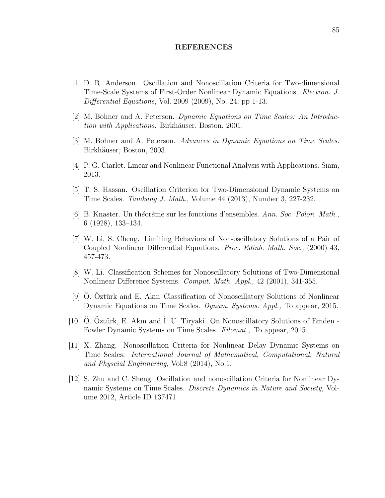#### REFERENCES

- <span id="page-95-4"></span>[1] D. R. Anderson. Oscillation and Nonoscillation Criteria for Two-dimensional Time-Scale Systems of First-Order Nonlinear Dynamic Equations. Electron. J. Differential Equations, Vol. 2009 (2009), No. 24, pp 1-13.
- <span id="page-95-0"></span>[2] M. Bohner and A. Peterson. Dynamic Equations on Time Scales: An Introduction with Applications. Birkhäuser, Boston, 2001.
- <span id="page-95-1"></span>[3] M. Bohner and A. Peterson. Advances in Dynamic Equations on Time Scales. Birkhäuser, Boston, 2003.
- <span id="page-95-9"></span>[4] P. G. Ciarlet. Linear and Nonlinear Functional Analysis with Applications. Siam, 2013.
- <span id="page-95-5"></span>[5] T. S. Hassan. Oscillation Criterion for Two-Dimensional Dynamic Systems on Time Scales. Tamkang J. Math., Volume 44 (2013), Number 3, 227-232.
- [6] B. Knaster. Un th´eor`eme sur les fonctions d'ensembles. Ann. Soc. Polon. Math., 6 (1928), 133–134.
- <span id="page-95-2"></span>[7] W. Li, S. Cheng. Limiting Behaviors of Non-oscillatory Solutions of a Pair of Coupled Nonlinear Differential Equations. Proc. Edinb. Math. Soc., (2000) 43, 457-473.
- <span id="page-95-3"></span>[8] W. Li. Classification Schemes for Nonoscillatory Solutions of Two-Dimensional Nonlinear Difference Systems. Comput. Math. Appl., 42 (2001), 341-355.
- [9] O. Oztürk and E. Akın. Classification of Nonoscillatory Solutions of Nonlinear Dynamic Equations on Time Scales. Dynam. Systems. Appl., To appear, 2015.
- <span id="page-95-6"></span>[10] O. Oztürk, E. Akın and I. U. Tiryaki. On Nonoscillatory Solutions of Emden -Fowler Dynamic Systems on Time Scales. Filomat., To appear, 2015.
- <span id="page-95-7"></span>[11] X. Zhang. Nonoscillation Criteria for Nonlinear Delay Dynamic Systems on Time Scales. International Journal of Mathematical, Computational, Natural and Physcial Enginnering, Vol:8 (2014), No:1.
- <span id="page-95-8"></span>[12] S. Zhu and C. Sheng. Oscillation and nonoscillation Criteria for Nonlinear Dynamic Systems on Time Scales. Discrete Dynamics in Nature and Society, Volume 2012, Article ID 137471.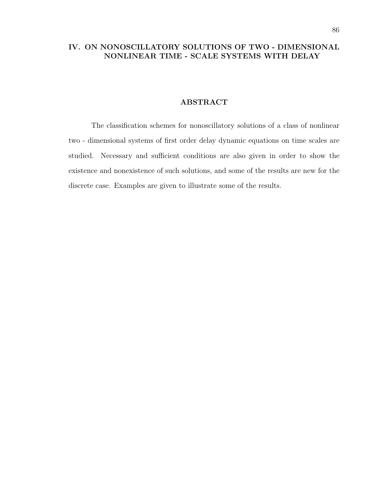## IV. ON NONOSCILLATORY SOLUTIONS OF TWO - DIMENSIONAL NONLINEAR TIME - SCALE SYSTEMS WITH DELAY

### ABSTRACT

The classification schemes for nonoscillatory solutions of a class of nonlinear two - dimensional systems of first order delay dynamic equations on time scales are studied. Necessary and sufficient conditions are also given in order to show the existence and nonexistence of such solutions, and some of the results are new for the discrete case. Examples are given to illustrate some of the results.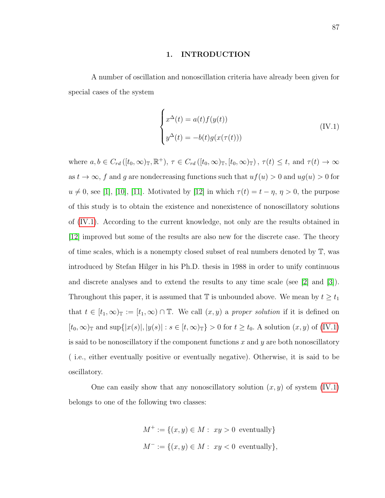#### 1. INTRODUCTION

A number of oscillation and nonoscillation criteria have already been given for special cases of the system

<span id="page-97-0"></span>
$$
\begin{cases}\nx^{\Delta}(t) = a(t)f(y(t)) \\
y^{\Delta}(t) = -b(t)g(x(\tau(t)))\n\end{cases}
$$
\n(IV.1)

where  $a, b \in C_{rd}([t_0,\infty)_\mathbb{T}, \mathbb{R}^+), \tau \in C_{rd}([t_0,\infty)_\mathbb{T}, [t_0,\infty)_\mathbb{T})$ ,  $\tau(t) \leq t$ , and  $\tau(t) \to \infty$ as  $t \to \infty$ , f and g are nondecreasing functions such that  $uf(u) > 0$  and  $ug(u) > 0$  for  $u \neq 0$ , see [\[1\]](#page-120-0), [\[10\]](#page-120-1), [\[11\]](#page-120-2). Motivated by [\[12\]](#page-120-3) in which  $\tau(t) = t - \eta$ ,  $\eta > 0$ , the purpose of this study is to obtain the existence and nonexistence of nonoscillatory solutions of [\(IV.1\)](#page-97-0). According to the current knowledge, not only are the results obtained in [\[12\]](#page-120-3) improved but some of the results are also new for the discrete case. The theory of time scales, which is a nonempty closed subset of real numbers denoted by T, was introduced by Stefan Hilger in his Ph.D. thesis in 1988 in order to unify continuous and discrete analyses and to extend the results to any time scale (see [\[2\]](#page-120-4) and [\[3\]](#page-120-5)). Throughout this paper, it is assumed that  $\mathbb T$  is unbounded above. We mean by  $t \geq t_1$ that  $t \in [t_1,\infty)$ <sub>T</sub> :=  $[t_1,\infty) \cap \mathbb{T}$ . We call  $(x,y)$  a proper solution if it is defined on  $[t_0,\infty)_{\mathbb{T}}$  and sup $\{|x(s)|, |y(s)| : s \in [t,\infty)_{\mathbb{T}}\} > 0$  for  $t \ge t_0$ . A solution  $(x, y)$  of  $(IV.1)$ is said to be nonoscillatory if the component functions  $x$  and  $y$  are both nonoscillatory ( i.e., either eventually positive or eventually negative). Otherwise, it is said to be oscillatory.

One can easily show that any nonoscillatory solution  $(x, y)$  of system [\(IV.1\)](#page-97-0) belongs to one of the following two classes:

$$
M^+ := \{(x, y) \in M : xy > 0 \text{ eventually}\}
$$
  

$$
M^- := \{(x, y) \in M : xy < 0 \text{ eventually}\},
$$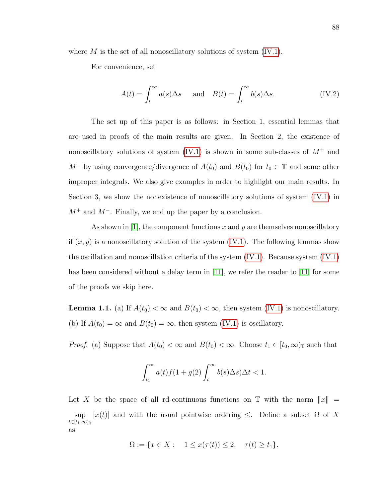where  $M$  is the set of all nonoscillatory solutions of system  $(IV.1)$ .

For convenience, set

$$
A(t) = \int_{t}^{\infty} a(s) \Delta s \quad \text{and} \quad B(t) = \int_{t}^{\infty} b(s) \Delta s. \quad (IV.2)
$$

The set up of this paper is as follows: in Section 1, essential lemmas that are used in proofs of the main results are given. In Section 2, the existence of nonoscillatory solutions of system [\(IV.1\)](#page-97-0) is shown in some sub-classes of  $M^+$  and  $M^-$  by using convergence/divergence of  $A(t_0)$  and  $B(t_0)$  for  $t_0 \in \mathbb{T}$  and some other improper integrals. We also give examples in order to highlight our main results. In Section 3, we show the nonexistence of nonoscillatory solutions of system [\(IV.1\)](#page-97-0) in  $M^+$  and  $M^-$ . Finally, we end up the paper by a conclusion.

As shown in  $|1|$ , the component functions x and y are themselves nonoscillatory if  $(x, y)$  is a nonoscillatory solution of the system  $(IV.1)$ . The following lemmas show the oscillation and nonoscillation criteria of the system [\(IV.1\)](#page-97-0). Because system [\(IV.1\)](#page-97-0) has been considered without a delay term in  $|11|$ , we refer the reader to  $|11|$  for some of the proofs we skip here.

**Lemma 1.1.** (a) If  $A(t_0) < \infty$  and  $B(t_0) < \infty$ , then system [\(IV.1\)](#page-97-0) is nonoscillatory. (b) If  $A(t_0) = \infty$  and  $B(t_0) = \infty$ , then system [\(IV.1\)](#page-97-0) is oscillatory.

*Proof.* (a) Suppose that  $A(t_0) < \infty$  and  $B(t_0) < \infty$ . Choose  $t_1 \in [t_0, \infty)$  such that

$$
\int_{t_1}^{\infty} a(t)f(1+g(2)\int_t^{\infty} b(s)\Delta s)\Delta t < 1.
$$

Let X be the space of all rd-continuous functions on  $\mathbb T$  with the norm  $||x|| =$ sup  $|x(t)|$  and with the usual pointwise ordering  $\leq$ . Define a subset  $\Omega$  of X  $t\in[t_1,\infty)_{\mathbb{T}}$ as

$$
\Omega := \{ x \in X : 1 \le x(\tau(t)) \le 2, \quad \tau(t) \ge t_1 \}.
$$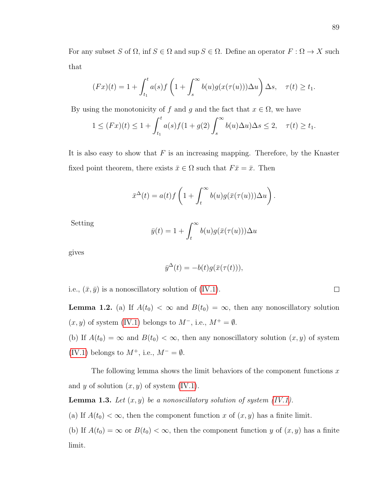For any subset S of  $\Omega$ , inf  $S \in \Omega$  and sup  $S \in \Omega$ . Define an operator  $F : \Omega \to X$  such that

$$
(Fx)(t) = 1 + \int_{t_1}^t a(s)f\left(1 + \int_s^\infty b(u)g(x(\tau(u)))\Delta u\right)\Delta s, \quad \tau(t) \ge t_1.
$$

By using the monotonicity of f and g and the fact that  $x \in \Omega$ , we have

$$
1 \le (Fx)(t) \le 1 + \int_{t_1}^t a(s)f(1 + g(2)) \int_s^{\infty} b(u)\Delta u) \Delta s \le 2, \quad \tau(t) \ge t_1.
$$

It is also easy to show that  $F$  is an increasing mapping. Therefore, by the Knaster fixed point theorem, there exists  $\bar{x} \in \Omega$  such that  $F\bar{x} = \bar{x}$ . Then

$$
\bar{x}^{\Delta}(t) = a(t)f\left(1 + \int_t^{\infty} b(u)g(\bar{x}(\tau(u)))\Delta u\right).
$$

Setting

$$
\bar{y}(t) = 1 + \int_{t}^{\infty} b(u)g(\bar{x}(\tau(u)))\Delta u
$$

gives

$$
\bar{y}^{\Delta}(t) = -b(t)g(\bar{x}(\tau(t))),
$$

i.e.,  $(\bar{x}, \bar{y})$  is a nonoscillatory solution of [\(IV.1\)](#page-97-0).

**Lemma 1.2.** (a) If  $A(t_0) < \infty$  and  $B(t_0) = \infty$ , then any nonoscillatory solution  $(x, y)$  of system [\(IV.1\)](#page-97-0) belongs to  $M^-$ , i.e.,  $M^+ = \emptyset$ .

(b) If  $A(t_0) = \infty$  and  $B(t_0) < \infty$ , then any nonoscillatory solution  $(x, y)$  of system [\(IV.1\)](#page-97-0) belongs to  $M^+$ , i.e.,  $M^- = \emptyset$ .

The following lemma shows the limit behaviors of the component functions  $x$ and y of solution  $(x, y)$  of system [\(IV.1\)](#page-97-0).

<span id="page-99-0"></span>**Lemma 1.3.** Let  $(x, y)$  be a nonoscillatory solution of system  $(IV.1)$ .

(a) If  $A(t_0) < \infty$ , then the component function x of  $(x, y)$  has a finite limit.

(b) If  $A(t_0) = \infty$  or  $B(t_0) < \infty$ , then the component function y of  $(x, y)$  has a finite limit.

 $\Box$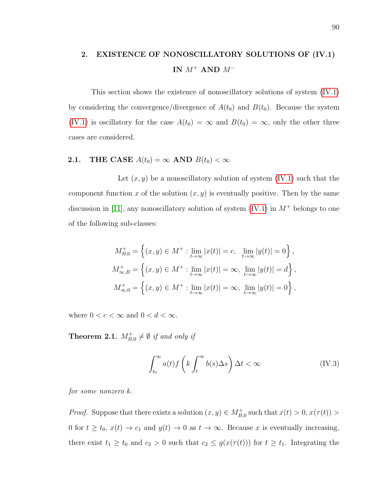## 2. EXISTENCE OF NONOSCILLATORY SOLUTIONS OF (IV.1) IN  $M^+$  AND  $M^-$

This section shows the existence of nonoscillatory solutions of system [\(IV.1\)](#page-97-0) by considering the convergence/divergence of  $A(t_0)$  and  $B(t_0)$ . Because the system [\(IV.1\)](#page-97-0) is oscillatory for the case  $A(t_0) = \infty$  and  $B(t_0) = \infty$ , only the other three cases are considered.

## **2.1.** THE CASE  $A(t_0) = \infty$  AND  $B(t_0) < \infty$

Let  $(x, y)$  be a nonoscillatory solution of system  $(IV.1)$  such that the component function x of the solution  $(x, y)$  is eventually positive. Then by the same discussion in [\[11\]](#page-120-2), any nonoscillatory solution of system  $(IV.1)$  in  $M^+$  belongs to one of the following sub-classes:

$$
M_{B,0}^{+} = \left\{ (x, y) \in M^{+} : \lim_{t \to \infty} |x(t)| = c, \lim_{t \to \infty} |y(t)| = 0 \right\},\newline M_{\infty, B}^{+} = \left\{ (x, y) \in M^{+} : \lim_{t \to \infty} |x(t)| = \infty, \lim_{t \to \infty} |y(t)| = d \right\},\newline M_{\infty, 0}^{+} = \left\{ (x, y) \in M^{+} : \lim_{t \to \infty} |x(t)| = \infty, \lim_{t \to \infty} |y(t)| = 0 \right\},\newline
$$

<span id="page-100-1"></span>where  $0 < c < \infty$  and  $0 < d < \infty$ .

**Theorem 2.1.**  $M_{B,0}^+ \neq \emptyset$  if and only if

<span id="page-100-0"></span>
$$
\int_{t_0}^{\infty} a(t) f\left(k \int_t^{\infty} b(s) \Delta s\right) \Delta t < \infty \tag{IV.3}
$$

for some nonzero k.

*Proof.* Suppose that there exists a solution  $(x, y) \in M_{B,0}^+$  such that  $x(t) > 0$ ,  $x(\tau(t)) > 0$ 0 for  $t \ge t_0$ ,  $x(t) \to c_1$  and  $y(t) \to 0$  as  $t \to \infty$ . Because x is eventually increasing, there exist  $t_1 \ge t_0$  and  $c_2 > 0$  such that  $c_2 \le g(x(\tau(t)))$  for  $t \ge t_1$ . Integrating the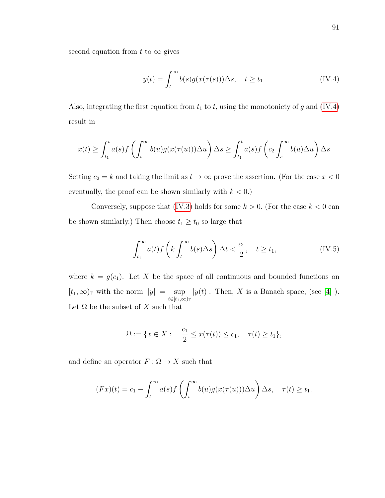second equation from t to  $\infty$  gives

<span id="page-101-0"></span>
$$
y(t) = \int_{t}^{\infty} b(s)g(x(\tau(s)))\Delta s, \quad t \ge t_1.
$$
 (IV.4)

Also, integrating the first equation from  $t_1$  to  $t$ , using the monotonicty of g and [\(IV.4\)](#page-101-0) result in

$$
x(t) \geq \int_{t_1}^t a(s)f\left(\int_s^{\infty} b(u)g(x(\tau(u)))\Delta u\right)\Delta s \geq \int_{t_1}^t a(s)f\left(c_2 \int_s^{\infty} b(u)\Delta u\right)\Delta s
$$

Setting  $c_2 = k$  and taking the limit as  $t \to \infty$  prove the assertion. (For the case  $x < 0$ eventually, the proof can be shown similarly with  $k < 0$ .)

Conversely, suppose that [\(IV.3\)](#page-100-0) holds for some  $k > 0$ . (For the case  $k < 0$  can be shown similarly.) Then choose  $t_1 \geq t_0$  so large that

<span id="page-101-1"></span>
$$
\int_{t_1}^{\infty} a(t) f\left(k \int_t^{\infty} b(s) \Delta s\right) \Delta t < \frac{c_1}{2}, \quad t \ge t_1,\tag{IV.5}
$$

where  $k = g(c_1)$ . Let X be the space of all continuous and bounded functions on  $[t_1,\infty)$ <sub>T</sub> with the norm  $||y|| = \sup$  $t \in [t_1,\infty)$ T  $|y(t)|$ . Then, X is a Banach space, (see [\[4\]](#page-120-6)). Let  $\Omega$  be the subset of X such that

$$
\Omega := \{ x \in X : \quad \frac{c_1}{2} \le x(\tau(t)) \le c_1, \quad \tau(t) \ge t_1 \},
$$

and define an operator  $F:\Omega\rightarrow X$  such that

$$
(Fx)(t) = c_1 - \int_t^{\infty} a(s)f\left(\int_s^{\infty} b(u)g(x(\tau(u)))\Delta u\right)\Delta s, \quad \tau(t) \ge t_1.
$$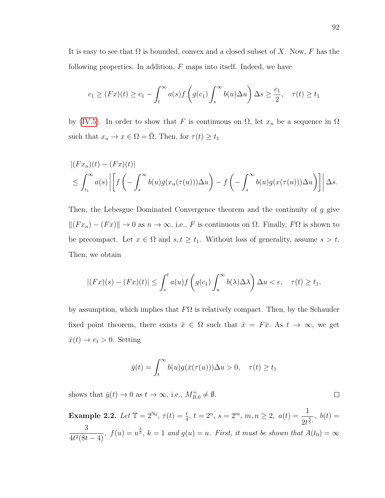It is easy to see that  $\Omega$  is bounded, convex and a closed subset of X. Now, F has the following properties. In addition,  $F$  maps into itself. Indeed, we have

$$
c_1 \ge (Fx)(t) \ge c_1 - \int_t^\infty a(s)f\left(g(c_1)\int_s^\infty b(u)\Delta u\right)\Delta s \ge \frac{c_1}{2}, \quad \tau(t) \ge t_1
$$

by [\(IV.5\)](#page-101-1). In order to show that F is continuous on  $\Omega$ , let  $x_n$  be a sequence in  $\Omega$ such that  $x_n \to x \in \Omega = \overline{\Omega}$ . Then, for  $\tau(t) \ge t_1$ 

$$
\begin{aligned} &\left| (Fx_n)(t) - (Fx)(t) \right| \\ &\leq \int_{t_1}^{\infty} a(s) \left| \left[ f\left( -\int_s^{\infty} b(u)g(x_n(\tau(u))) \Delta u \right) - f\left( -\int_s^{\infty} b(u)g(x(\tau(u))) \Delta u \right) \right] \right| \Delta s. \end{aligned}
$$

Then, the Lebesgue Dominated Convergence theorem and the continuity of g give  $||(Fx_n) - (Fx)|| \rightarrow 0$  as  $n \rightarrow \infty$ , i.e., F is continuous on  $\Omega$ . Finally,  $F\Omega$  is shown to be precompact. Let  $x \in \Omega$  and  $s, t \geq t_1$ . Without loss of generality, assume  $s > t$ . Then, we obtain

$$
|(Fx)(s)-(Fx)(t)| \leq \int_s^t a(u)f\left(g(c_1)\int_u^\infty b(\lambda)\Delta\lambda\right)\Delta u < \epsilon, \quad \tau(t) \geq t_1,
$$

by assumption, which implies that  $F\Omega$  is relatively compact. Then, by the Schauder fixed point theorem, there exists  $\bar{x} \in \Omega$  such that  $\bar{x} = F\bar{x}$ . As  $t \to \infty$ , we get  $\bar{x}(t) \to c_1 > 0$ . Setting

$$
\bar{y}(t) = \int_t^{\infty} b(u)g(\bar{x}(\tau(u)))\Delta u > 0, \quad \tau(t) \ge t_1
$$

shows that  $\bar{y}(t) \to 0$  as  $t \to \infty$ , i.e.,  $M_{B,0}^+ \neq \emptyset$ .

Example 2.2. Let  $\mathbb{T} = 2^{\mathbb{N}_0}$ ,  $\tau(t) = \frac{t}{4}$ ,  $t = 2^n$ ,  $s = 2^m$ ,  $m, n \geq 2$ ,  $a(t) = \frac{1}{2^t}$  $\frac{1}{2t^{\frac{4}{5}}},\,b(t)=$ 3  $\frac{3}{4t^2(8t-4)}$ ,  $f(u) = u^{\frac{3}{5}}$ ,  $k = 1$  and  $g(u) = u$ . First, it must be shown that  $A(t_0) = \infty$ 

 $\Box$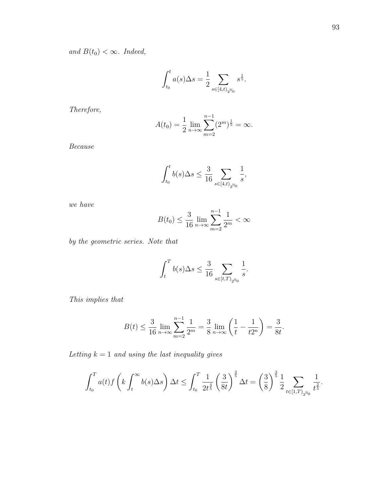and  $B(t_0) < \infty$ . Indeed,

$$
\int_{t_0}^t a(s) \Delta s = \frac{1}{2} \sum_{s \in [4, t)_{2^{\mathbb{N}_0}}} s^{\frac{1}{5}}.
$$

Therefore,

$$
A(t_0) = \frac{1}{2} \lim_{n \to \infty} \sum_{m=2}^{n-1} (2^m)^{\frac{1}{5}} = \infty.
$$

Because

$$
\int_{t_0}^t b(s) \Delta s \leq \frac{3}{16} \sum_{s \in [4, t)_{2^{N_0}}} \frac{1}{s},
$$

we have

$$
B(t_0) \le \frac{3}{16} \lim_{n \to \infty} \sum_{m=2}^{n-1} \frac{1}{2^m} < \infty
$$

by the geometric series. Note that

$$
\int_{t}^{T} b(s) \Delta s \le \frac{3}{16} \sum_{s \in [t,T)_{2^{N_0}}} \frac{1}{s}.
$$

This implies that

$$
B(t) \le \frac{3}{16} \lim_{n \to \infty} \sum_{m=2}^{n-1} \frac{1}{2^m} = \frac{3}{8} \lim_{n \to \infty} \left( \frac{1}{t} - \frac{1}{t2^n} \right) = \frac{3}{8t}.
$$

Letting  $k = 1$  and using the last inequality gives

$$
\int_{t_0}^T a(t) f\left(k \int_t^{\infty} b(s) \Delta s\right) \Delta t \le \int_{t_0}^T \frac{1}{2t^{\frac{4}{5}}} \left(\frac{3}{8t}\right)^{\frac{3}{5}} \Delta t = \left(\frac{3}{8}\right)^{\frac{3}{5}} \frac{1}{2} \sum_{t \in [1, T)_{2^{N_0}}} \frac{1}{t^{\frac{2}{5}}}.
$$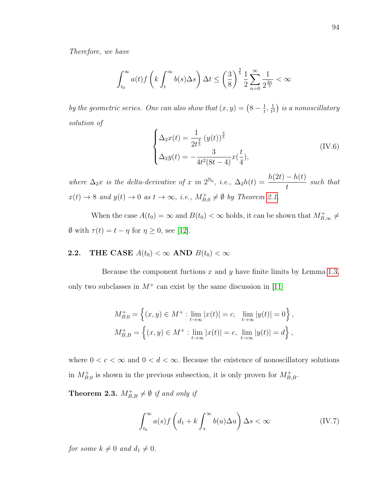Therefore, we have

$$
\int_{t_0}^{\infty} a(t) f\left(k \int_t^{\infty} b(s) \Delta s\right) \Delta t \le \left(\frac{3}{8}\right)^{\frac{3}{5}} \frac{1}{2} \sum_{n=0}^{\infty} \frac{1}{2^{\frac{2n}{5}}} < \infty
$$

by the geometric series. One can also show that  $(x, y) = (8 - \frac{1}{t})$  $\frac{1}{t}$ ,  $\frac{1}{t^2}$  $\frac{1}{t^2}$ ) is a nonoscillatory solution of

$$
\begin{cases}\n\Delta_2 x(t) = \frac{1}{2t^{\frac{4}{5}}} (y(t))^{\frac{3}{5}} \\
\Delta_2 y(t) = -\frac{3}{4t^2(8t-4)} x(\frac{t}{4}),\n\end{cases}
$$
\n(IV.6)

where  $\Delta_2 x$  is the delta-derivative of x in  $2^{\mathbb{N}_0}$ , i.e.,  $\Delta_2 h(t) = \frac{h(2t) - h(t)}{t}$ such that  $x(t) \to 8$  and  $y(t) \to 0$  as  $t \to \infty$ , i.e.,  $M_{B,0}^+ \neq \emptyset$  by Theorem [2.1.](#page-100-1)

When the case  $A(t_0) = \infty$  and  $B(t_0) < \infty$  holds, it can be shown that  $M_{B,\infty}^+ \neq$  $\emptyset$  with  $\tau(t) = t - \eta$  for  $\eta \ge 0$ , see [\[12\]](#page-120-3).

## **2.2.** THE CASE  $A(t_0) < \infty$  AND  $B(t_0) < \infty$

Because the component fuctions x and y have finite limits by Lemma [1.3,](#page-99-0) only two subclasses in  $M^+$  can exist by the same discussion in [\[11\]](#page-120-2)

$$
M_{B,0}^{+} = \left\{ (x, y) \in M^{+} : \lim_{t \to \infty} |x(t)| = c, \lim_{t \to \infty} |y(t)| = 0 \right\},\,
$$
  

$$
M_{B,B}^{+} = \left\{ (x, y) \in M^{+} : \lim_{t \to \infty} |x(t)| = c, \lim_{t \to \infty} |y(t)| = d \right\},\,
$$

where  $0 < c < \infty$  and  $0 < d < \infty$ . Because the existence of nonoscillatory solutions in  $M_{B,0}^+$  is shown in the previous subsection, it is only proven for  $M_{B,B}^+$ .

<span id="page-104-1"></span>**Theorem 2.3.**  $M_{B,B}^+ \neq \emptyset$  if and only if

<span id="page-104-0"></span>
$$
\int_{t_0}^{\infty} a(s)f\left(d_1 + k \int_s^{\infty} b(u)\Delta u\right) \Delta s < \infty
$$
 (IV.7)

for some  $k \neq 0$  and  $d_1 \neq 0$ .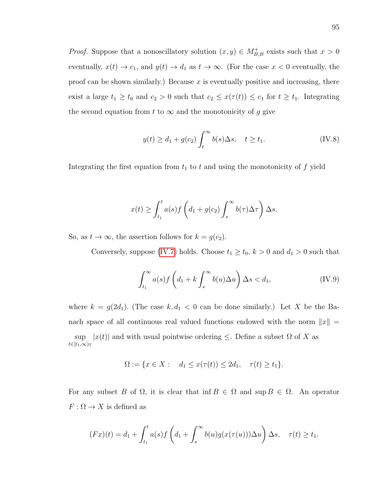*Proof.* Suppose that a nonoscillatory solution  $(x, y) \in M_{B,B}^+$  exists such that  $x > 0$ eventually,  $x(t) \to c_1$ , and  $y(t) \to d_1$  as  $t \to \infty$ . (For the case  $x < 0$  eventually, the proof can be shown similarly.) Because  $x$  is eventually positive and increasing, there exist a large  $t_1 \ge t_0$  and  $c_2 > 0$  such that  $c_2 \le x(\tau(t)) \le c_1$  for  $t \ge t_1$ . Integrating the second equation from t to  $\infty$  and the monotonicity of g give

$$
y(t) \ge d_1 + g(c_2) \int_t^{\infty} b(s) \Delta s, \quad t \ge t_1.
$$
 (IV.8)

Integrating the first equation from  $t_1$  to  $t$  and using the monotonicity of  $f$  yield

$$
x(t) \ge \int_{t_1}^t a(s)f\left(d_1 + g(c_2)\int_s^\infty b(\tau)\Delta\tau\right)\Delta s.
$$

So, as  $t \to \infty$ , the assertion follows for  $k = g(c_2)$ .

Conversely, suppose [\(IV.7\)](#page-104-0) holds. Choose  $t_1 \geq t_0$ ,  $k > 0$  and  $d_1 > 0$  such that

$$
\int_{t_1}^{\infty} a(s) f\left(d_1 + k \int_s^{\infty} b(u) \Delta u\right) \Delta s < d_1,\tag{IV.9}
$$

where  $k = g(2d_1)$ . (The case  $k, d_1 < 0$  can be done similarly.) Let X be the Banach space of all continuous real valued functions endowed with the norm  $||x|| =$ sup  $|x(t)|$  and with usual pointwise ordering  $\leq$ . Define a subset  $\Omega$  of X as  $t\in[t_1,\infty)_{\mathbb{T}}$ 

$$
\Omega := \{ x \in X : d_1 \le x(\tau(t)) \le 2d_1, \quad \tau(t) \ge t_1 \}.
$$

For any subset B of  $\Omega$ , it is clear that inf  $B \in \Omega$  and sup  $B \in \Omega$ . An operator  $F:\Omega\rightarrow X$  is defined as

$$
(Fx)(t) = d_1 + \int_{t_1}^t a(s)f\left(d_1 + \int_s^{\infty} b(u)g(x(\tau(u)))\Delta u\right)\Delta s, \quad \tau(t) \ge t_1.
$$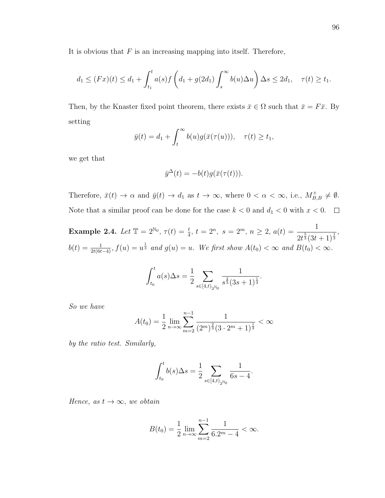It is obvious that  $F$  is an increasing mapping into itself. Therefore,

$$
d_1 \le (Fx)(t) \le d_1 + \int_{t_1}^t a(s)f\left(d_1 + g(2d_1)\int_s^\infty b(u)\Delta u\right)\Delta s \le 2d_1, \quad \tau(t) \ge t_1.
$$

Then, by the Knaster fixed point theorem, there exists  $\bar{x} \in \Omega$  such that  $\bar{x} = F\bar{x}$ . By setting

$$
\bar{y}(t) = d_1 + \int_t^{\infty} b(u)g(\bar{x}(\tau(u))), \quad \tau(t) \ge t_1,
$$

we get that

$$
\bar{y}^{\Delta}(t) = -b(t)g(\bar{x}(\tau(t))).
$$

Therefore,  $\bar{x}(t) \to \alpha$  and  $\bar{y}(t) \to d_1$  as  $t \to \infty$ , where  $0 < \alpha < \infty$ , i.e.,  $M_{B,B}^+ \neq \emptyset$ . Note that a similar proof can be done for the case  $k < 0$  and  $d_1 < 0$  with  $x < 0$ .  $\Box$ 

Example 2.4. Let  $\mathbb{T} = 2^{\mathbb{N}_0}$ ,  $\tau(t) = \frac{t}{4}$ ,  $t = 2^n$ ,  $s = 2^m$ ,  $n \geq 2$ ,  $a(t) = \frac{1}{2^{\frac{5}{4}}(2t)}$  $\frac{1}{2t^{\frac{5}{3}}(3t+1)^{\frac{1}{3}}},$  $b(t) = \frac{1}{2t(6t-4)}$ ,  $f(u) = u^{\frac{1}{3}}$  and  $g(u) = u$ . We first show  $A(t_0) < \infty$  and  $B(t_0) < \infty$ .

$$
\int_{t_0}^t a(s) \Delta s = \frac{1}{2} \sum_{s \in [4, t)_{2^{\mathbb{N}_0}}} \frac{1}{s^{\frac{2}{3}} (3s+1)^{\frac{1}{3}}}.
$$

So we have

$$
A(t_0) = \frac{1}{2} \lim_{n \to \infty} \sum_{m=2}^{n-1} \frac{1}{(2^m)^{\frac{2}{3}} (3 \cdot 2^m + 1)^{\frac{1}{3}}} < \infty
$$

by the ratio test. Similarly,

$$
\int_{t_0}^t b(s) \Delta s = \frac{1}{2} \sum_{s \in [4, t)_{2^{\mathbb{N}_0}}} \frac{1}{6s - 4}.
$$

Hence, as  $t \to \infty$ , we obtain

$$
B(t_0) = \frac{1}{2} \lim_{n \to \infty} \sum_{m=2}^{n-1} \frac{1}{6 \cdot 2^m - 4} < \infty.
$$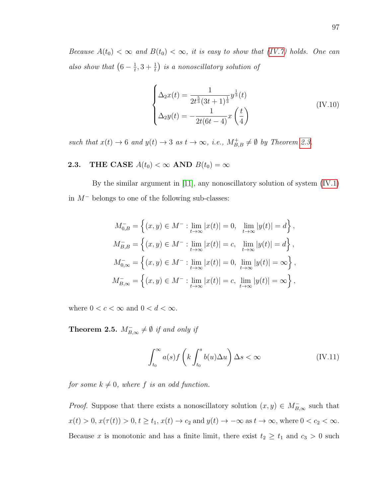Because  $A(t_0) < \infty$  and  $B(t_0) < \infty$ , it is easy to show that [\(IV.7\)](#page-104-0) holds. One can also show that  $(6-\frac{1}{t})$  $\left(\frac{1}{t},3+\frac{1}{t}\right)$  is a nonoscillatory solution of

$$
\begin{cases}\n\Delta_2 x(t) = \frac{1}{2t^{\frac{5}{3}}(3t+1)^{\frac{1}{3}}} y^{\frac{1}{3}}(t) \\
\Delta_2 y(t) = -\frac{1}{2t(6t-4)} x\left(\frac{t}{4}\right)\n\end{cases}
$$
\n(IV.10)

such that  $x(t) \to 6$  and  $y(t) \to 3$  as  $t \to \infty$ , i.e.,  $M_{B,B}^+ \neq \emptyset$  by Theorem [2.3.](#page-104-1)

# **2.3.** THE CASE  $A(t_0) < \infty$  AND  $B(t_0) = \infty$

By the similar argument in [\[11\]](#page-120-2), any nonoscillatory solution of system [\(IV.1\)](#page-97-0) in M<sup>−</sup> belongs to one of the following sub-classes:

$$
M_{0,B}^- = \left\{ (x, y) \in M^- : \lim_{t \to \infty} |x(t)| = 0, \lim_{t \to \infty} |y(t)| = d \right\},\,
$$
  
\n
$$
M_{B,B}^- = \left\{ (x, y) \in M^- : \lim_{t \to \infty} |x(t)| = c, \lim_{t \to \infty} |y(t)| = d \right\},\,
$$
  
\n
$$
M_{0,\infty}^- = \left\{ (x, y) \in M^- : \lim_{t \to \infty} |x(t)| = 0, \lim_{t \to \infty} |y(t)| = \infty \right\},\,
$$
  
\n
$$
M_{B,\infty}^- = \left\{ (x, y) \in M^- : \lim_{t \to \infty} |x(t)| = c, \lim_{t \to \infty} |y(t)| = \infty \right\},\,
$$

where  $0 < c < \infty$  and  $0 < d < \infty$ .

**Theorem 2.5.**  $M_{B,\infty}^- \neq \emptyset$  if and only if

$$
\int_{t_0}^{\infty} a(s) f\left(k \int_{t_0}^s b(u) \Delta u\right) \Delta s < \infty \tag{IV.11}
$$

for some  $k \neq 0$ , where f is an odd function.

*Proof.* Suppose that there exists a nonoscillatory solution  $(x, y) \in M_{B,\infty}^-$  such that  $x(t) > 0, x(\tau(t)) > 0, t \ge t_1, x(t) \to c_2 \text{ and } y(t) \to -\infty \text{ as } t \to \infty, \text{ where } 0 < c_2 < \infty.$ Because x is monotonic and has a finite limit, there exist  $t_2 \geq t_1$  and  $c_3 > 0$  such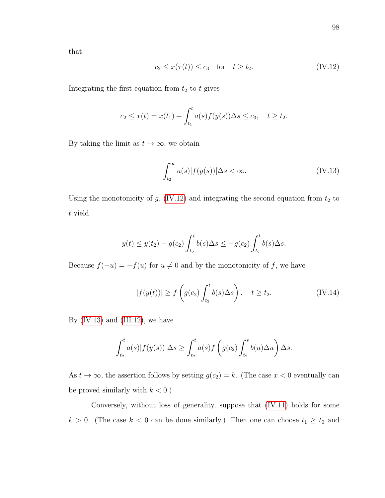that

<span id="page-108-0"></span>
$$
c_2 \le x(\tau(t)) \le c_3 \quad \text{for} \quad t \ge t_2. \tag{IV.12}
$$

Integrating the first equation from  $t_2$  to t gives

$$
c_2 \le x(t) = x(t_1) + \int_{t_1}^t a(s) f(y(s)) \Delta s \le c_3, \quad t \ge t_2.
$$

By taking the limit as  $t \to \infty$ , we obtain

<span id="page-108-1"></span>
$$
\int_{t_2}^{\infty} a(s)|f(y(s))|\Delta s < \infty.
$$
 (IV.13)

Using the monotonicity of  $g$ , [\(IV.12\)](#page-108-0) and integrating the second equation from  $t_2$  to t yield

$$
y(t) \le y(t_2) - g(c_2) \int_{t_2}^t b(s) \Delta s \le -g(c_2) \int_{t_2}^t b(s) \Delta s.
$$

Because  $f(-u) = -f(u)$  for  $u \neq 0$  and by the monotonicity of f, we have

$$
|f(y(t))| \ge f\left(g(c_2)\int_{t_2}^t b(s)\Delta s\right), \quad t \ge t_2. \tag{IV.14}
$$

By  $(IV.13)$  and  $(III.12)$ , we have

$$
\int_{t_2}^t a(s)|f(y(s))|\Delta s \ge \int_{t_2}^t a(s)f\left(g(c_2)\int_{t_2}^s b(u)\Delta u\right)\Delta s.
$$

As  $t \to \infty$ , the assertion follows by setting  $g(c_2) = k$ . (The case  $x < 0$  eventually can be proved similarly with  $k < 0$ .)

Conversely, without loss of generality, suppose that [\(IV.11\)](#page-107-0) holds for some  $k > 0$ . (The case  $k < 0$  can be done similarly.) Then one can choose  $t_1 \geq t_0$  and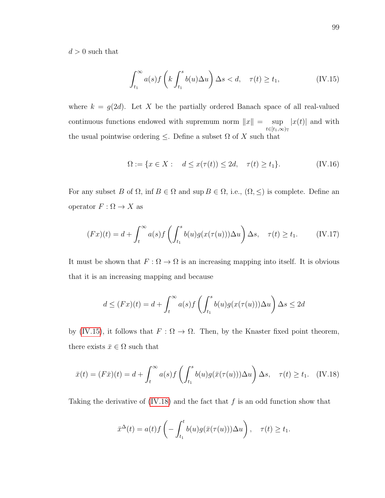$d > 0$  such that

<span id="page-109-0"></span>
$$
\int_{t_1}^{\infty} a(s) f\left(k \int_{t_1}^s b(u) \Delta u\right) \Delta s < d, \quad \tau(t) \ge t_1,\tag{IV.15}
$$

where  $k = g(2d)$ . Let X be the partially ordered Banach space of all real-valued continuous functions endowed with supremum norm  $||x|| = \sup$  $t \in [t_1,\infty)$ T  $|x(t)|$  and with the usual pointwise ordering  $\leq$ . Define a subset  $\Omega$  of X such that

$$
\Omega := \{ x \in X : \quad d \le x(\tau(t)) \le 2d, \quad \tau(t) \ge t_1 \}. \tag{IV.16}
$$

For any subset B of  $\Omega$ , inf  $B \in \Omega$  and sup  $B \in \Omega$ , i.e.,  $(\Omega, \leq)$  is complete. Define an operator  $F: \Omega \to X$  as

$$
(Fx)(t) = d + \int_t^{\infty} a(s)f\left(\int_{t_1}^s b(u)g(x(\tau(u)))\Delta u\right)\Delta s, \quad \tau(t) \ge t_1. \tag{IV.17}
$$

It must be shown that  $F: \Omega \to \Omega$  is an increasing mapping into itself. It is obvious that it is an increasing mapping and because

$$
d \leq (Fx)(t) = d + \int_t^{\infty} a(s)f\left(\int_{t_1}^s b(u)g(x(\tau(u)))\Delta u\right)\Delta s \leq 2d
$$

by [\(IV.15\)](#page-109-0), it follows that  $F : \Omega \to \Omega$ . Then, by the Knaster fixed point theorem, there exists  $\bar{x} \in \Omega$  such that

<span id="page-109-1"></span>
$$
\bar{x}(t) = (F\bar{x})(t) = d + \int_t^{\infty} a(s)f\left(\int_{t_1}^s b(u)g(\bar{x}(\tau(u)))\Delta u\right)\Delta s, \quad \tau(t) \ge t_1. \quad \text{(IV.18)}
$$

Taking the derivative of  $(IV.18)$  and the fact that f is an odd function show that

$$
\bar{x}^{\Delta}(t) = a(t)f\left(-\int_{t_1}^t b(u)g(\bar{x}(\tau(u)))\Delta u\right), \quad \tau(t) \ge t_1.
$$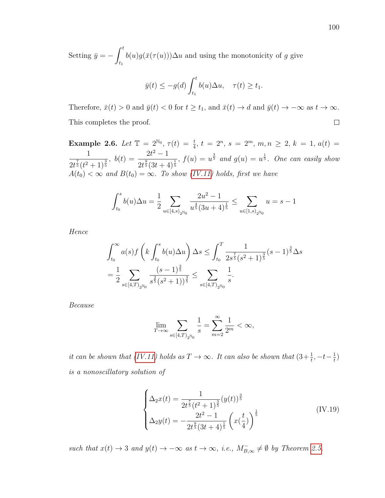Setting  $\bar{y} = -\int^t$  $t_1$  $b(u)g(\bar{x}(\tau(u)))\Delta u$  and using the monotonicity of g give

$$
\bar{y}(t) \le -g(d) \int_{t_1}^t b(u) \Delta u, \quad \tau(t) \ge t_1.
$$

Therefore,  $\bar{x}(t) > 0$  and  $\bar{y}(t) < 0$  for  $t \ge t_1$ , and  $\bar{x}(t) \to d$  and  $\bar{y}(t) \to -\infty$  as  $t \to \infty$ .  $\Box$ This completes the proof.

Example 2.6. Let  $\mathbb{T} = 2^{\mathbb{N}_0}$ ,  $\tau(t) = \frac{t}{4}$ ,  $t = 2^n$ ,  $s = 2^m$ ,  $m, n \ge 2$ ,  $k = 1$ ,  $a(t) =$ 1  $\frac{1}{2t^{\frac{7}{5}}(t^2+1)^{\frac{3}{5}}}, \ b(t)=\frac{2t^2-1}{2t^{\frac{9}{5}}(3t+\frac{7}{5})}$  $\frac{2t^2-1}{2t^{\frac{9}{5}}(3t+4)^{\frac{1}{5}}}$ ,  $f(u) = u^{\frac{3}{5}}$  and  $g(u) = u^{\frac{1}{5}}$ . One can easily show  $A(t_0) < \infty$  and  $B(t_0) = \infty$ . To show [\(IV.11\)](#page-107-0) holds, first we have

$$
\int_{t_0}^s b(u)\Delta u = \frac{1}{2} \sum_{u \in [4,s)_{2^{\mathbb{N}_0}}} \frac{2u^2 - 1}{u^{\frac{4}{5}}(3u+4)^{\frac{1}{5}}} \le \sum_{u \in [1,s)_{2^{\mathbb{N}_0}}} u = s - 1
$$

Hence

$$
\int_{t_0}^{\infty} a(s) f\left(k \int_{t_0}^s b(u) \Delta u\right) \Delta s \le \int_{t_0}^T \frac{1}{2s^{\frac{7}{5}} (s^2 + 1)^{\frac{3}{5}}} (s - 1)^{\frac{3}{5}} \Delta s
$$
  
=  $\frac{1}{2} \sum_{s \in [4, T)_{2^{\mathbb{N}_0}}} \frac{(s - 1)^{\frac{3}{5}}}{s^{\frac{2}{5}} (s^2 + 1)^{\frac{3}{5}}} \le \sum_{s \in [4, T)_{2^{\mathbb{N}_0}}} \frac{1}{s}.$ 

Because

$$
\lim_{T\rightarrow\infty}\sum_{s\in[4,T)_{2^{\mathbb{N}_0}}}\frac{1}{s}=\sum_{m=2}^{\infty}\frac{1}{2^m}<\infty,
$$

it can be shown that [\(IV.11\)](#page-107-0) holds as  $T \to \infty$ . It can also be shown that  $(3+\frac{1}{t}, -t-\frac{1}{t})$  $\frac{1}{t})$ is a nonoscillatory solution of

$$
\begin{cases}\n\Delta_2 x(t) = \frac{1}{2t^{\frac{7}{5}}(t^2+1)^{\frac{3}{5}}}(y(t))^{\frac{3}{5}} \\
\Delta_2 y(t) = -\frac{2t^2-1}{2t^{\frac{9}{5}}(3t+4)^{\frac{1}{5}}}\left(x(\frac{t}{4})\right)^{\frac{1}{5}}\n\end{cases} \tag{IV.19}
$$

such that  $x(t) \to 3$  and  $y(t) \to -\infty$  as  $t \to \infty$ , i.e.,  $M_{B,\infty}^- \neq \emptyset$  by Theorem [2.5.](#page-107-1)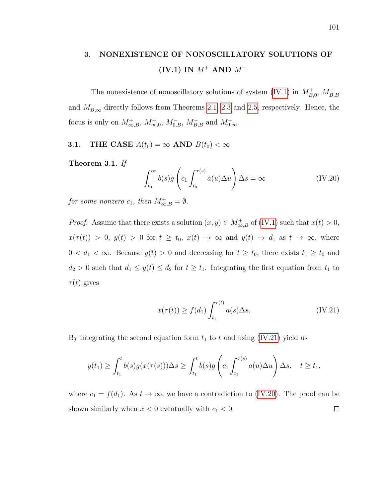# 3. NONEXISTENCE OF NONOSCILLATORY SOLUTIONS OF (IV.1) IN  $M^+$  AND  $M^-$

The nonexistence of nonoscillatory solutions of system [\(IV.1\)](#page-97-0) in  $M_{B,0}^+$ ,  $M_{B,B}^+$ and  $M^-_{B,\infty}$  directly follows from Theorems [2.1,](#page-100-0) [2.3](#page-104-0) and [2.5,](#page-107-1) respectively. Hence, the focus is only on  $M_{\infty,B}^+$ ,  $M_{\infty,0}^+$ ,  $M_{0,B}^-$ ,  $M_{B,B}^-$  and  $M_{0,\infty}^-$ .

**3.1.** THE CASE  $A(t_0) = \infty$  AND  $B(t_0) < \infty$ 

<span id="page-111-2"></span>Theorem 3.1. If

<span id="page-111-1"></span>
$$
\int_{t_0}^{\infty} b(s)g\left(c_1 \int_{t_0}^{\tau(s)} a(u)\Delta u\right) \Delta s = \infty
$$
 (IV.20)

for some nonzero  $c_1$ , then  $M^+_{\infty,B} = \emptyset$ .

*Proof.* Assume that there exists a solution  $(x, y) \in M^+_{\infty, B}$  of [\(IV.1\)](#page-97-0) such that  $x(t) > 0$ ,  $x(\tau(t)) > 0$ ,  $y(t) > 0$  for  $t \ge t_0$ ,  $x(t) \to \infty$  and  $y(t) \to d_1$  as  $t \to \infty$ , where  $0 < d_1 < \infty$ . Because  $y(t) > 0$  and decreasing for  $t \geq t_0$ , there exists  $t_1 \geq t_0$  and  $d_2 > 0$  such that  $d_1 \leq y(t) \leq d_2$  for  $t \geq t_1$ . Integrating the first equation from  $t_1$  to  $\tau(t)$  gives

<span id="page-111-0"></span>
$$
x(\tau(t)) \ge f(d_1) \int_{t_1}^{\tau(t)} a(s) \Delta s. \tag{IV.21}
$$

By integrating the second equation form  $t_1$  to t and using [\(IV.21\)](#page-111-0) yield us

$$
y(t_1) \geq \int_{t_1}^t b(s)g(x(\tau(s)))\Delta s \geq \int_{t_1}^t b(s)g\left(c_1 \int_{t_1}^{\tau(s)} a(u)\Delta u\right)\Delta s, \quad t \geq t_1,
$$

where  $c_1 = f(d_1)$ . As  $t \to \infty$ , we have a contradiction to [\(IV.20\)](#page-111-1). The proof can be shown similarly when  $x < 0$  eventually with  $c_1 < 0$ .  $\Box$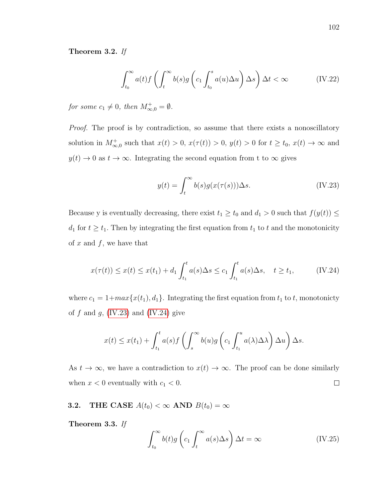# Theorem 3.2. If

$$
\int_{t_0}^{\infty} a(t) f\left(\int_t^{\infty} b(s) g\left(c_1 \int_{t_0}^s a(u) \Delta u\right) \Delta s\right) \Delta t < \infty \tag{IV.22}
$$

for some  $c_1 \neq 0$ , then  $M^+_{\infty,0} = \emptyset$ .

Proof. The proof is by contradiction, so assume that there exists a nonoscillatory solution in  $M_{\infty,0}^+$  such that  $x(t) > 0$ ,  $x(\tau(t)) > 0$ ,  $y(t) > 0$  for  $t \ge t_0$ ,  $x(t) \to \infty$  and  $y(t) \to 0$  as  $t \to \infty$ . Integrating the second equation from t to  $\infty$  gives

<span id="page-112-0"></span>
$$
y(t) = \int_{t}^{\infty} b(s)g(x(\tau(s)))\Delta s.
$$
 (IV.23)

Because y is eventually decreasing, there exist  $t_1 \ge t_0$  and  $d_1 > 0$  such that  $f(y(t)) \le$  $d_1$  for  $t \geq t_1$ . Then by integrating the first equation from  $t_1$  to  $t$  and the monotonicity of  $x$  and  $f$ , we have that

<span id="page-112-1"></span>
$$
x(\tau(t)) \le x(t) \le x(t_1) + d_1 \int_{t_1}^t a(s) \Delta s \le c_1 \int_{t_1}^t a(s) \Delta s, \quad t \ge t_1,
$$
 (IV.24)

where  $c_1 = 1 + max\{x(t_1), d_1\}$ . Integrating the first equation from  $t_1$  to  $t$ , monotonicty of f and g,  $(IV.23)$  and  $(IV.24)$  give

$$
x(t) \leq x(t_1) + \int_{t_1}^t a(s) f\left(\int_s^\infty b(u)g\left(c_1 \int_{t_1}^u a(\lambda) \Delta \lambda\right) \Delta u\right) \Delta s.
$$

As  $t \to \infty$ , we have a contradiction to  $x(t) \to \infty$ . The proof can be done similarly when  $x < 0$  eventually with  $c_1 < 0$ .  $\Box$ 

**3.2.** THE CASE  $A(t_0) < \infty$  AND  $B(t_0) = \infty$ 

Theorem 3.3. If

<span id="page-112-2"></span>
$$
\int_{t_0}^{\infty} b(t)g\left(c_1 \int_t^{\infty} a(s)\Delta s\right) \Delta t = \infty
$$
 (IV.25)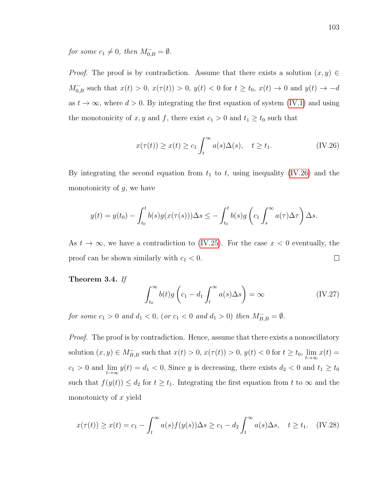for some  $c_1 \neq 0$ , then  $M_{0,B}^- = \emptyset$ .

*Proof.* The proof is by contradiction. Assume that there exists a solution  $(x, y) \in$  $M_{0,B}^-$  such that  $x(t) > 0$ ,  $x(\tau(t)) > 0$ ,  $y(t) < 0$  for  $t \ge t_0$ ,  $x(t) \to 0$  and  $y(t) \to -d$ as  $t \to \infty$ , where  $d > 0$ . By integrating the first equation of system [\(IV.1\)](#page-97-0) and using the monotonicity of  $x, y$  and  $f$ , there exist  $c_1 > 0$  and  $t_1 \ge t_0$  such that

<span id="page-113-0"></span>
$$
x(\tau(t)) \ge x(t) \ge c_1 \int_t^{\infty} a(s) \Delta(s), \quad t \ge t_1.
$$
 (IV.26)

By integrating the second equation from  $t_1$  to  $t$ , using inequality [\(IV.26\)](#page-113-0) and the monotonicity of  $g$ , we have

$$
y(t) = y(t_0) - \int_{t_0}^t b(s)g(x(\tau(s)))\Delta s \le -\int_{t_0}^t b(s)g\left(c_1 \int_s^\infty a(\tau)\Delta \tau\right)\Delta s.
$$

As  $t \to \infty$ , we have a contradiction to [\(IV.25\)](#page-112-2). For the case  $x < 0$  eventually, the  $\Box$ proof can be shown similarly with  $c_1 < 0$ .

Theorem 3.4. If

<span id="page-113-2"></span>
$$
\int_{t_0}^{\infty} b(t)g\left(c_1 - d_1 \int_t^{\infty} a(s)\Delta s\right) = \infty
$$
 (IV.27)

for some  $c_1 > 0$  and  $d_1 < 0$ , (or  $c_1 < 0$  and  $d_1 > 0$ ) then  $M_{B,B}^- = \emptyset$ .

Proof. The proof is by contradiction. Hence, assume that there exists a nonoscillatory solution  $(x, y) \in M_{B,B}^-$  such that  $x(t) > 0$ ,  $x(\tau(t)) > 0$ ,  $y(t) < 0$  for  $t \ge t_0$ ,  $\lim_{t \to \infty} x(t) =$  $c_1 > 0$  and  $\lim_{t \to \infty} y(t) = d_1 < 0$ . Since y is decreasing, there exists  $d_2 < 0$  and  $t_1 \ge t_0$ such that  $f(y(t)) \leq d_2$  for  $t \geq t_1$ . Integrating the first equation from t to  $\infty$  and the monotonicty of x yield

<span id="page-113-1"></span>
$$
x(\tau(t)) \ge x(t) = c_1 - \int_t^\infty a(s)f(y(s))\Delta s \ge c_1 - d_2 \int_t^\infty a(s)\Delta s, \quad t \ge t_1. \quad (IV.28)
$$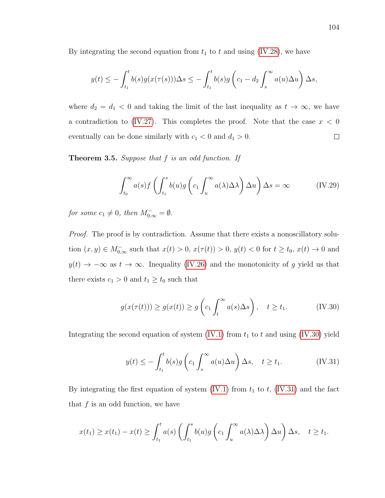By integrating the second equation from  $t_1$  to t and using [\(IV.28\)](#page-113-1), we have

$$
y(t) \leq -\int_{t_1}^t b(s)g(x(\tau(s)))\Delta s \leq -\int_{t_1}^t b(s)g\left(c_1 - d_2 \int_s^{\infty} a(u)\Delta u\right)\Delta s,
$$

where  $d_2 = d_1 < 0$  and taking the limit of the last inequality as  $t \to \infty$ , we have a contradiction to [\(IV.27\)](#page-113-2). This completes the proof. Note that the case  $x < 0$ eventually can be done similarly with  $c_1 < 0$  and  $d_1 > 0$ .  $\Box$ 

**Theorem 3.5.** Suppose that  $f$  is an odd function. If

<span id="page-114-2"></span>
$$
\int_{t_0}^{\infty} a(s) f\left(\int_{t_1}^s b(u) g\left(c_1 \int_u^{\infty} a(\lambda) \Delta \lambda\right) \Delta u\right) \Delta s = \infty \tag{IV.29}
$$

for some  $c_1 \neq 0$ , then  $M_{0,\infty}^- = \emptyset$ .

Proof. The proof is by contradiction. Assume that there exists a nonoscillatory solution  $(x, y) \in M_{0,\infty}^-$  such that  $x(t) > 0$ ,  $x(\tau(t)) > 0$ ,  $y(t) < 0$  for  $t \ge t_0$ ,  $x(t) \to 0$  and  $y(t) \rightarrow -\infty$  as  $t \rightarrow \infty$ . Inequality [\(IV.26\)](#page-113-0) and the monotonicity of g yield us that there exists  $c_1 > 0$  and  $t_1 \ge t_0$  such that

<span id="page-114-0"></span>
$$
g(x(\tau(t))) \ge g(x(t)) \ge g\left(c_1 \int_t^\infty a(s) \Delta s\right), \quad t \ge t_1. \tag{IV.30}
$$

Integrating the second equation of system  $(IV.1)$  from  $t_1$  to t and using  $(IV.30)$  yield

<span id="page-114-1"></span>
$$
y(t) \le -\int_{t_1}^t b(s)g\left(c_1 \int_s^\infty a(u)\Delta u\right)\Delta s, \quad t \ge t_1. \tag{IV.31}
$$

By integrating the first equation of system [\(IV.1\)](#page-97-0) from  $t_1$  to  $t$ , [\(IV.31\)](#page-114-1) and the fact that  $f$  is an odd function, we have

$$
x(t_1) \geq x(t_1) - x(t) \geq \int_{t_1}^t a(s) \left( \int_{t_1}^s b(u) g\left(c_1 \int_u^\infty a(\lambda) \Delta \lambda\right) \Delta u \right) \Delta s, \quad t \geq t_1.
$$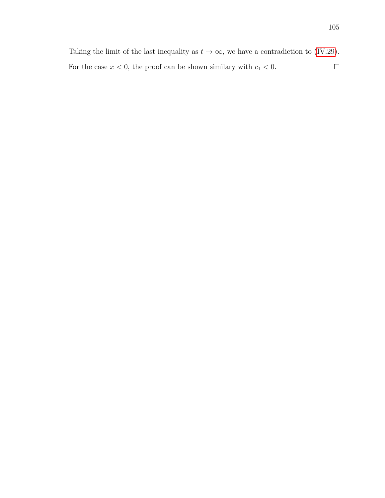Taking the limit of the last inequality as  $t \to \infty$ , we have a contradiction to [\(IV.29\)](#page-114-2). For the case  $x < 0$ , the proof can be shown similary with  $c_1 < 0$ .  $\Box$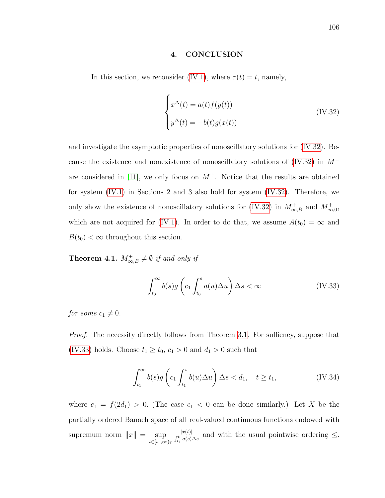#### 4. CONCLUSION

In this section, we reconsider [\(IV.1\)](#page-97-0), where  $\tau(t) = t$ , namely,

<span id="page-116-0"></span>
$$
\begin{cases}\nx^{\Delta}(t) = a(t)f(y(t)) \\
y^{\Delta}(t) = -b(t)g(x(t))\n\end{cases}
$$
\n(IV.32)

and investigate the asymptotic properties of nonoscillatory solutions for [\(IV.32\)](#page-116-0). Because the existence and nonexistence of nonoscillatory solutions of [\(IV.32\)](#page-116-0) in M<sup>−</sup> are considered in [\[11\]](#page-120-0), we only focus on  $M^+$ . Notice that the results are obtained for system [\(IV.1\)](#page-97-0) in Sections 2 and 3 also hold for system [\(IV.32\)](#page-116-0). Therefore, we only show the existence of nonoscillatory solutions for [\(IV.32\)](#page-116-0) in  $M_{\infty,B}^+$  and  $M_{\infty,0}^+$ , which are not acquired for [\(IV.1\)](#page-97-0). In order to do that, we assume  $A(t_0) = \infty$  and  $B(t_0) < \infty$  throughout this section.

**Theorem 4.1.**  $M_{\infty,B}^+ \neq \emptyset$  if and only if

<span id="page-116-1"></span>
$$
\int_{t_0}^{\infty} b(s)g\left(c_1 \int_{t_0}^s a(u)\Delta u\right) \Delta s < \infty
$$
 (IV.33)

for some  $c_1 \neq 0$ .

*Proof.* The necessity directly follows from Theorem [3.1.](#page-111-2) For suffiency, suppose that [\(IV.33\)](#page-116-1) holds. Choose  $t_1 \geq t_0$ ,  $c_1 > 0$  and  $d_1 > 0$  such that

<span id="page-116-2"></span>
$$
\int_{t_1}^{\infty} b(s)g\left(c_1 \int_{t_1}^s b(u)\Delta u\right) \Delta s < d_1, \quad t \ge t_1,\tag{IV.34}
$$

where  $c_1 = f(2d_1) > 0$ . (The case  $c_1 < 0$  can be done similarly.) Let X be the partially ordered Banach space of all real-valued continuous functions endowed with supremum norm  $||x|| = \sup$  $t\in[t_1,\infty)_{\mathbb{T}}$  $|x(t)|$  $\frac{|x(t)|}{\int_{t_1}^t a(s)\Delta s}$  and with the usual pointwise ordering  $\leq$ .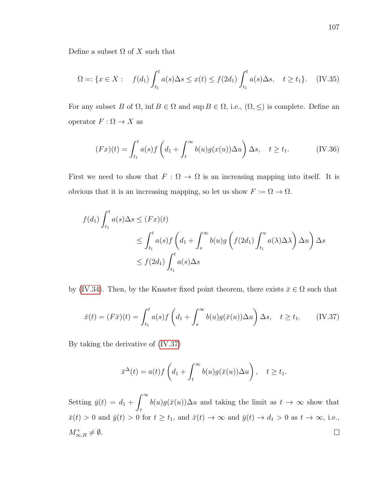Define a subset  $\Omega$  of X such that

$$
\Omega = \{ x \in X : \quad f(d_1) \int_{t_1}^t a(s) \Delta s \le x(t) \le f(2d_1) \int_{t_1}^t a(s) \Delta s, \quad t \ge t_1 \}. \quad (\text{IV.35})
$$

For any subset B of  $\Omega$ , inf  $B \in \Omega$  and sup  $B \in \Omega$ , i.e.,  $(\Omega, \leq)$  is complete. Define an operator  $F : \Omega \to X$  as

$$
(Fx)(t) = \int_{t_1}^t a(s)f\left(d_1 + \int_t^\infty b(u)g(x(u))\Delta u\right)\Delta s, \quad t \ge t_1. \tag{IV.36}
$$

First we need to show that  $F: \Omega \to \Omega$  is an increasing mapping into itself. It is obvious that it is an increasing mapping, so let us show  $F := \Omega \to \Omega$ .

$$
f(d_1) \int_{t_1}^t a(s) \Delta s \le (Fx)(t)
$$
  
\n
$$
\le \int_{t_1}^t a(s) f\left(d_1 + \int_s^\infty b(u)g\left(f(2d_1) \int_{t_1}^u a(\lambda) \Delta \lambda\right) \Delta u\right) \Delta s
$$
  
\n
$$
\le f(2d_1) \int_{t_1}^t a(s) \Delta s
$$

by [\(IV.34\)](#page-116-2). Then, by the Knaster fixed point theorem, there exists  $\bar{x} \in \Omega$  such that

<span id="page-117-0"></span>
$$
\bar{x}(t) = (F\bar{x})(t) = \int_{t_1}^t a(s)f\left(d_1 + \int_s^\infty b(u)g(\bar{x}(u))\Delta u\right)\Delta s, \quad t \ge t_1. \tag{IV.37}
$$

By taking the derivative of [\(IV.37\)](#page-117-0)

$$
\bar{x}^{\Delta}(t) = a(t)f\left(d_1 + \int_t^{\infty} b(u)g(\bar{x}(u))\Delta u\right), \quad t \ge t_1.
$$

 $\int^{\infty}$ Setting  $\bar{y}(t) = d_1 +$  $b(u)g(\bar{x}(u))\Delta u$  and taking the limit as  $t \to \infty$  show that t  $\bar{x}(t) > 0$  and  $\bar{y}(t) > 0$  for  $t \ge t_1$ , and  $\bar{x}(t) \to \infty$  and  $\bar{y}(t) \to d_1 > 0$  as  $t \to \infty$ , i.e.,  $M^+_{\infty,B}\neq\emptyset.$  $\Box$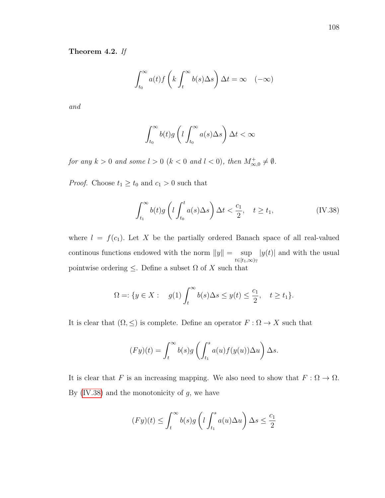## Theorem 4.2. If

$$
\int_{t_0}^{\infty} a(t) f\left(k \int_t^{\infty} b(s) \Delta s\right) \Delta t = \infty \quad (-\infty)
$$

and

$$
\int_{t_0}^{\infty} b(t)g\left(l \int_{t_0}^{\infty} a(s) \Delta s\right) \Delta t < \infty
$$

for any  $k > 0$  and some  $l > 0$   $(k < 0$  and  $l < 0)$ , then  $M^+_{\infty,0} \neq \emptyset$ .

*Proof.* Choose  $t_1 \geq t_0$  and  $c_1 > 0$  such that

<span id="page-118-0"></span>
$$
\int_{t_1}^{\infty} b(t)g\left(l \int_{t_0}^t a(s)\Delta s\right) \Delta t < \frac{c_1}{2}, \quad t \ge t_1,\tag{IV.38}
$$

where  $l = f(c_1)$ . Let X be the partially ordered Banach space of all real-valued continous functions endowed with the norm  $||y|| = \sup$  $t\in[t_1,\infty)_{\mathbb{T}}$  $|y(t)|$  and with the usual pointwise ordering  $\leq$ . Define a subset  $\Omega$  of X such that

$$
\Omega = \{ y \in X : \quad g(1) \int_t^\infty b(s) \Delta s \le y(t) \le \frac{c_1}{2}, \quad t \ge t_1 \}.
$$

It is clear that  $(\Omega, \leq)$  is complete. Define an operator  $F : \Omega \to X$  such that

$$
(Fy)(t) = \int_t^{\infty} b(s)g\left(\int_{t_1}^s a(u)f(y(u))\Delta u\right)\Delta s.
$$

It is clear that F is an increasing mapping. We also need to show that  $F: \Omega \to \Omega$ . By  $(IV.38)$  and the monotonicity of  $g$ , we have

$$
(Fy)(t) \le \int_t^\infty b(s)g\left(l\int_{t_1}^s a(u)\Delta u\right)\Delta s \le \frac{c_1}{2}
$$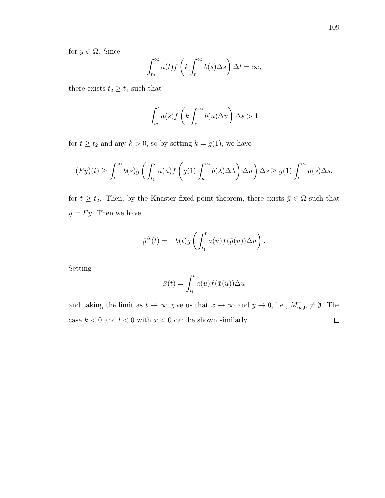for  $y \in \Omega$ . Since

$$
\int_{t_0}^{\infty} a(t) f\left(k \int_t^{\infty} b(s) \Delta s\right) \Delta t = \infty,
$$

there exists  $t_2 \geq t_1$  such that

$$
\int_{t_2}^t a(s)f\left(k\int_s^{\infty} b(u)\Delta u\right)\Delta s > 1
$$

for  $t \ge t_2$  and any  $k > 0$ , so by setting  $k = g(1)$ , we have

$$
(Fy)(t) \ge \int_t^\infty b(s)g\left(\int_{t_1}^s a(u)f\left(g(1)\int_u^\infty b(\lambda)\Delta\lambda\right)\Delta u\right)\Delta s \ge g(1)\int_t^\infty a(s)\Delta s,
$$

for  $t \ge t_2$ . Then, by the Knaster fixed point theorem, there exists  $\bar{y} \in \Omega$  such that  $\bar{y} = F\bar{y}$ . Then we have

$$
\bar{y}^{\Delta}(t) = -b(t)g\left(\int_{t_1}^t a(u)f(\bar{y}(u))\Delta u\right).
$$

Setting

$$
\bar{x}(t) = \int_{t_1}^t a(u) f(\bar{x}(u)) \Delta u
$$

and taking the limit as  $t \to \infty$  give us that  $\bar{x} \to \infty$  and  $\bar{y} \to 0$ , i.e.,  $M^+_{\infty,0} \neq \emptyset$ . The case  $k < 0$  and  $l < 0$  with  $x < 0$  can be shown similarly.  $\Box$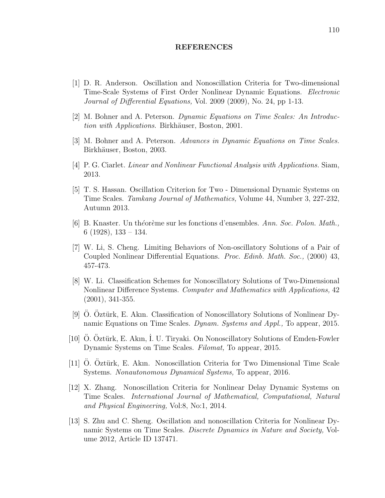#### REFERENCES

- [1] D. R. Anderson. Oscillation and Nonoscillation Criteria for Two-dimensional Time-Scale Systems of First Order Nonlinear Dynamic Equations. Electronic Journal of Differential Equations, Vol. 2009 (2009), No. 24, pp 1-13.
- [2] M. Bohner and A. Peterson. Dynamic Equations on Time Scales: An Introduction with Applications. Birkhäuser, Boston, 2001.
- [3] M. Bohner and A. Peterson. Advances in Dynamic Equations on Time Scales. Birkhäuser, Boston, 2003.
- [4] P. G. Ciarlet. Linear and Nonlinear Functional Analysis with Applications. Siam, 2013.
- [5] T. S. Hassan. Oscillation Criterion for Two Dimensional Dynamic Systems on Time Scales. Tamkang Journal of Mathematics, Volume 44, Number 3, 227-232, Autumn 2013.
- [6] B. Knaster. Un théorème sur les fonctions d'ensembles. Ann. Soc. Polon. Math., 6 (1928), 133 – 134.
- [7] W. Li, S. Cheng. Limiting Behaviors of Non-oscillatory Solutions of a Pair of Coupled Nonlinear Differential Equations. Proc. Edinb. Math. Soc., (2000) 43, 457-473.
- [8] W. Li. Classification Schemes for Nonoscillatory Solutions of Two-Dimensional Nonlinear Difference Systems. Computer and Mathematics with Applications, 42 (2001), 341-355.
- [9] O. Oztürk, E. Akın. Classification of Nonoscillatory Solutions of Nonlinear Dynamic Equations on Time Scales. Dynam. Systems and Appl., To appear, 2015.
- [10] O. Öztürk, E. Akın, I. U. Tiryaki. On Nonoscillatory Solutions of Emden-Fowler Dynamic Systems on Time Scales. Filomat, To appear, 2015.
- <span id="page-120-0"></span>[11] O. Oztürk, E. Akın. Nonoscillation Criteria for Two Dimensional Time Scale Systems. Nonautonomous Dynamical Systems, To appear, 2016.
- [12] X. Zhang. Nonoscillation Criteria for Nonlinear Delay Dynamic Systems on Time Scales. International Journal of Mathematical, Computational, Natural and Physical Engineering, Vol:8, No:1, 2014.
- [13] S. Zhu and C. Sheng. Oscillation and nonoscillation Criteria for Nonlinear Dynamic Systems on Time Scales. Discrete Dynamics in Nature and Society, Volume 2012, Article ID 137471.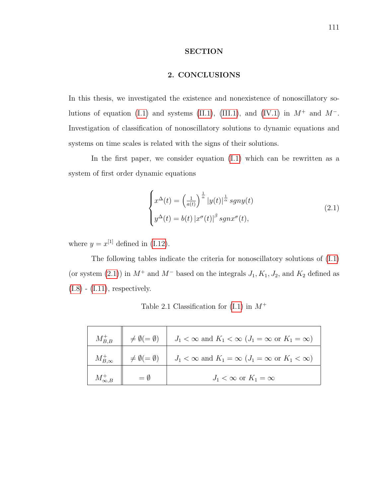### SECTION

## 2. CONCLUSIONS

In this thesis, we investigated the existence and nonexistence of nonoscillatory so-lutions of equation [\(I.1\)](#page-22-0) and systems [\(II.1\)](#page-49-0), [\(III.1\)](#page-73-0), and [\(IV.1\)](#page-97-0) in  $M^+$  and  $M^-$ . Investigation of classification of nonoscillatory solutions to dynamic equations and systems on time scales is related with the signs of their solutions.

In the first paper, we consider equation  $(I.1)$  which can be rewritten as a system of first order dynamic equations

<span id="page-121-0"></span>
$$
\begin{cases}\nx^{\Delta}(t) = \left(\frac{1}{a(t)}\right)^{\frac{1}{\alpha}} |y(t)|^{\frac{1}{\alpha}} sgny(t) \\
y^{\Delta}(t) = b(t) |x^{\sigma}(t)|^{\beta} sgnx^{\sigma}(t),\n\end{cases} \tag{2.1}
$$

where  $y = x^{[1]}$  defined in [\(I.12\)](#page-27-0).

The following tables indicate the criteria for nonoscillatory solutions of [\(I.1\)](#page-22-0) (or system [\(2.1\)](#page-121-0)) in  $M^+$  and  $M^-$  based on the integrals  $J_1, K_1, J_2$ , and  $K_2$  defined as  $(I.8)$  -  $(I.11)$ , respectively.

| $M_{B,B}^+$      | $\neq \emptyset (= \emptyset)$ | $J_1 < \infty$ and $K_1 < \infty$ $(J_1 = \infty$ or $K_1 = \infty)$ |
|------------------|--------------------------------|----------------------------------------------------------------------|
| $M_{B,\infty}^+$ | $\neq \emptyset (= \emptyset)$ | $J_1 < \infty$ and $K_1 = \infty$ $(J_1 = \infty$ or $K_1 < \infty)$ |
|                  |                                | $J_1 < \infty$ or $K_1 = \infty$                                     |

Table 2.1 Classification for  $(I.1)$  in  $M^+$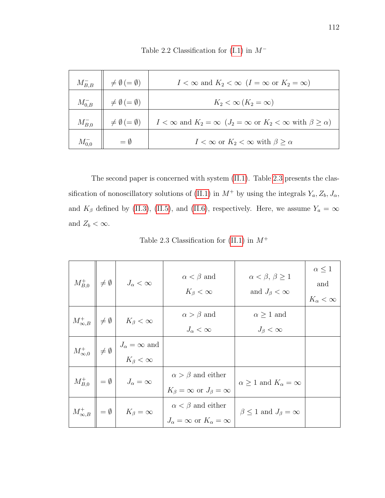|               | $M_{B,B}^- \parallel \neq \emptyset \, (= \emptyset)$ | $I < \infty$ and $K_2 < \infty$ $(I = \infty$ or $K_2 = \infty)$                                         |
|---------------|-------------------------------------------------------|----------------------------------------------------------------------------------------------------------|
| $M_{0,B}^-$   | $\neq \emptyset$ (= $\emptyset$ )                     | $K_2 < \infty$ $(K_2 = \infty)$                                                                          |
| $M_{B,0}^-$   | $\neq \emptyset$ (= $\emptyset$ )                     | $I < \infty$ and $K_2 = \infty$ $(J_2 = \infty \text{ or } K_2 < \infty \text{ with } \beta \ge \alpha)$ |
| $M_{0.0}^{-}$ | $=$ 0                                                 | $I < \infty$ or $K_2 < \infty$ with $\beta > \alpha$                                                     |

Table 2.2 Classification for  $(I.1)$  in  $M^-$ 

The second paper is concerned with system [\(II.1\)](#page-49-0). Table [2.3](#page-122-0) presents the clas-sification of nonoscillatory solutions of [\(II.1\)](#page-49-0) in  $M^+$  by using the integrals  $Y_a, Z_b, J_\alpha,$ and  $K_{\beta}$  defined by [\(II.3\)](#page-51-0), [\(II.5\)](#page-57-0), and [\(II.6\)](#page-57-0), respectively. Here, we assume  $Y_a = \infty$ and  $Z_b < \infty$ .

Table 2.3 Classification for  $(II.1)$  in  $M^+$ 

<span id="page-122-0"></span>

|  | $M_{B,0}^+$ $\left\ \neq\emptyset\right\ $ $J_{\alpha}<\infty$                      | $\alpha < \beta$ and<br>$K_{\beta}<\infty$                                    | $\alpha < \beta, \beta \geq 1$<br>and $J_{\beta} < \infty$ | $\alpha \leq 1$<br>and<br>$K_{\alpha}<\infty$ |
|--|-------------------------------------------------------------------------------------|-------------------------------------------------------------------------------|------------------------------------------------------------|-----------------------------------------------|
|  | $M^+_{\infty,B}$ $\neq \emptyset$ $K_{\beta} < \infty$                              | $\alpha > \beta$ and<br>$J_{\alpha} < \infty$                                 | $\alpha \geq 1$ and<br>$J_{\beta}<\infty$                  |                                               |
|  | $M^+_{\infty,0}$ $\neq \emptyset$ $J_{\alpha} = \infty$ and<br>$K_{\beta} < \infty$ |                                                                               |                                                            |                                               |
|  | $M_{B,0}^+$ $\parallel$ = $\emptyset$ $\parallel$ $J_{\alpha} = \infty$             | $\alpha > \beta$ and either<br>$K_{\beta} = \infty$ or $J_{\beta} = \infty$   | $\alpha \geq 1$ and $K_{\alpha} = \infty$                  |                                               |
|  | $M^+_{\infty,B}$ = $\emptyset$ $K_{\beta} = \infty$                                 | $\alpha < \beta$ and either<br>$J_{\alpha} = \infty$ or $K_{\alpha} = \infty$ | $\beta \leq 1$ and $J_{\beta} = \infty$                    |                                               |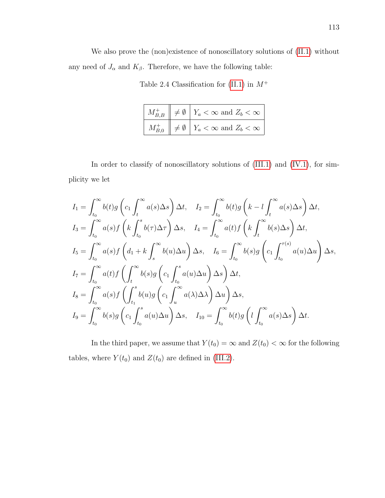We also prove the (non)existence of nonoscillatory solutions of [\(II.1\)](#page-49-0) without any need of  $J_\alpha$  and  $K_\beta.$  Therefore, we have the following table:

|  | $M_{B,B}^+ \parallel \neq \emptyset \parallel Y_a < \infty$ and $Z_b < \infty$ |
|--|--------------------------------------------------------------------------------|
|  | $M_{B,0}^+ \parallel \neq \emptyset \parallel Y_a < \infty$ and $Z_b < \infty$ |

Table 2.4 Classification for  $(II.1)$  in  $M^+$ 

In order to classify of nonoscillatory solutions of  $(III.1)$  and  $(IV.1)$ , for simplicity we let

$$
I_{1} = \int_{t_{0}}^{\infty} b(t)g\left(c_{1} \int_{t}^{\infty} a(s) \Delta s\right) \Delta t, \quad I_{2} = \int_{t_{0}}^{\infty} b(t)g\left(k - l \int_{t}^{\infty} a(s) \Delta s\right) \Delta t,
$$
  
\n
$$
I_{3} = \int_{t_{0}}^{\infty} a(s) f\left(k \int_{t_{0}}^{s} b(\tau) \Delta \tau\right) \Delta s, \quad I_{4} = \int_{t_{0}}^{\infty} a(t) f\left(k \int_{t}^{\infty} b(s) \Delta s\right) \Delta t,
$$
  
\n
$$
I_{5} = \int_{t_{0}}^{\infty} a(s) f\left(d_{1} + k \int_{s}^{\infty} b(u) \Delta u\right) \Delta s, \quad I_{6} = \int_{t_{0}}^{\infty} b(s) g\left(c_{1} \int_{t_{0}}^{\tau(s)} a(u) \Delta u\right) \Delta s,
$$
  
\n
$$
I_{7} = \int_{t_{0}}^{\infty} a(t) f\left(\int_{t}^{\infty} b(s) g\left(c_{1} \int_{t_{0}}^{s} a(u) \Delta u\right) \Delta s\right) \Delta t,
$$
  
\n
$$
I_{8} = \int_{t_{0}}^{\infty} a(s) f\left(\int_{t_{1}}^{s} b(u) g\left(c_{1} \int_{u}^{\infty} a(\lambda) \Delta \lambda\right) \Delta u\right) \Delta s,
$$
  
\n
$$
I_{9} = \int_{t_{0}}^{\infty} b(s) g\left(c_{1} \int_{t_{0}}^{s} a(u) \Delta u\right) \Delta s, \quad I_{10} = \int_{t_{0}}^{\infty} b(t) g\left(l \int_{t_{0}}^{\infty} a(s) \Delta s\right) \Delta t.
$$

In the third paper, we assume that  $Y(t_0) = \infty$  and  $Z(t_0) < \infty$  for the following tables, where  $Y(t_0)$  and  $Z(t_0)$  are defined in [\(III.2\)](#page-74-0).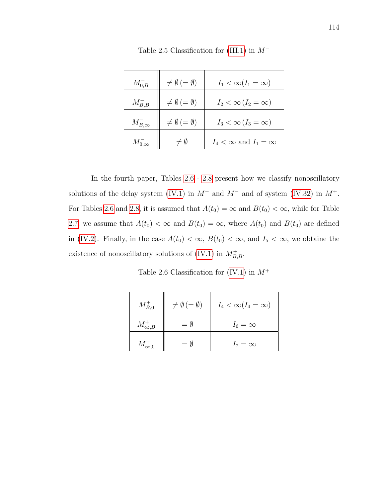| $M_{0,B}^-$      | $\neq \emptyset$ (= $\emptyset$ ) | $I_1 < \infty (I_1 = \infty)$     |
|------------------|-----------------------------------|-----------------------------------|
| $M_{B,B}^-$      | $\neq \emptyset$ (= $\emptyset$ ) | $I_2 < \infty$ $(I_2 = \infty)$   |
| $M_{B,\infty}^-$ | $\neq \emptyset$ (= $\emptyset$ ) | $I_3 < \infty$ $(I_3 = \infty)$   |
| $M_{0,\infty}^-$ | $\neq \emptyset$                  | $I_4 < \infty$ and $I_1 = \infty$ |

Table 2.5 Classification for  $(III.1)$  in  $M^-$ 

In the fourth paper, Tables [2.6](#page-124-0) - [2.8](#page-125-0) present how we classify nonoscillatory solutions of the delay system [\(IV.1\)](#page-97-0) in  $M^+$  and  $M^-$  and of system [\(IV.32\)](#page-116-0) in  $M^+$ . For Tables [2.6](#page-124-0) and [2.8,](#page-125-0) it is assumed that  $A(t_0) = \infty$  and  $B(t_0) < \infty$ , while for Table [2.7,](#page-125-1) we assume that  $A(t_0) < \infty$  and  $B(t_0) = \infty$ , where  $A(t_0)$  and  $B(t_0)$  are defined in [\(IV.2\)](#page-98-0). Finally, in the case  $A(t_0) < \infty$ ,  $B(t_0) < \infty$ , and  $I_5 < \infty$ , we obtaine the existence of nonoscillatory solutions of [\(IV.1\)](#page-97-0) in  $M_{B,B}^+$ .

Table 2.6 Classification for  $(IV.1)$  in  $M^+$ 

<span id="page-124-0"></span>

| $M_{B,0}^+$      | $\neq \emptyset$ (= $\emptyset$ ) | $I_4 < \infty (I_4 = \infty)$ |
|------------------|-----------------------------------|-------------------------------|
| $M^+_{\infty,B}$ | $= \emptyset$                     | $I_6=\infty$                  |
| $M^+_{\infty,0}$ | $=\emptyset$                      | $I_7 = \infty$                |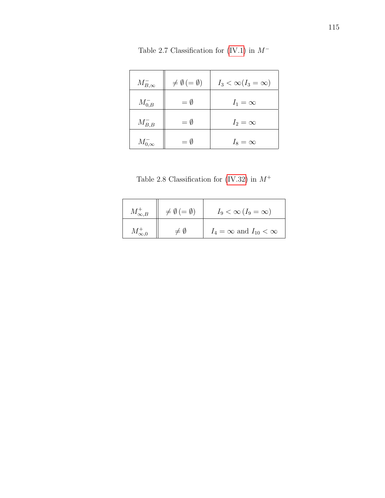<span id="page-125-1"></span>

| $M_{B,\infty}^-$ | $\neq \emptyset$ (= $\emptyset$ ) | $I_3 < \infty (I_3 = \infty)$ |
|------------------|-----------------------------------|-------------------------------|
| $M_{0,B}^-$      | $=\emptyset$                      | $I_1 = \infty$                |
| $M_{B,B}^-$      | $= \emptyset$                     | $I_2=\infty$                  |
| $M_{0,\infty}^-$ | $= \emptyset$                     | $I_8 = \infty$                |

Table 2.7 Classification for [\(IV.1\)](#page-97-0) in  $M^-\!$ 

<span id="page-125-0"></span>

| $M^+_{\infty,B}$ | $\neq \emptyset$ (= $\emptyset$ ) | $I_9 < \infty (I_9 = \infty)$        |
|------------------|-----------------------------------|--------------------------------------|
|                  | $\neq$ 0                          | $I_4 = \infty$ and $I_{10} < \infty$ |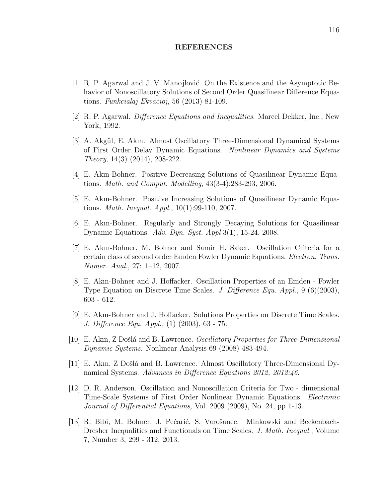#### REFERENCES

- [1] R. P. Agarwal and J. V. Manojlović. On the Existence and the Asymptotic Behavior of Nonoscillatory Solutions of Second Order Quasilinear Difference Equations. Funkcialaj Ekvacioj, 56 (2013) 81-109.
- [2] R. P. Agarwal. Difference Equations and Inequalities. Marcel Dekker, Inc., New York, 1992.
- [3] A. Akgül, E. Akın. Almost Oscillatory Three-Dimensional Dynamical Systems of First Order Delay Dynamic Equations. Nonlinear Dynamics and Systems Theory, 14(3) (2014), 208-222.
- [4] E. Akın-Bohner. Positive Decreasing Solutions of Quasilinear Dynamic Equations. Math. and Comput. Modelling, 43(3-4):283-293, 2006.
- [5] E. Akın-Bohner. Positive Increasing Solutions of Quasilinear Dynamic Equations. Math. Inequal. Appl., 10(1):99-110, 2007.
- [6] E. Akın-Bohner. Regularly and Strongly Decaying Solutions for Quasilinear Dynamic Equations. Adv. Dyn. Syst. Appl 3(1), 15-24, 2008.
- [7] E. Akın-Bohner, M. Bohner and Samir H. Saker. Oscillation Criteria for a certain class of second order Emden Fowler Dynamic Equations. Electron. Trans. Numer. Anal., 27: 1–12, 2007.
- [8] E. Akın-Bohner and J. Hoffacker. Oscillation Properties of an Emden Fowler Type Equation on Discrete Time Scales. J. Difference Equ. Appl., 9 (6)(2003), 603 - 612.
- [9] E. Akın-Bohner and J. Hoffacker. Solutions Properties on Discrete Time Scales. J. Difference Equ. Appl., (1) (2003), 63 - 75.
- [10] E. Akın, Z Došlá and B. Lawrence. *Oscillatory Properties for Three-Dimensional* Dynamic Systems. Nonlinear Analysis 69 (2008) 483-494.
- [11] E. Akın, Z Došlá and B. Lawrence. Almost Oscillatory Three-Dimensional Dynamical Systems. Advances in Difference Equations 2012, 2012:46.
- [12] D. R. Anderson. Oscillation and Nonoscillation Criteria for Two dimensional Time-Scale Systems of First Order Nonlinear Dynamic Equations. Electronic Journal of Differential Equations, Vol. 2009 (2009), No. 24, pp 1-13.
- [13] R. Bibi, M. Bohner, J. Pećarić, S. Varošanec, Minkowski and Beckenbach-Dresher Inequalities and Functionals on Time Scales. J. Math. Inequal., Volume 7, Number 3, 299 - 312, 2013.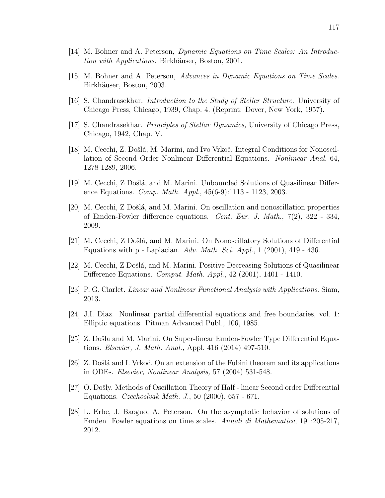- [14] M. Bohner and A. Peterson, Dynamic Equations on Time Scales: An Introduction with Applications. Birkhäuser, Boston, 2001.
- [15] M. Bohner and A. Peterson, Advances in Dynamic Equations on Time Scales. Birkhäuser, Boston, 2003.
- [16] S. Chandrasekhar. Introduction to the Study of Steller Structure. University of Chicago Press, Chicago, 1939, Chap. 4. (Reprint: Dover, New York, 1957).
- [17] S. Chandrasekhar. Principles of Stellar Dynamics, University of Chicago Press, Chicago, 1942, Chap. V.
- [18] M. Cecchi, Z. Došlá, M. Marini, and Ivo Vrkoč. Integral Conditions for Nonoscillation of Second Order Nonlinear Differential Equations. Nonlinear Anal. 64, 1278-1289, 2006.
- [19] M. Cecchi, Z Došlá, and M. Marini. Unbounded Solutions of Quasilinear Difference Equations. Comp. Math. Appl., 45(6-9):1113 - 1123, 2003.
- [20] M. Cecchi, Z Došlá, and M. Marini. On oscillation and nonoscillation properties of Emden-Fowler difference equations. Cent. Eur. J. Math., 7(2), 322 - 334, 2009.
- [21] M. Cecchi, Z Došlá, and M. Marini. On Nonoscillatory Solutions of Differential Equations with p - Laplacian. Adv. Math. Sci. Appl., 1 (2001), 419 - 436.
- [22] M. Cecchi, Z Došlá, and M. Marini. Positive Decreasing Solutions of Quasilinear Difference Equations. Comput. Math. Appl., 42 (2001), 1401 - 1410.
- [23] P. G. Ciarlet. Linear and Nonlinear Functional Analysis with Applications. Siam, 2013.
- [24] J.I. Diaz. Nonlinear partial differential equations and free boundaries, vol. 1: Elliptic equations. Pitman Advanced Publ., 106, 1985.
- [25] Z. Došla and M. Marini. On Super-linear Emden-Fowler Type Differential Equations. Elsevier, J. Math. Anal., Appl. 416 (2014) 497-510.
- [26] Z. Došlá and I. Vrkoč. On an extension of the Fubini theorem and its applications in ODEs. Elsevier, Nonlinear Analysis, 57 (2004) 531-548.
- [27] O. Došly. Methods of Oscillation Theory of Half linear Second order Differential Equations. Czechoslvak Math. J., 50 (2000), 657 - 671.
- [28] L. Erbe, J. Baoguo, A. Peterson. On the asymptotic behavior of solutions of Emden Fowler equations on time scales. Annali di Mathematica, 191:205-217, 2012.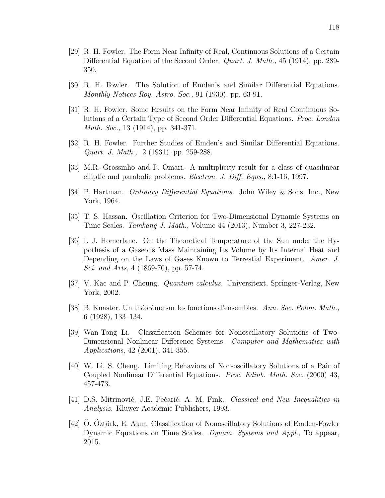- [29] R. H. Fowler. The Form Near Infinity of Real, Continuous Solutions of a Certain Differential Equation of the Second Order. *Quart. J. Math.*, 45 (1914), pp. 289-350.
- [30] R. H. Fowler. The Solution of Emden's and Similar Differential Equations. Monthly Notices Roy. Astro. Soc., 91 (1930), pp. 63-91.
- [31] R. H. Fowler. Some Results on the Form Near Infinity of Real Continuous Solutions of a Certain Type of Second Order Differential Equations. Proc. London Math. Soc., 13 (1914), pp. 341-371.
- [32] R. H. Fowler. Further Studies of Emden's and Similar Differential Equations. Quart. J. Math., 2 (1931), pp. 259-288.
- [33] M.R. Grossinho and P. Omari. A multiplicity result for a class of quasilinear elliptic and parabolic problems. Electron. J. Diff. Eqns., 8:1-16, 1997.
- [34] P. Hartman. Ordinary Differential Equations. John Wiley & Sons, Inc., New York, 1964.
- [35] T. S. Hassan. Oscillation Criterion for Two-Dimensional Dynamic Systems on Time Scales. Tamkang J. Math., Volume 44 (2013), Number 3, 227-232.
- [36] I. J. Homerlane. On the Theoretical Temperature of the Sun under the Hypothesis of a Gaseous Mass Maintaining Its Volume by Its Internal Heat and Depending on the Laws of Gases Known to Terrestial Experiment. Amer. J. Sci. and Arts, 4 (1869-70), pp. 57-74.
- [37] V. Kac and P. Cheung. Quantum calculus. Universitext, Springer-Verlag, New York, 2002.
- [38] B. Knaster. Un théorème sur les fonctions d'ensembles. Ann. Soc. Polon. Math., 6 (1928), 133–134.
- [39] Wan-Tong Li. Classification Schemes for Nonoscillatory Solutions of Two-Dimensional Nonlinear Difference Systems. Computer and Mathematics with Applications, 42 (2001), 341-355.
- [40] W. Li, S. Cheng. Limiting Behaviors of Non-oscillatory Solutions of a Pair of Coupled Nonlinear Differential Equations. Proc. Edinb. Math. Soc. (2000) 43, 457-473.
- [41] D.S. Mitrinović, J.E. Pečarić, A. M. Fink. Classical and New Inequalities in Analysis. Kluwer Academic Publishers, 1993.
- $[42]$  O. Oztürk, E. Akın. Classification of Nonoscillatory Solutions of Emden-Fowler Dynamic Equations on Time Scales. Dynam. Systems and Appl., To appear, 2015.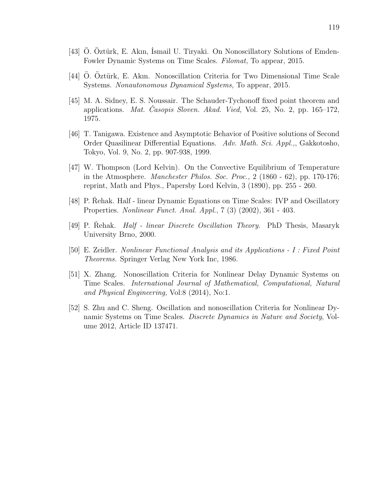- [43] O. Oztürk, E. Akın, Ismail U. Tiryaki. On Nonoscillatory Solutions of Emden-Fowler Dynamic Systems on Time Scales. Filomat, To appear, 2015.
- [44] O. Oztürk, E. Akın. Nonoscillation Criteria for Two Dimensional Time Scale Systems. Nonautonomous Dynamical Systems, To appear, 2015.
- [45] M. A. Sidney, E. S. Noussair. The Schauder-Tychonoff fixed point theorem and applications. *Mat. Casopis Sloven. Akad. Vied*, Vol. 25, No. 2, pp.  $165-172$ , 1975.
- [46] T. Tanigawa. Existence and Asymptotic Behavior of Positive solutions of Second Order Quasilinear Differential Equations. Adv. Math. Sci. Appl.,, Gakkotosho, Tokyo, Vol. 9, No. 2, pp. 907-938, 1999.
- [47] W. Thompson (Lord Kelvin). On the Convective Equilibrium of Temperature in the Atmosphere. Manchester Philos. Soc. Proc., 2 (1860 - 62), pp. 170-176; reprint, Math and Phys., Papersby Lord Kelvin, 3 (1890), pp. 255 - 260.
- [48] P. Rehak. Half linear Dynamic Equations on Time Scales: IVP and Oscillatory Properties. Nonlinear Funct. Anal. Appl., 7 (3) (2002), 361 - 403.
- [49] P. Rehak. *Half linear Discrete Oscillation Theory.* PhD Thesis, Masaryk University Brno, 2000.
- [50] E. Zeidler. Nonlinear Functional Analysis and its Applications I : Fixed Point Theorems. Springer Verlag New York Inc, 1986.
- [51] X. Zhang. Nonoscillation Criteria for Nonlinear Delay Dynamic Systems on Time Scales. International Journal of Mathematical, Computational, Natural and Physical Engineering, Vol:8 (2014), No:1.
- [52] S. Zhu and C. Sheng. Oscillation and nonoscillation Criteria for Nonlinear Dynamic Systems on Time Scales. Discrete Dynamics in Nature and Society, Volume 2012, Article ID 137471.